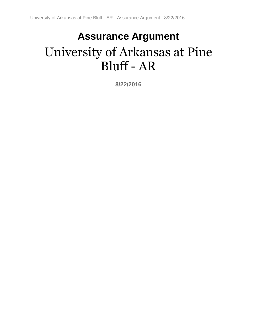# **Assurance Argument** University of Arkansas at Pine Bluff - AR

**8/22/2016**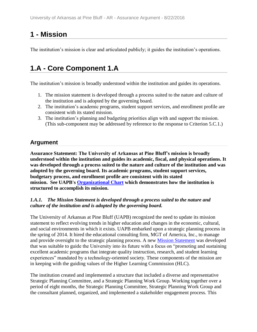## **1 - Mission**

The institution's mission is clear and articulated publicly; it guides the institution's operations.

## **1.A - Core Component 1.A**

The institution's mission is broadly understood within the institution and guides its operations.

- 1. The mission statement is developed through a process suited to the nature and culture of the institution and is adopted by the governing board.
- 2. The institution's academic programs, student support services, and enrollment profile are consistent with its stated mission.
- 3. The institution's planning and budgeting priorities align with and support the mission. (This sub-component may be addressed by reference to the response to Criterion 5.C.1.)

### **Argument**

**Assurance Statement: The University of Arkansas at Pine Bluff's mission is broadly understood within the institution and guides its academic, fiscal, and physical operations. It was developed through a process suited to the nature and culture of the institution and was adopted by the governing board. Its academic programs, student support services, budgetary process, and enrollment profile are consistent with its stated mission. See UAPB's [Organizational Chart](file:///C:/Users/taylorm/AppData/Local/Microsoft/Windows/Temporary%20Internet%20Files/evidence/viewfile%3ffileId=247023) which demonstrates how the institution is structured to accomplish its mission.**

#### *1.A.1. The Mission Statement is developed through a process suited to the nature and culture of the institution and is adopted by the governing board.*

The University of Arkansas at Pine Bluff (UAPB) recognized the need to update its mission statement to reflect evolving trends in higher education and changes in the economic, cultural, and social environments in which it exists. UAPB embarked upon a strategic planning process in the spring of 2014. It hired the educational consulting firm, MGT of America, Inc., to manage and provide oversight to the strategic planning process. A new [Mission Statement](file:///C:/Users/taylorm/AppData/Local/Microsoft/Windows/Temporary%20Internet%20Files/evidence/viewfile%3ffileid=184932) was developed that was suitable to guide the University into its future with a focus on "promoting and sustaining excellent academic programs that integrate quality instruction, research, and student learning experiences" mandated by a technology-oriented society. These components of the mission are in keeping with the guiding values of the Higher Learning Commission (HLC).

The institution created and implemented a structure that included a diverse and representative Strategic Planning Committee, and a Strategic Planning Work Group. Working together over a period of eight months, the Strategic Planning Committee, Strategic Planning Work Group and the consultant planned, organized, and implemented a stakeholder engagement process. This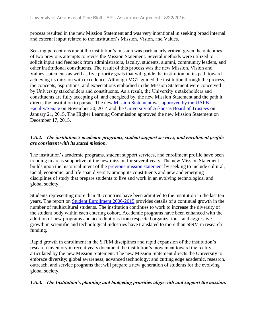process resulted in the new Mission Statement and was very intentional in seeking broad internal and external input related to the institution's Mission, Vision, and Values.

Seeking perceptions about the institution's mission was particularly critical given the outcomes of two previous attempts to revise the Mission Statement. Several methods were utilized to solicit input and feedback from administrators, faculty, students, alumni, community leaders, and other institutional constituents. The result of this process was the new Mission, Vision and Values statements as well as five priority goals that will guide the institution on its path toward achieving its mission with excellence. Although MGT guided the institution through the process, the concepts, aspirations, and expectations embodied in the Mission Statement were conceived by University stakeholders and constituents. As a result, the University's stakeholders and constituents are fully accepting of, and energized by, the new Mission Statement and the path it directs the institution to pursue. The new [Mission Statement](file:///C:/Users/taylorm/AppData/Local/Microsoft/Windows/Temporary%20Internet%20Files/evidence/viewfile%3ffileId=184932) was [approved by the UAPB](file:///C:/Users/taylorm/AppData/Local/Microsoft/Windows/Temporary%20Internet%20Files/evidence/viewfile%3ffileId=184928%23page=2)  [Faculty/Senate](file:///C:/Users/taylorm/AppData/Local/Microsoft/Windows/Temporary%20Internet%20Files/evidence/viewfile%3ffileId=184928%23page=2) on November 20, 2014 and the [University of Arkansas Board of Trustees](file:///C:/Users/taylorm/AppData/Local/Microsoft/Windows/Temporary%20Internet%20Files/evidence/viewfile%3ffileId=184929%23page=18) on January 21, 2015. The Higher Learning Commission approved the new Mission Statement on December 17, 2015.

#### *1.A.2. The institution's academic programs, student support services, and enrollment profile are consistent with its stated mission.*

The institution's academic programs, student support services, and enrollment profile have been trending in areas supportive of the new mission for several years. The new Mission Statement builds upon the historical intent of the [previous mission statement](file:///C:/Users/taylorm/AppData/Local/Microsoft/Windows/Temporary%20Internet%20Files/evidence/viewfile%3ffileId=236489) by seeking to include cultural, racial, economic, and life span diversity among its constituents and new and emerging disciplines of study that prepare students to live and work in an evolving technological and global society.

Students representing more than 40 countries have been admitted to the institution in the last ten years. The report on [Student Enrollment 2006-2015](file:///C:/Users/taylorm/AppData/Local/Microsoft/Windows/Temporary%20Internet%20Files/evidence/viewfile%3ffileId=243770%23page=16) provides details of a continual growth in the number of multicultural students. The institution continues to work to increase the diversity of the student body within each entering cohort. Academic programs have been enhanced with the addition of new programs and accreditations from respected organizations, and aggressive growth in scientific and technological industries have translated to more than \$89M in research funding.

Rapid growth in enrollment in the STEM disciplines and rapid expansion of the institution's research inventory in recent years document the institution's movement toward the reality articulated by the new Mission Statement. The new Mission Statement directs the University to embrace diversity; global awareness; advanced technology; and cutting edge academic, research, outreach, and service programs that will prepare a new generation of students for the evolving global society.

#### *1.A.3. The Institution's planning and budgeting priorities align with and support the mission.*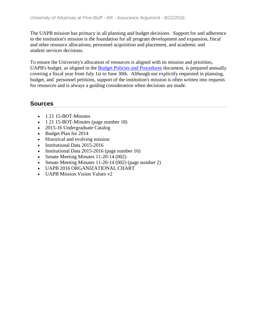The UAPB mission has primacy in all planning and budget decisions. Support for and adherence to the institution's mission is the foundation for all program development and expansion, fiscal and other resource allocations, personnel acquisition and placement, and academic and student services decisions.

To ensure the University's allocation of resources is aligned with its mission and priorities, UAPB's budget, as aligned in the [Budget Policies and Procedures](file:///C:/Users/taylorm/AppData/Local/Microsoft/Windows/Temporary%20Internet%20Files/evidence/viewfile%3ffileid=236515) document, is prepared annually covering a fiscal year from July 1st to June 30th. Although not explicitly requested in planning, budget, and personnel petitions, support of the institution's mission is often written into requests for resources and is always a guiding consideration when decisions are made.

- 1 21 15-BOT-Minutes
- 1 21 15-BOT-Minutes (page number 18)
- 2015-16 Undergraduate Catalog
- Budget Plan for 2014
- Historical and evolving mission
- Institutional Data 2015-2016
- Institutional Data 2015-2016 (page number 16)
- Senate Meeting Minutes 11-20-14 (002)
- Senate Meeting Minutes 11-20-14 (002) (page number 2)
- UAPB 2016 ORGANIZATIONAL CHART
- UAPB Mission Vision Values v2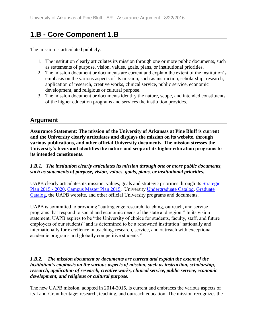## **1.B - Core Component 1.B**

The mission is articulated publicly.

- 1. The institution clearly articulates its mission through one or more public documents, such as statements of purpose, vision, values, goals, plans, or institutional priorities.
- 2. The mission document or documents are current and explain the extent of the institution's emphasis on the various aspects of its mission, such as instruction, scholarship, research, application of research, creative works, clinical service, public service, economic development, and religious or cultural purpose.
- 3. The mission document or documents identify the nature, scope, and intended constituents of the higher education programs and services the institution provides.

### **Argument**

**Assurance Statement: The mission of the University of Arkansas at Pine Bluff is current and the University clearly articulates and displays the mission on its website, through various publications, and other official University documents. The mission stresses the University's focus and identifies the nature and scope of its higher education programs to its intended constituents.**

*1.B.1. The institution clearly articulates its mission through one or more public documents, such as statements of purpose, vision, values, goals, plans, or institutional priorities.*

UAPB clearly articulates its mission, values, goals and strategic priorities through its [Strategic](file:///C:/Users/taylorm/AppData/Local/Microsoft/Windows/Temporary%20Internet%20Files/evidence/viewfile%3ffileId=236496%23page=15)  [Plan 2015 -](file:///C:/Users/taylorm/AppData/Local/Microsoft/Windows/Temporary%20Internet%20Files/evidence/viewfile%3ffileId=236496%23page=15) 2020, [Campus Master Plan 2015,](file:///C:/Users/taylorm/AppData/Local/Microsoft/Windows/Temporary%20Internet%20Files/evidence/viewfile%3ffileId=236496%23page=15) University [Undergraduate Catalog,](file:///C:/Users/taylorm/AppData/Local/Microsoft/Windows/Temporary%20Internet%20Files/evidence/viewfile%3ffileId=241402%23page=11) [Graduate](file:///C:/Users/taylorm/AppData/Local/Microsoft/Windows/Temporary%20Internet%20Files/evidence/viewfile%3ffileid=244400%23page=11)  [Catalog,](file:///C:/Users/taylorm/AppData/Local/Microsoft/Windows/Temporary%20Internet%20Files/evidence/viewfile%3ffileid=244400%23page=11) the UAPB website, and other official University programs and documents.

UAPB is committed to providing "cutting edge research, teaching, outreach, and service programs that respond to social and economic needs of the state and region." In its vision statement, UAPB aspires to be "the University of choice for students, faculty, staff, and future employers of our students" and is determined to be a renowned institution "nationally and internationally for excellence in teaching, research, service, and outreach with exceptional academic programs and globally competitive students."

#### *1.B.2. The mission document or documents are current and explain the extent of the institution's emphasis on the various aspects of mission, such as instruction, scholarship, research, application of research, creative works, clinical service, public service, economic development, and religious or cultural purpose.*

The new UAPB mission, adopted in 2014-2015, is current and embraces the various aspects of its Land-Grant heritage: research, teaching, and outreach education. The mission recognizes the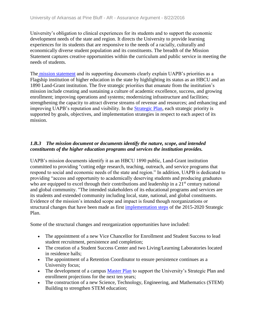University's obligation to clinical experiences for its students and to support the economic development needs of the state and region. It directs the University to provide learning experiences for its students that are responsive to the needs of a racially, culturally and economically diverse student population and its constituents. The breadth of the Mission Statement captures creative opportunities within the curriculum and public service in meeting the needs of students.

The [mission statement](file:///C:/Users/taylorm/AppData/Local/Microsoft/Windows/Temporary%20Internet%20Files/evidence/viewfile%3ffileId=184932) and its supporting documents clearly explain UAPB's priorities as a Flagship institution of higher education in the state by highlighting its status as an HBCU and an 1890 Land-Grant institution. The five strategic priorities that emanate from the institution's mission include creating and sustaining a culture of academic excellence, success, and growing enrollment; improving operations and systems; modernizing infrastructure and facilities; strengthening the capacity to attract diverse streams of revenue and resources; and enhancing and improving UAPB's reputation and visibility. In the [Strategic Plan,](file:///C:/Users/taylorm/AppData/Local/Microsoft/Windows/Temporary%20Internet%20Files/evidence/viewfile%3ffileId=236496%23page=9) each strategic priority is supported by goals, objectives, and implementation strategies in respect to each aspect of its mission.

#### *1.B.3 The mission document or documents identify the nature, scope, and intended constituents of the higher education programs and services the institution provides.*

UAPB's mission documents identify it as an HBCU 1890 public, Land-Grant institution committed to providing "cutting edge research, teaching, outreach, and service programs that respond to social and economic needs of the state and region." In addition, UAPB is dedicated to providing "access and opportunity to academically deserving students and producing graduates who are equipped to excel through their contributions and leadership in a  $21<sup>st</sup>$  century national and global community. "The intended stakeholders of its educational programs and services are its students and extended community including local, state, national, and global constituents. Evidence of the mission's intended scope and impact is found though reorganizations or structural changes that have been made as first [implementation steps](file:///C:/Users/taylorm/AppData/Local/Microsoft/Windows/Temporary%20Internet%20Files/evidence/viewfile%3ffileId=236496%23page=49) of the 2015-2020 Strategic Plan.

Some of the structural changes and reorganization opportunities have included:

- The appointment of a new Vice Chancellor for Enrollment and Student Success to lead student recruitment, persistence and completion;
- The creation of a Student Success Center and two Living/Learning Laboratories located in residence halls;
- The appointment of a Retention Coordinator to ensure persistence continues as a University focus;
- The development of a campus [Master Plan](file:///C:/Users/taylorm/AppData/Local/Microsoft/Windows/Temporary%20Internet%20Files/evidence/viewfile%3ffileId=184953) to support the University's Strategic Plan and enrollment projections for the next ten years;
- The construction of a new Science, Technology, Engineering, and Mathematics (STEM) Building to strengthen STEM education;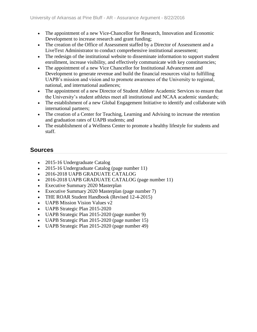- The appointment of a new Vice-Chancellor for Research, Innovation and Economic Development to increase research and grant funding;
- The creation of the Office of Assessment staffed by a Director of Assessment and a LiveText Administrator to conduct comprehensive institutional assessment;
- The redesign of the institutional website to disseminate information to support student enrollment, increase visibility, and effectively communicate with key constituencies;
- The appointment of a new Vice Chancellor for Institutional Advancement and Development to generate revenue and build the financial resources vital to fulfilling UAPB's mission and vision and to promote awareness of the University to regional, national, and international audiences;
- The appointment of a new Director of Student Athlete Academic Services to ensure that the University's student athletes meet all institutional and NCAA academic standards;
- The establishment of a new Global Engagement Initiative to identify and collaborate with international partners;
- The creation of a Center for Teaching, Learning and Advising to increase the retention and graduation rates of UAPB students; and
- The establishment of a Wellness Center to promote a healthy lifestyle for students and staff.

- 2015-16 Undergraduate Catalog
- 2015-16 Undergraduate Catalog (page number 11)
- 2016-2018 UAPB GRADUATE CATALOG
- 2016-2018 UAPB GRADUATE CATALOG (page number 11)
- Executive Summary 2020 Masterplan
- Executive Summary 2020 Masterplan (page number 7)
- THE ROAR Student Handbook (Revised 12-4-2015)
- **UAPB Mission Vision Values v2**
- UAPB Strategic Plan 2015-2020
- UAPB Strategic Plan 2015-2020 (page number 9)
- UAPB Strategic Plan 2015-2020 (page number 15)
- UAPB Strategic Plan 2015-2020 (page number 49)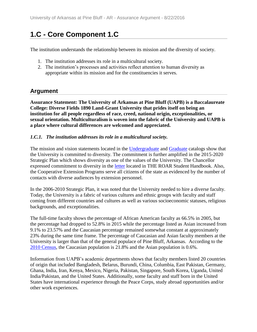## **1.C - Core Component 1.C**

The institution understands the relationship between its mission and the diversity of society.

- 1. The institution addresses its role in a multicultural society.
- 2. The institution's processes and activities reflect attention to human diversity as appropriate within its mission and for the constituencies it serves.

### **Argument**

**Assurance Statement: The University of Arkansas at Pine Bluff (UAPB) is a Baccalaureate College: Diverse Fields 1890 Land-Grant University that prides itself on being an institution for all people regardless of race, creed, national origin, exceptionalities, or sexual orientation. Multiculturalism is woven into the fabric of the University and UAPB is a place where cultural differences are welcomed and appreciated.**

#### *1.C.1. The institution addresses its role in a multicultural society.*

The mission and vision statements located in the [Undergraduate](file:///C:/Users/taylorm/AppData/Local/Microsoft/Windows/Temporary%20Internet%20Files/evidence/viewfile%3ffileId=241402%23page=11) and [Graduate](file:///C:/Users/taylorm/AppData/Local/Microsoft/Windows/Temporary%20Internet%20Files/evidence/viewfile%3ffileId=244400%23page=11) catalogs show that the University is committed to diversity. The commitment is further amplified in the 2015-2020 Strategic Plan which shows diversity as one of the values of the University. The Chancellor expressed commitment to diversity in the [letter](file:///C:/Users/taylorm/AppData/Local/Microsoft/Windows/Temporary%20Internet%20Files/evidence/viewfile%3ffileId=187258%23page=9) located in THE ROAR Student Handbook. Also, the Cooperative Extension Programs serve all citizens of the state as evidenced by the number of contacts with diverse audiences by extension personnel.

In the 2006-2010 Strategic Plan, it was noted that the University needed to hire a diverse faculty. Today, the University is a fabric of various cultures and ethnic groups with faculty and staff coming from different countries and cultures as well as various socioeconomic statuses, religious backgrounds, and exceptionalities.

The full-time faculty shows the percentage of African American faculty as 66.5% in 2005, but the percentage had dropped to 52.8% in 2015 while the percentage listed as Asian increased from 9.1% to 23.57% and the Caucasian percentage remained somewhat constant at approximately 23% during the same time frame. The percentage of Caucasian and Asian faculty members at the University is larger than that of the general populace of Pine Bluff, Arkansas. According to the [2010 Census,](file:///C:/Users/taylorm/AppData/Local/Microsoft/Windows/Temporary%20Internet%20Files/evidence/viewfile%3ffileId=186533) the Caucasian population is 21.8% and the Asian population is 0.6%.

Information from UAPB's academic departments shows that faculty members listed 20 countries of origin that included Bangladesh, Belarus, Burundi, China, Columbia, East Pakistan, Germany, Ghana, India, Iran, Kenya, Mexico, Nigeria, Pakistan, Singapore, South Korea, Uganda, United India/Pakistan, and the United States. Additionally, some faculty and staff born in the United States have international experience through the Peace Corps, study abroad opportunities and/or other work experiences.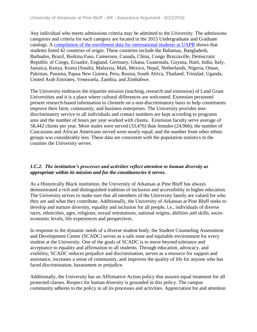Any individual who meets admissions criteria may be admitted to the University. The admissions categories and criteria for each category are located in the 2015 Undergraduate and Graduate catalogs. A [compilation of the enrollment data for international students at UAPB](file:///C:/Users/taylorm/AppData/Local/Microsoft/Windows/Temporary%20Internet%20Files/evidence/viewfile%3ffileId=186528) shows that students listed 42 countries of origin. These countries include the Bahamas, Bangladesh, Barbados, Brazil, Burkina Faso, Cameroon, Canada, China, Congo Brazzaville, Democratic Republic of Congo, Ecuador, England, Germany, Ghana, Guatemala, Guyana, Haiti, India, Italy, Jamaica, Kenya, Korea (South), Malaysia, Mali, Mexico, Nepal, Netherlands, Nigeria, Oman, Pakistan, Panama, Papua New Guinea, Peru, Russia, South Africa, Thailand, Trinidad, Uganda, United Arab Emirates, Venezuela, Zambia, and Zimbabwe.

The University embraces the tripartite mission (teaching, research and extension) of Land Grant Universities and it is a place where cultural differences are welcomed. Extension personnel present research-based information to clientele on a non-discriminatory basis to help constituents improve their farm, community, and business enterprises. The University provides nondiscriminatory service to all individuals and contact numbers are kept according to programs area and the number of hours per year worked with clients. Extension faculty serve average of 58,442 clients per year. More males were served (33,476) than females (24,966); the number of Caucasians and African Americans served were nearly equal; and the number from other ethnic groups was considerably less. These data are consistent with the population statistics in the counties the University serves.

#### *1.C.2. The institution's processes and activities reflect attention to human diversity as appropriate within its mission and for the constituencies it serves.*

As a Historically Black institution, the University of Arkansas at Pine Bluff has always demonstrated a rich and distinguished tradition of inclusion and accessibility in higher education. The University strives to make sure that all members of the University family are valued for who they are and what they contribute. Additionally, the University of Arkansas at Pine Bluff seeks to develop and nurture diversity, equality and inclusion for all people, i.e., individuals of diverse races, ethnicities, ages, religions, sexual orientations, national origins, abilities and skills, socioeconomic levels, life experiences and perspectives.

In response to the dynamic needs of a diverse student body, the Student Counseling Assessment and Development Center (SCADC) serves as a safe zone and equitable environment for every student at the University. One of the goals of SCADC is to move beyond tolerance and acceptance to equality and affirmation to all students. Through education, advocacy, and visibility, SCADC reduces prejudice and discrimination, serves as a resource for support and assistance, increases a sense of community, and improves the quality of life for anyone who has faced discrimination, harassment or prejudice.

Additionally, the University has an Affirmative Action policy that assures equal treatment for all protected classes. Respect for human diversity is grounded in this policy. The campus community adheres to the policy in all its processes and activities. Appreciation for and attention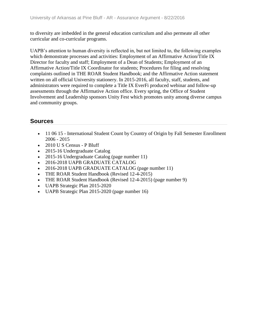to diversity are imbedded in the general education curriculum and also permeate all other curricular and co-curricular programs.

UAPB's attention to human diversity is reflected in, but not limited to, the following examples which demonstrate processes and activities: Employment of an Affirmative Action/Title IX Director for faculty and staff; Employment of a Dean of Students; Employment of an Affirmative Action/Title IX Coordinator for students; Procedures for filing and resolving complaints outlined in THE ROAR Student Handbook; and the Affirmative Action statement written on all official University stationery. In 2015-2016, all faculty, staff, students, and administrators were required to complete a Title IX EverFi produced webinar and follow-up assessments through the Affirmative Action office. Every spring, the Office of Student Involvement and Leadership sponsors Unity Fest which promotes unity among diverse campus and community groups.

- 11 06 15 International Student Count by Country of Origin by Fall Semester Enrollment 2006 - 2015
- 2010 U S Census P Bluff
- 2015-16 Undergraduate Catalog
- 2015-16 Undergraduate Catalog (page number 11)
- 2016-2018 UAPB GRADUATE CATALOG
- 2016-2018 UAPB GRADUATE CATALOG (page number 11)
- THE ROAR Student Handbook (Revised 12-4-2015)
- THE ROAR Student Handbook (Revised 12-4-2015) (page number 9)
- UAPB Strategic Plan 2015-2020
- UAPB Strategic Plan 2015-2020 (page number 16)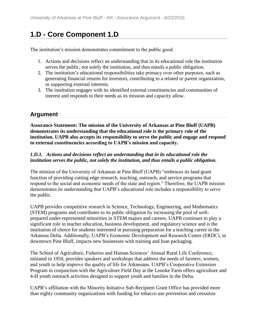## **1.D - Core Component 1.D**

The institution's mission demonstrates commitment to the public good.

- 1. Actions and decisions reflect an understanding that in its educational role the institution serves the public, not solely the institution, and thus entails a public obligation.
- 2. The institution's educational responsibilities take primacy over other purposes, such as generating financial returns for investors, contributing to a related or parent organization, or supporting external interests.
- 3. The institution engages with its identified external constituencies and communities of interest and responds to their needs as its mission and capacity allow.

### **Argument**

**Assurance Statement: The mission of the University of Arkansas at Pine Bluff (UAPB) demonstrates its understanding that the educational role is the primary role of the institution. UAPB also accepts its responsibility to serve the public and engage and respond to external constituencies according to UAPB's mission and capacity.** 

### *1.D.1. Actions and decisions reflect an understanding that in its educational role the institution serves the public, not solely the institution, and thus entails a public obligation.*

The mission of the University of Arkansas at Pine Bluff (UAPB) "embraces its land-grant function of providing cutting edge research, teaching, outreach, and service programs that respond to the social and economic needs of the state and region." Therefore, the UAPB mission demonstrates its understanding that UAPB's educational role includes a responsibility to serve the public.

UAPB provides competitive research in Science, Technology, Engineering, and Mathematics (STEM) programs and contributes to its public obligation by increasing the pool of wellprepared under-represented minorities in STEM majors and careers. UAPB continues to play a significant role in teacher education, business development, and regulatory science and is the institution of choice for students interested in pursuing preparation for a teaching career in the Arkansas Delta. Additionally, UAPB's Economic Development and Research Center (ERDC), in downtown Pine Bluff, impacts new businesses with training and loan packaging.

The School of Agriculture, Fisheries and Human Sciences' Annual Rural Life Conference, initiated in 1950, provides speakers and workshops that address the needs of farmers, women, and youth to help improve the quality of life for Arkansans. UAPB's Cooperative Extension Program in conjunction with the Agriculture Field Day at the Lonoke Farm offers agriculture and 4-H youth outreach activities designed to support youth and families in the Delta.

UAPB's affiliation with the Minority Initiative Sub-Recipient Grant Office has provided more than eighty community organizations with funding for tobacco use prevention and cessation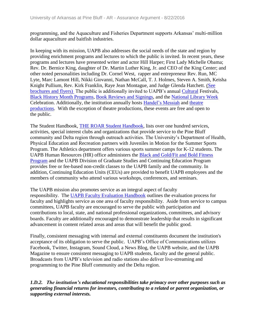programming, and the Aquaculture and Fisheries Department supports Arkansas' multi-million dollar aquaculture and baitfish industries.

In keeping with its mission, UAPB also addresses the social needs of the state and region by providing enrichment programs and lectures to which the public is invited. In recent years, these programs and lectures have presented writer and actor Hill Harper; First Lady Michelle Obama; Rev. Dr. Bernice King, daughter of Dr. Martin Luther King, Jr. and CEO of the King Center; and other noted personalities including Dr. Cornel West, rapper and entrepreneur Rev. Run, MC Lyte, Marc Lamont Hill, Nikki Giovanni, Nathan McCall, T. J. Holmes, Steven A. Smith, Keisha Knight Pullium, Rev. Kirk Franklin, Raye Jean Montague, and Judge Glenda Hatchett. [\(See](file:///C:/Users/taylorm/AppData/Local/Microsoft/Windows/Temporary%20Internet%20Files/evidence/viewfile%3ffileId=244118)  [brochures and flyers\)](file:///C:/Users/taylorm/AppData/Local/Microsoft/Windows/Temporary%20Internet%20Files/evidence/viewfile%3ffileId=244118) The public is additionally invited to UAPB's annual [Cultural](file:///C:/Users/taylorm/AppData/Local/Microsoft/Windows/Temporary%20Internet%20Files/evidence/viewfile%3ffileId=244310) Festivals, [Black History Month Programs,](file:///C:/Users/taylorm/AppData/Local/Microsoft/Windows/Temporary%20Internet%20Files/evidence/viewfile%3ffileId=244072) [Book Reviews and Signings,](file:///C:/Users/taylorm/AppData/Local/Microsoft/Windows/Temporary%20Internet%20Files/evidence/viewfile%3ffileId=244104) and the [National Library Week](file:///C:/Users/taylorm/AppData/Local/Microsoft/Windows/Temporary%20Internet%20Files/evidence/viewfile%3ffileId=244306) Celebration. Additionally, the institution annually hosts [Handel's Messiah](file:///C:/Users/taylorm/AppData/Local/Microsoft/Windows/Temporary%20Internet%20Files/evidence/viewfile%3ffileId=244401) and [theatre](file:///C:/Users/taylorm/AppData/Local/Microsoft/Windows/Temporary%20Internet%20Files/evidence/viewfile%3ffileId=244111)  [productions.](file:///C:/Users/taylorm/AppData/Local/Microsoft/Windows/Temporary%20Internet%20Files/evidence/viewfile%3ffileId=244111) With the exception of theatre productions, these events are free and open to the public.

The Student Handbook, [THE ROAR Student Handbook,](file:///C:/Users/taylorm/AppData/Local/Microsoft/Windows/Temporary%20Internet%20Files/evidence/viewfile%3ffileid=187258) lists over one hundred services, activities, special interest clubs and organizations that provide service to the Pine Bluff community and Delta region through outreach activities. The University's Department of Health, Physical Education and Recreation partners with Juveniles in Motion for the Summer Sports Program. The Athletics department offers various sports summer camps for K-12 students. The UAPB Human Resources (HR) office administers the [Black and Gold/Fit and Bold Fitness](file:///C:/Users/taylorm/AppData/Local/Microsoft/Windows/Temporary%20Internet%20Files/evidence/viewfile%3ffileId=244193)  [Program](file:///C:/Users/taylorm/AppData/Local/Microsoft/Windows/Temporary%20Internet%20Files/evidence/viewfile%3ffileId=244193) and the UAPB Division of Graduate Studies and Continuing Education Program provides free or fee-based non-credit classes to the UAPB family and the community. In addition, Continuing Education Units (CEUs) are provided to benefit UAPB employees and the members of community who attend various workshops, conferences, and seminars.

The UAPB mission also promotes service as an integral aspect of faculty responsibility. The [UAPB Faculty Evaluation Handbook](file:///C:/Users/taylorm/AppData/Local/Microsoft/Windows/Temporary%20Internet%20Files/evidence/viewfile%3ffileid=243764) outlines the evaluation process for faculty and highlights service as one area of faculty responsibility. Aside from service to campus committees, UAPB faculty are encouraged to serve the public with participation and contributions to local, state, and national professional organizations, committees, and advisory boards. Faculty are additionally encouraged to demonstrate leadership that results in significant advancement in content related areas and areas that will benefit the public good.

Finally, consistent messaging with internal and external constituents document the institution's acceptance of its obligation to serve the public. UAPB's Office of Communications utilizes Facebook, Twitter, Instagram, Sound Cloud, a News Blog, the UAPB website, and the UAPB Magazine to ensure consistent messaging to UAPB students, faculty and the general public. Broadcasts from UAPB's television and radio stations also deliver live-streaming and programming to the Pine Bluff community and the Delta region.

*1.D.2. The institution's educational responsibilities take primacy over other purposes such as generating financial returns for investors, contributing to a related or parent organization, or supporting external interests.*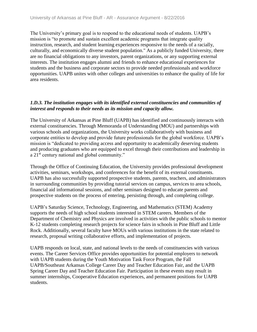The University's primary goal is to respond to the educational needs of students. UAPB's mission is "to promote and sustain excellent academic programs that integrate quality instruction, research, and student learning experiences responsive to the needs of a racially, culturally, and economically diverse student population." As a publicly funded University, there are no financial obligations to any investors, parent organizations, or any supporting external interests. The institution engages alumni and friends to enhance educational experiences for students and the business and corporate sectors to provide needed professionals and workforce opportunities. UAPB unites with other colleges and universities to enhance the quality of life for area residents.

#### *1.D.3. The institution engages with its identified external constituencies and communities of interest and responds to their needs as its mission and capacity allow.*

The University of Arkansas at Pine Bluff (UAPB) has identified and continuously interacts with external constituencies. Through Memoranda of Understanding (MOU) and partnerships with various schools and organizations, the University works collaboratively with business and corporate entities to develop and provide future professionals for the global workforce. UAPB's mission is "dedicated to providing access and opportunity to academically deserving students and producing graduates who are equipped to excel through their contributions and leadership in a 21<sup>st</sup> century national and global community."

Through the Office of Continuing Education, the University provides professional development activities, seminars, workshops, and conferences for the benefit of its external constituents. UAPB has also successfully supported prospective students, parents, teachers, and administrators in surrounding communities by providing tutorial services on campus, services to area schools, financial aid informational sessions, and other seminars designed to educate parents and prospective students on the process of entering, persisting through, and completing college.

UAPB's Saturday Science, Technology, Engineering, and Mathematics (STEM) Academy supports the needs of high school students interested in STEM careers. Members of the Department of Chemistry and Physics are involved in activities with the public schools to mentor K-12 students completing research projects for science fairs in schools in Pine Bluff and Little Rock. Additionally, several faculty have MOUs with various institutions in the state related to research, proposal writing collaborative efforts, and implementation of projects.

UAPB responds on local, state, and national levels to the needs of constituencies with various events. The Career Services Office provides opportunities for potential employers to network with UAPB students during the Youth Motivation Task Force Program, the Fall UAPB/Southeast Arkansas College Career Day and Teacher Education Fair, and the UAPB Spring Career Day and Teacher Education Fair. Participation in these events may result in summer internships, Cooperative Education experiences, and permanent positions for UAPB students.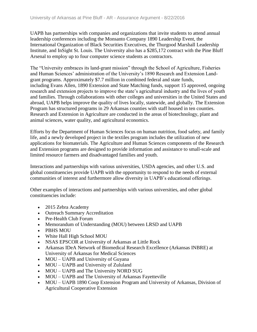UAPB has partnerships with companies and organizations that invite students to attend annual leadership conferences including the Monsanto Company 1890 Leadership Event, the International Organization of Black Securities Executives, the Thurgood Marshall Leadership Institute, and InSight St. Louis. The University also has a \$285,172 contract with the Pine Bluff Arsenal to employ up to four computer science students as contractors.

The "University embraces its land-grant mission" through the School of Agriculture, Fisheries and Human Sciences' administration of the University's 1890 Research and Extension Landgrant programs. Approximately \$7.7 million in combined federal and state funds, including Evans Allen, 1890 Extension and State Matching funds, support 15 approved, ongoing research and extension projects to improve the state's agricultural industry and the lives of youth and families. Through collaborations with other colleges and universities in the United States and abroad, UAPB helps improve the quality of lives locally, statewide, and globally. The Extension Program has structured programs in 29 Arkansas counties with staff housed in ten counties. Research and Extension in Agriculture are conducted in the areas of biotechnology, plant and animal sciences, water quality, and agricultural economics.

Efforts by the Department of Human Sciences focus on human nutrition, food safety, and family life, and a newly developed project in the textiles program includes the utilization of new applications for biomaterials. The Agriculture and Human Sciences components of the Research and Extension programs are designed to provide information and assistance to small-scale and limited resource farmers and disadvantaged families and youth.

Interactions and partnerships with various universities, USDA agencies, and other U.S. and global constituencies provide UAPB with the opportunity to respond to the needs of external communities of interest and furthermore allow diversity in UAPB's educational offerings.

Other examples of interactions and partnerships with various universities, and other global constituencies include:

- 2015 Zebra Academy
- Outreach Summary Accreditation
- Pre-Health Club Forum
- Memorandum of Understanding (MOU) between LRSD and UAPB
- PBHS MOU
- White Hall High School MOU
- NSAS EPSCOR at University of Arkansas at Little Rock
- Arkansas IDeA Network of Biomedical Research Excellence (Arkansas INBRE) at University of Arkansas for Medical Sciences
- MOU UAPB and University of Guyana
- MOU UAPB and University of Zululand
- MOU UAPB and The University NORD SUG
- MOU UAPB and The University of Arkansas Fayetteville
- MOU UAPB 1890 Coop Extension Program and University of Arkansas, Division of Agricultural Cooperative Extension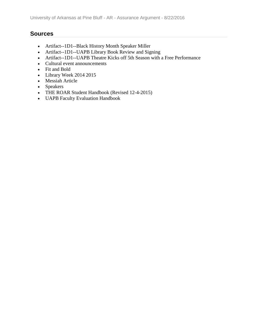- Artifact--1D1--Black History Month Speaker Miller
- Artifact--1D1--UAPB Library Book Review and Signing
- Artifact--1D1--UAPB Theatre Kicks off 5th Season with a Free Performance
- Cultural event announcements
- Fit and Bold
- Library Week 2014 2015
- Messiah Article
- Speakers
- THE ROAR Student Handbook (Revised 12-4-2015)
- UAPB Faculty Evaluation Handbook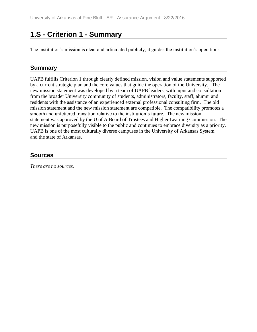## **1.S - Criterion 1 - Summary**

The institution's mission is clear and articulated publicly; it guides the institution's operations.

### **Summary**

UAPB fulfills Criterion 1 through clearly defined mission, vision and value statements supported by a current strategic plan and the core values that guide the operation of the University. The new mission statement was developed by a team of UAPB leaders, with input and consultation from the broader University community of students, administrators, faculty, staff, alumni and residents with the assistance of an experienced external professional consulting firm. The old mission statement and the new mission statement are compatible. The compatibility promotes a smooth and unfettered transition relative to the institution's future. The new mission statement was approved by the U of A Board of Trustees and Higher Learning Commission. The new mission is purposefully visible to the public and continues to embrace diversity as a priority. UAPB is one of the most culturally diverse campuses in the University of Arkansas System and the state of Arkansas.

### **Sources**

*There are no sources.*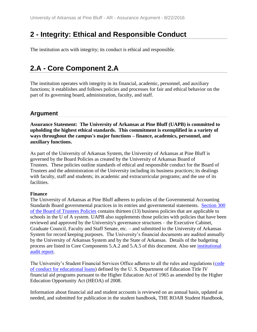## **2 - Integrity: Ethical and Responsible Conduct**

The institution acts with integrity; its conduct is ethical and responsible.

## **2.A - Core Component 2.A**

The institution operates with integrity in its financial, academic, personnel, and auxiliary functions; it establishes and follows policies and processes for fair and ethical behavior on the part of its governing board, administration, faculty, and staff.

### **Argument**

**Assurance Statement: The University of Arkansas at Pine Bluff (UAPB) is committed to upholding the highest ethical standards. This commitment is exemplified in a variety of ways throughout the campus's major functions – finance, academics, personnel, and auxiliary functions.**

As part of the University of Arkansas System, the University of Arkansas at Pine Bluff is governed by the Board Policies as created by the University of Arkansas Board of Trustees. These policies outline standards of ethical and responsible conduct for the Board of Trustees and the administration of the University including its business practices; its dealings with faculty, staff and students; its academic and extracurricular programs; and the use of its facilities.

### **Finance**

The University of Arkansas at Pine Bluff adheres to policies of the Governmental Accounting Standards Board governmental practices in its entries and governmental statements. [Section 300](file:///C:/Users/taylorm/AppData/Local/Microsoft/Windows/Temporary%20Internet%20Files/evidence/viewfile%3ffileId=243433)  [of the Board](file:///C:/Users/taylorm/AppData/Local/Microsoft/Windows/Temporary%20Internet%20Files/evidence/viewfile%3ffileId=243433) of Trustees Policies contains thirteen (13) business policies that are applicable to schools in the U of A system. UAPB also supplements those policies with policies that have been reviewed and approved by the University's governance structures – the Executive Cabinet, Graduate Council, Faculty and Staff Senate, etc. – and submitted to the University of Arkansas System for record keeping purposes. The University's financial documents are audited annually by the University of Arkansas System and by the State of Arkansas. Details of the budgeting process are listed in Core Components 5.A.2 and 5.A.5 of this document. Also see [institutional](file:///C:/Users/taylorm/AppData/Local/Microsoft/Windows/Temporary%20Internet%20Files/evidence/viewfile%3ffileId=242825%23page=125)  [audit report.](file:///C:/Users/taylorm/AppData/Local/Microsoft/Windows/Temporary%20Internet%20Files/evidence/viewfile%3ffileId=242825%23page=125)

The University's Student Financial Services Office adheres to all the rules and regulations [\(code](file:///C:/Users/taylorm/AppData/Local/Microsoft/Windows/Temporary%20Internet%20Files/evidence/viewfile%3ffileId=237765)  [of conduct for educational loans\)](file:///C:/Users/taylorm/AppData/Local/Microsoft/Windows/Temporary%20Internet%20Files/evidence/viewfile%3ffileId=237765) defined by the U. S. Department of Education Title IV financial aid programs pursuant to the Higher Education Act of 1965 as amended by the Higher Education Opportunity Act (HEOA) of 2008.

Information about financial aid and student accounts is reviewed on an annual basis, updated as needed, and submitted for publication in the student handbook, THE ROAR Student Handbook,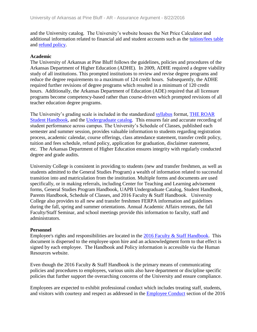and the University catalog. The University's website houses the Net Price Calculator and additional information related to financial aid and student accounts such as the [tuition/fees table](file:///C:/Users/taylorm/AppData/Local/Microsoft/Windows/Temporary%20Internet%20Files/evidence/viewfile%3ffileId=243367%23page=13) and [refund policy.](file:///C:/Users/taylorm/AppData/Local/Microsoft/Windows/Temporary%20Internet%20Files/evidence/viewfile%3ffileId=243367%23page=15)

#### **Academic**

The University of Arkansas at Pine Bluff follows the guidelines, policies and procedures of the Arkansas Department of Higher Education (ADHE). In 2009, ADHE required a degree viability study of all institutions. This prompted institutions to review and revise degree programs and reduce the degree requirements to a maximum of 124 credit hours. Subsequently, the ADHE required further revisions of degree programs which resulted in a minimum of 120 credit hours. Additionally, the Arkansas Department of Education (ADE) required that all licensure programs become competency-based rather than course-driven which prompted revisions of all teacher education degree programs.

The University's grading scale is included in the standardized [syllabus](file:///C:/Users/taylorm/AppData/Local/Microsoft/Windows/Temporary%20Internet%20Files/evidence/viewfile%3ffileId=238466) format, [THE ROAR](file:///C:/Users/taylorm/AppData/Local/Microsoft/Windows/Temporary%20Internet%20Files/evidence/viewfile%3ffileId=187258%23page=47)  [Student Handbook,](file:///C:/Users/taylorm/AppData/Local/Microsoft/Windows/Temporary%20Internet%20Files/evidence/viewfile%3ffileId=187258%23page=47) and the [Undergraduate catalog.](file:///C:/Users/taylorm/AppData/Local/Microsoft/Windows/Temporary%20Internet%20Files/evidence/viewfile%3ffileId=241402%23page=34) This ensures fair and accurate recording of student performance across campus. The University's Schedule of Classes, published each semester and summer session, provides valuable information to students regarding registration process, academic calendar, course offerings, class attendance statement, transfer credit policy, tuition and fees schedule, refund policy, application for graduation, disclaimer statement, etc. The Arkansas Department of Higher Education ensures integrity with regularly conducted degree and grade audits.

University College is consistent in providing to students (new and transfer freshmen, as well as students admitted to the General Studies Program) a wealth of information related to successful transition into and matriculation from the institution. Multiple forms and documents are used specifically, or in making referrals, including Center for Teaching and Learning advisement forms, General Studies Program Handbook, UAPB Undergraduate Catalog, Student Handbook, Parents Handbook, Schedule of Classes, and 2016 Faculty & Staff Handbook. University College also provides to all new and transfer freshmen FERPA information and guidelines during the fall, spring and summer orientations. Annual Academic Affairs retreats, the fall Faculty/Staff Seminar, and school meetings provide this information to faculty, staff and administrators.

#### **Personnel**

Employee's rights and responsibilities are located in the [2016 Faculty & Staff](file:///C:/Users/taylorm/AppData/Local/Microsoft/Windows/Temporary%20Internet%20Files/evidence/viewfile%3ffileid=186481) Handbook. This document is dispersed to the employee upon hire and an acknowledgment form to that effect is signed by each employee. The Handbook and Policy information is accessible via the Human Resources website.

Even though the 2016 Faculty & Staff Handbook is the primary means of communicating policies and procedures to employees, various units also have department or discipline specific policies that further support the overarching concerns of the University and ensure compliance.

Employees are expected to exhibit professional conduct which includes treating staff, students, and visitors with courtesy and respect as addressed in the [Employee Conduct](file:///C:/Users/taylorm/AppData/Local/Microsoft/Windows/Temporary%20Internet%20Files/evidence/viewfile%3ffileId=186481%23page=56) section of the 2016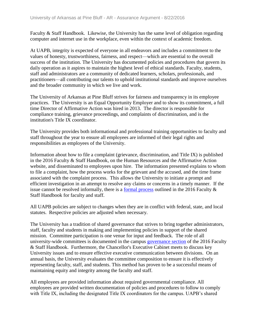Faculty & Staff Handbook. Likewise, the University has the same level of obligation regarding computer and internet use in the workplace, even within the context of academic freedom.

At UAPB, integrity is expected of everyone in all endeavors and includes a commitment to the values of honesty, trustworthiness, fairness, and respect—which are essential to the overall success of the institution. The University has documented policies and procedures that govern its daily operation as it aspires to maintain the highest level of ethical standards. Faculty, students, staff and administrators are a community of dedicated learners, scholars, professionals, and practitioners—all contributing our talents to uphold institutional standards and improve ourselves and the broader community in which we live and work.

The University of Arkansas at Pine Bluff strives for fairness and transparency in its employee practices. The University is an Equal Opportunity Employer and to show its commitment, a full time Director of Affirmative Action was hired in 2013. The director is responsible for compliance training, grievance proceedings, and complaints of discrimination, and is the institution's Title IX coordinator.

The University provides both informational and professional training opportunities to faculty and staff throughout the year to ensure all employees are informed of their legal rights and responsibilities as employees of the University.

Information about how to file a complaint (grievance, discrimination, and Title IX) is published in the 2016 Faculty & Staff Handbook, on the Human Resources and the Affirmative Action website, and disseminated to employees upon hire. The information presented explains to whom to file a complaint, how the process works for the grievant and the accused, and the time frame associated with the complaint process. This allows the University to initiate a prompt and efficient investigation in an attempt to resolve any claims or concerns in a timely manner. If the issue cannot be resolved informally, there is a [formal process](file:///C:/Users/taylorm/AppData/Local/Microsoft/Windows/Temporary%20Internet%20Files/evidence/viewfile%3ffileid=186481%23page=101) outlined in the 2016 Faculty & Staff Handbook for faculty and staff.

All UAPB policies are subject to changes when they are in conflict with federal, state, and local statutes. Respective policies are adjusted when necessary.

The University has a tradition of shared governance that strives to bring together administrators, staff, faculty and students in making and implementing policies in support of the shared mission. Committee participation is one venue for input and feedback. The role of all university-wide committees is documented in the campus [governance section](file:///C:/Users/taylorm/AppData/Local/Microsoft/Windows/Temporary%20Internet%20Files/evidence/viewfile%3ffileId=186481%23page=11) of the 2016 Faculty & Staff Handbook. Furthermore, the Chancellor's Executive Cabinet meets to discuss key University issues and to ensure effective executive communication between divisions. On an annual basis, the University evaluates the committee composition to ensure it is effectively representing faculty, staff, and students. This method has proven to be a successful means of maintaining equity and integrity among the faculty and staff.

All employees are provided information about required governmental compliance. All employees are provided written documentation of policies and procedures to follow to comply with Title IX, including the designated Title IX coordinators for the campus. UAPB's shared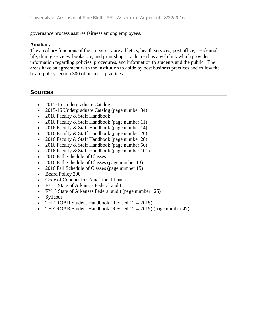governance process assures fairness among employees.

#### **Auxiliary**

The auxiliary functions of the University are athletics, health services, post office, residential life, dining services, bookstore, and print shop. Each area has a web link which provides information regarding policies, procedures, and information to students and the public. The areas have an agreement with the institution to abide by best business practices and follow the board policy section 300 of business practices.

- 2015-16 Undergraduate Catalog
- 2015-16 Undergraduate Catalog (page number 34)
- 2016 Faculty & Staff Handbook
- 2016 Faculty & Staff Handbook (page number 11)
- 2016 Faculty & Staff Handbook (page number 14)
- 2016 Faculty & Staff Handbook (page number 26)
- 2016 Faculty & Staff Handbook (page number 28)
- 2016 Faculty & Staff Handbook (page number 56)
- 2016 Faculty & Staff Handbook (page number 101)
- 2016 Fall Schedule of Classes
- 2016 Fall Schedule of Classes (page number 13)
- 2016 Fall Schedule of Classes (page number 15)
- Board Policy 300
- Code of Conduct for Educational Loans
- FY15 State of Arkansas Federal audit
- FY15 State of Arkansas Federal audit (page number 125)
- Syllabus
- THE ROAR Student Handbook (Revised 12-4-2015)
- THE ROAR Student Handbook (Revised 12-4-2015) (page number 47)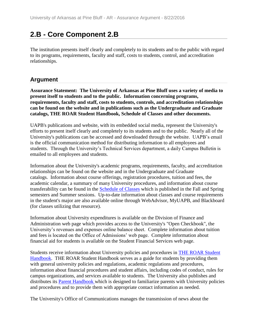## **2.B - Core Component 2.B**

The institution presents itself clearly and completely to its students and to the public with regard to its programs, requirements, faculty and staff, costs to students, control, and accreditation relationships.

### **Argument**

**Assurance Statement: The University of Arkansas at Pine Bluff uses a variety of media to present itself to students and to the public. Information concerning programs, requirements, faculty and staff, costs to students, controls, and accreditation relationships can be found on the website and in publications such as the Undergraduate and Graduate catalogs, THE ROAR Student Handbook, Schedule of Classes and other documents.**

UAPB's publications and website, with its embedded social media, represent the University's efforts to present itself clearly and completely to its students and to the public. Nearly all of the University's publications can be accessed and downloaded through the website. UAPB's email is the official communication method for distributing information to all employees and students. Through the University's Technical Services department, a daily Campus Bulletin is emailed to all employees and students.

Information about the University's academic programs, requirements, faculty, and accreditation relationships can be found on the website and in the Undergraduate and Graduate catalogs. Information about course offerings, registration procedures, tuition and fees, the academic calendar, a summary of many University procedures, and information about course transferability can be found in the [Schedule of Classes](file:///C:/Users/taylorm/AppData/Local/Microsoft/Windows/Temporary%20Internet%20Files/evidence/viewfile%3ffileId=243367) which is published in the Fall and Spring semesters and Summer sessions. Up-to-date information about classes and course requirements in the student's major are also available online through WebAdvisor, MyUAPB, and Blackboard (for classes utilizing that resource).

Information about University expenditures is available on the Division of Finance and Administration web page which provides access to the University's "Open Checkbook", the University's revenues and expenses online balance sheet. Complete information about tuition and fees is located on the Office of Admissions' web page. Complete information about financial aid for students is available on the Student Financial Services web page.

Students receive information about University policies and procedures in [THE ROAR Student](file:///C:/Users/taylorm/AppData/Local/Microsoft/Windows/Temporary%20Internet%20Files/evidence/viewfile%3ffileId=187258%23page=12)  [Handbook.](file:///C:/Users/taylorm/AppData/Local/Microsoft/Windows/Temporary%20Internet%20Files/evidence/viewfile%3ffileId=187258%23page=12) THE ROAR Student Handbook serves as a guide for students by providing them with general university policies and regulations, academic regulations and procedures, information about financial procedures and student affairs, including codes of conduct, rules for campus organizations, and services available to students. The University also publishes and distributes its [Parent Handbook w](file:///C:/Users/taylorm/AppData/Local/Microsoft/Windows/Temporary%20Internet%20Files/evidence/viewfile%3ffileid=201641)hich is designed to familiarize parents with University policies and procedures and to provide them with appropriate contact information as needed.

The University's Office of Communications manages the transmission of news about the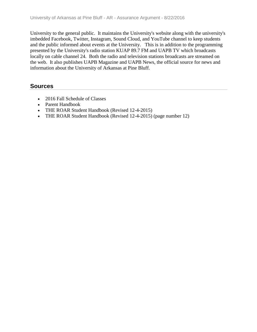University to the general public. It maintains the University's website along with the university's imbedded Facebook, Twitter, Instagram, Sound Cloud, and YouTube channel to keep students and the public informed about events at the University. This is in addition to the programming presented by the University's radio station KUAP 89.7 FM and UAPB TV which broadcasts locally on cable channel 24. Both the radio and television stations broadcasts are streamed on the web. It also publishes UAPB Magazine and UAPB News, the official source for news and information about the University of Arkansas at Pine Bluff.

- 2016 Fall Schedule of Classes
- Parent Handbook
- THE ROAR Student Handbook (Revised 12-4-2015)
- THE ROAR Student Handbook (Revised 12-4-2015) (page number 12)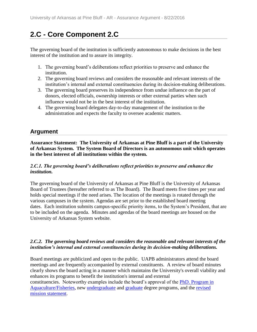## **2.C - Core Component 2.C**

The governing board of the institution is sufficiently autonomous to make decisions in the best interest of the institution and to assure its integrity.

- 1. The governing board's deliberations reflect priorities to preserve and enhance the institution.
- 2. The governing board reviews and considers the reasonable and relevant interests of the institution's internal and external constituencies during its decision-making deliberations.
- 3. The governing board preserves its independence from undue influence on the part of donors, elected officials, ownership interests or other external parties when such influence would not be in the best interest of the institution.
- 4. The governing board delegates day-to-day management of the institution to the administration and expects the faculty to oversee academic matters.

### **Argument**

**Assurance Statement: The University of Arkansas at Pine Bluff is a part of the University of Arkansas System. The System Board of Directors is an autonomous unit which operates in the best interest of all institutions within the system.**

#### *2.C.1. The governing board's deliberations reflect priorities to preserve and enhance the institution.*

The governing board of the University of Arkansas at Pine Bluff is the University of Arkansas Board of Trustees (hereafter referred to as The Board). The Board meets five times per year and holds special meetings if the need arises. The location of the meetings is rotated through the various campuses in the system. Agendas are set prior to the established board meeting dates. Each institution submits campus-specific priority items, to the System's President, that are to be included on the agenda. Minutes and agendas of the board meetings are housed on the University of Arkansas System website.

#### *2.C.2. The governing board reviews and considers the reasonable and relevant interests of the institution's internal and external constituencies during its decision-making deliberations.*

Board meetings are publicized and open to the public. UAPB administrators attend the board meetings and are frequently accompanied by external constituents. A review of board minutes clearly shows the board acting in a manner which maintains the University's overall viability and enhances its programs to benefit the institution's internal and external constituencies. Noteworthy examples include the board's approval of the [PhD. Program in](file:///C:/Users/taylorm/AppData/Local/Microsoft/Windows/Temporary%20Internet%20Files/evidence/viewfile%3ffileId=243822)  [Aquaculture/Fisheries,](file:///C:/Users/taylorm/AppData/Local/Microsoft/Windows/Temporary%20Internet%20Files/evidence/viewfile%3ffileId=243822) new [undergraduate](file:///C:/Users/taylorm/AppData/Local/Microsoft/Windows/Temporary%20Internet%20Files/evidence/viewfile%3ffileid=243828) and [graduate](file:///C:/Users/taylorm/AppData/Local/Microsoft/Windows/Temporary%20Internet%20Files/evidence/viewfile%3ffileId=243829) degree programs, and the [revised](file:///C:/Users/taylorm/AppData/Local/Microsoft/Windows/Temporary%20Internet%20Files/evidence/viewfile%3ffileId=184929) 

[mission statement.](file:///C:/Users/taylorm/AppData/Local/Microsoft/Windows/Temporary%20Internet%20Files/evidence/viewfile%3ffileId=184929)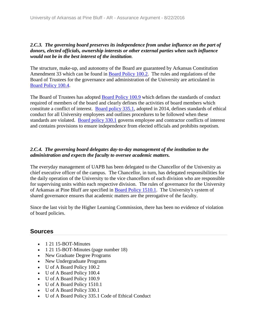#### *2.C.3. The governing board preserves its independence from undue influence on the part of donors, elected officials, ownership interests or other external parties when such influence would not be in the best interest of the institution.*

The structure, make-up, and autonomy of the Board are guaranteed by Arkansas Constitution Amendment 33 which can be found in [Board Policy 100.2.](file:///C:/Users/taylorm/AppData/Local/Microsoft/Windows/Temporary%20Internet%20Files/evidence/viewfile%3ffileid=204004) The rules and regulations of the Board of Trustees for the governance and administration of the University are articulated in [Board Policy 100.4.](file:///C:/Users/taylorm/AppData/Local/Microsoft/Windows/Temporary%20Internet%20Files/evidence/viewfile%3ffileid=204088)

The Board of Trustees has adopted [Board Policy 100.9](file:///C:/Users/taylorm/AppData/Local/Microsoft/Windows/Temporary%20Internet%20Files/evidence/viewfile%3ffileid=204086) which defines the standards of conduct required of members of the board and clearly defines the activities of board members which constitute a conflict of interest. [Board policy 335.1,](file:///C:/Users/taylorm/AppData/Local/Microsoft/Windows/Temporary%20Internet%20Files/evidence/viewfile%3ffileid=204087) adopted in 2014, defines standards of ethical conduct for all University employees and outlines procedures to be followed when these standards are violated. [Board policy 330.1](file:///C:/Users/taylorm/AppData/Local/Microsoft/Windows/Temporary%20Internet%20Files/evidence/viewfile%3ffileid=204085) governs employee and contractor conflicts of interest and contains provisions to ensure independence from elected officials and prohibits nepotism.

### *2.C.4. The governing board delegates day-to-day management of the institution to the administration and expects the faculty to oversee academic matters.*

The everyday management of UAPB has been delegated to the Chancellor of the University as chief executive officer of the campus. The Chancellor, in turn, has delegated responsibilities for the daily operation of the University to the vice chancellors of each division who are responsible for supervising units within each respective division. The rules of governance for the University of Arkansas at Pine Bluff are specified in [Board Policy 1510.1.](file:///C:/Users/taylorm/AppData/Local/Microsoft/Windows/Temporary%20Internet%20Files/evidence/viewfile%3ffileid=204131) The University's system of shared governance ensures that academic matters are the prerogative of the faculty.

Since the last visit by the Higher Learning Commission, there has been no evidence of violation of board policies.

- 1 21 15-BOT-Minutes
- 1 21 15-BOT-Minutes (page number 18)
- New Graduate Degree Programs
- New Undergraduate Programs
- U of A Board Policy 100.2
- U of A Board Policy 100.4
- U of A Board Policy 100.9
- U of A Board Policy 1510.1
- U of A Board Policy 330.1
- U of A Board Policy 335.1 Code of Ethical Conduct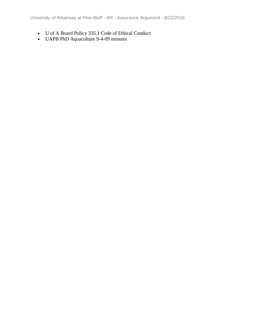- U of A Board Policy 335.1 Code of Ethical Conduct
- UAPB PhD Aquaculture 9-4-09 minutes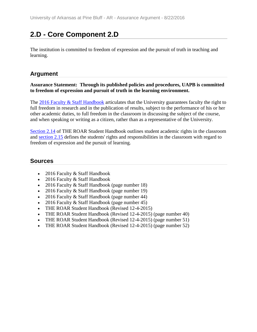## **2.D - Core Component 2.D**

The institution is committed to freedom of expression and the pursuit of truth in teaching and learning.

### **Argument**

#### **Assurance Statement: Through its published policies and procedures, UAPB is committed to freedom of expression and pursuit of truth in the learning environment.**

The [2016 Faculty & Staff Handbook](file:///C:/Users/taylorm/AppData/Local/Microsoft/Windows/Temporary%20Internet%20Files/evidence/viewfile%3ffileId=186481%23page=44) articulates that the University guarantees faculty the right to full freedom in research and in the publication of results, subject to the performance of his or her other academic duties, to full freedom in the classroom in discussing the subject of the course, and when speaking or writing as a citizen, rather than as a representative of the University.

[Section 2.14](file:///C:/Users/taylorm/AppData/Local/Microsoft/Windows/Temporary%20Internet%20Files/evidence/viewfile%3ffileid=187258%23page=51) of THE ROAR Student Handbook outlines student academic rights in the classroom and [section 2.15](file:///C:/Users/taylorm/AppData/Local/Microsoft/Windows/Temporary%20Internet%20Files/evidence/viewfile%3ffileid=187258%23page=52) defines the students' rights and responsibilities in the classroom with regard to freedom of expression and the pursuit of learning.

- 2016 Faculty & Staff Handbook
- 2016 Faculty & Staff Handbook
- 2016 Faculty & Staff Handbook (page number 18)
- 2016 Faculty & Staff Handbook (page number 19)
- 2016 Faculty & Staff Handbook (page number 44)
- 2016 Faculty & Staff Handbook (page number 45)
- THE ROAR Student Handbook (Revised 12-4-2015)
- THE ROAR Student Handbook (Revised 12-4-2015) (page number 40)
- THE ROAR Student Handbook (Revised 12-4-2015) (page number 51)
- THE ROAR Student Handbook (Revised 12-4-2015) (page number 52)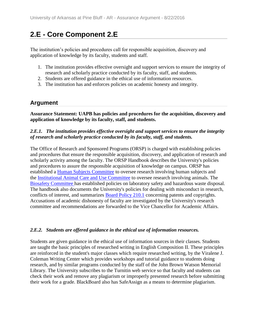## **2.E - Core Component 2.E**

The institution's policies and procedures call for responsible acquisition, discovery and application of knowledge by its faculty, students and staff.

- 1. The institution provides effective oversight and support services to ensure the integrity of research and scholarly practice conducted by its faculty, staff, and students.
- 2. Students are offered guidance in the ethical use of information resources.
- 3. The institution has and enforces policies on academic honesty and integrity.

### **Argument**

**Assurance Statement: UAPB has policies and procedures for the acquisition, discovery and application of knowledge by its faculty, staff, and students.**

#### *2.E.1. The institution provides effective oversight and support services to ensure the integrity of research and scholarly practice conducted by its faculty, staff, and students.*

The Office of Research and Sponsored Programs (ORSP) is charged with establishing policies and procedures that ensure the responsible acquisition, discovery, and application of research and scholarly activity among the faculty. The ORSP Handbook describes the University's policies and procedures to assure the responsible acquisition of knowledge on campus. ORSP has established a [Human Subjects Committee](file:///C:/Users/taylorm/AppData/Local/Microsoft/Windows/Temporary%20Internet%20Files/evidence/viewfile%3ffileId=237798%23page=39) to oversee research involving human subjects and the [Institutional Animal Care and Use Committee](file:///C:/Users/taylorm/AppData/Local/Microsoft/Windows/Temporary%20Internet%20Files/evidence/viewfile%3ffileId=237798%23page=39) to oversee research involving animals. The [Biosafety Committee h](file:///C:/Users/taylorm/AppData/Local/Microsoft/Windows/Temporary%20Internet%20Files/evidence/viewfile%3ffileId=237798%23page=40)as established policies on laboratory safety and hazardous waste disposal. The handbook also documents the University's policies for dealing with misconduct in research, conflicts of interest, and summarizes [Board Policy 210.1](file:///C:/Users/taylorm/AppData/Local/Microsoft/Windows/Temporary%20Internet%20Files/evidence/viewfile%3ffileId=237838) concerning patents and copyrights. Accusations of academic dishonesty of faculty are investigated by the University's research committee and recommendations are forwarded to the Vice Chancellor for Academic Affairs.

### *2.E.2. Students are offered guidance in the ethical use of information resources.*

Students are given guidance in the ethical use of information sources in their classes. Students are taught the basic principles of researched writing in English Composition II. These principles are reinforced in the student's major classes which require researched writing, by the Viralene J. Coleman Writing Center which provides workshops and tutorial guidance to students doing research, and by similar programs conducted by the staff of the John Brown Watson Memorial Library. The University subscribes to the Turnitin web service so that faculty and students can check their work and remove any plagiarism or improperly presented research before submitting their work for a grade. BlackBoard also has SafeAssign as a means to determine plagiarism.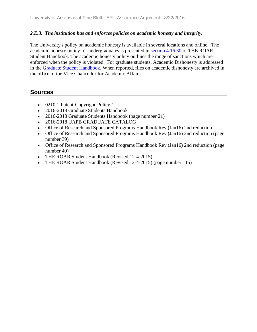#### *2.E.3. The institution has and enforces policies on academic honesty and integrity.*

The University's policy on academic honesty is available in several locations and online. The academic honesty policy for undergraduates is presented in [section 4.16.30 o](file:///C:/Users/taylorm/AppData/Local/Microsoft/Windows/Temporary%20Internet%20Files/evidence/viewfile%3ffileid=187258%23page=115)f THE ROAR Student Handbook. The academic honesty policy outlines the range of sanctions which are enforced when the policy is violated. For graduate students, Academic Dishonesty is addressed in the [Graduate Student Handbook.](file:///C:/Users/taylorm/AppData/Local/Microsoft/Windows/Temporary%20Internet%20Files/evidence/viewfile%3ffileId=244432%23page=21) When reported, files on academic dishonesty are archived in the office of the Vice Chancellor for Academic Affairs.

- 0210.1-Patent-Copyright-Policy-1
- 2016-2018 Graduate Students Handbook
- 2016-2018 Graduate Students Handbook (page number 21)
- 2016-2018 UAPB GRADUATE CATALOG
- Office of Research and Sponsored Programs Handbook Rev (Jan16) 2nd reduction
- Office of Research and Sponsored Programs Handbook Rev (Jan16) 2nd reduction (page number 39)
- Office of Research and Sponsored Programs Handbook Rev (Jan16) 2nd reduction (page number 40)
- THE ROAR Student Handbook (Revised 12-4-2015)
- THE ROAR Student Handbook (Revised 12-4-2015) (page number 115)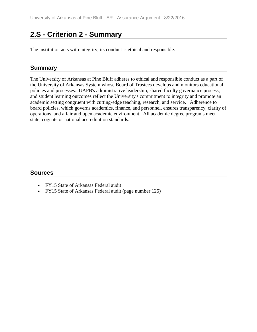## **2.S - Criterion 2 - Summary**

The institution acts with integrity; its conduct is ethical and responsible.

### **Summary**

The University of Arkansas at Pine Bluff adheres to ethical and responsible conduct as a part of the University of Arkansas System whose Board of Trustees develops and monitors educational policies and processes. UAPB's administrative leadership, shared faculty governance process, and student learning outcomes reflect the University's commitment to integrity and promote an academic setting congruent with cutting-edge teaching, research, and service. Adherence to board policies, which governs academics, finance, and personnel, ensures transparency, clarity of operations, and a fair and open academic environment. All academic degree programs meet state, cognate or national accreditation standards.

- FY15 State of Arkansas Federal audit
- FY15 State of Arkansas Federal audit (page number 125)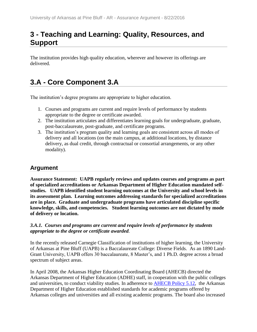## **3 - Teaching and Learning: Quality, Resources, and Support**

The institution provides high quality education, wherever and however its offerings are delivered.

## **3.A - Core Component 3.A**

The institution's degree programs are appropriate to higher education.

- 1. Courses and programs are current and require levels of performance by students appropriate to the degree or certificate awarded.
- 2. The institution articulates and differentiates learning goals for undergraduate, graduate, post-baccalaureate, post-graduate, and certificate programs.
- 3. The institution's program quality and learning goals are consistent across all modes of delivery and all locations (on the main campus, at additional locations, by distance delivery, as dual credit, through contractual or consortial arrangements, or any other modality).

### **Argument**

**Assurance Statement: UAPB regularly reviews and updates courses and programs as part of specialized accreditations or Arkansas Department of Higher Education mandated selfstudies. UAPB identified student learning outcomes at the University and school levels in its assessment plan. Learning outcomes addressing standards for specialized accreditations are in place. Graduate and undergraduate programs have articulated discipline specific knowledge, skills, and competencies. Student learning outcomes are not dictated by mode of delivery or location.**

#### *3.A.1. Courses and programs are current and require levels of performance by students appropriate to the degree or certificate awarded.*

In the recently released Carnegie Classification of institutions of higher learning, the University of Arkansas at Pine Bluff (UAPB) is a Baccalaureate College: Diverse Fields. As an 1890 Land-Grant University, UAPB offers 30 baccalaureate, 8 Master's, and 1 Ph.D. degree across a broad spectrum of subject areas.

In April 2008, the Arkansas Higher Education Coordinating Board (AHECB) directed the Arkansas Department of Higher Education (ADHE) staff, in cooperation with the public colleges and universities, to conduct viability studies. In adherence to **AHECB Policy 5.12**, the Arkansas Department of Higher Education established standards for academic programs offered by Arkansas colleges and universities and all existing academic programs. The board also increased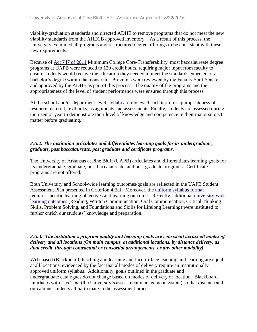viability/graduation standards and directed ADHE to remove programs that do not meet the new viability standards from the AHECB approved inventory. As a result of this process, the University examined all programs and restructured degree offerings to be consistent with these new requirements.

Because of [Act 747 of 2011](file:///C:/Users/taylorm/AppData/Local/Microsoft/Windows/Temporary%20Internet%20Files/evidence/viewfile%3ffileId=242101) Minimum College Core-Transferability, most baccalaureate degree programs at UAPB were reduced to 120 credit hours, requiring major input from faculty to ensure students would receive the education they needed to meet the standards expected of a bachelor's degree within that constraint. Programs were reviewed by the Faculty Staff Senate and approved by the ADHE as part of this process. The quality of the programs and the appropriateness of the level of student performance were ensured through this process.

At the school and/or department level, [syllabi](file:///C:/Users/taylorm/AppData/Local/Microsoft/Windows/Temporary%20Internet%20Files/evidence/viewfile%3ffileId=238466) are reviewed each term for appropriateness of resource material, textbooks, assignments and assessments. Finally, students are assessed during their senior year to demonstrate their level of knowledge and competence in their major subject matter before graduating.

#### *3.A.2. The institution articulates and differentiates learning goals for its undergraduate, graduate, post baccalaureate, post graduate and certificate programs.*

The University of Arkansas at Pine Bluff (UAPB) articulates and differentiates learning goals for its undergraduate, graduate, post baccalaureate, and post graduate programs. Certificate programs are not offered.

Both University and School-wide learning outcomes/goals are reflected in the UAPB Student Assessment Plan presented in Criterion 4.B.1. Moreover, the [uniform syllabus format](file:///C:/Users/taylorm/AppData/Local/Microsoft/Windows/Temporary%20Internet%20Files/evidence/viewfile%3ffileid=238466) requires specific learning objectives and learning outcomes. Recently, additional [university-wide](file:///C:/Users/taylorm/AppData/Local/Microsoft/Windows/Temporary%20Internet%20Files/evidence/viewfile%3ffileId=185430%23page=10)  [learning outcomes](file:///C:/Users/taylorm/AppData/Local/Microsoft/Windows/Temporary%20Internet%20Files/evidence/viewfile%3ffileId=185430%23page=10) (Reading, Written Communication, Oral Communication, Critical Thinking Skills, Problem Solving, and Foundations and Skills for Lifelong Learning) were instituted to further enrich our students' knowledge and preparation.

#### *3.A.3. The institution's program quality and learning goals are consistent across all modes of delivery and all locations (On main campus, at additional locations, by distance delivery, as dual credit, through contractual or consortial arrangements, or any other modality).*

Web-based (Blackboard) teaching and learning and face-to-face teaching and learning are equal at all locations, evidenced by the fact that all modes of delivery require an institutionally approved uniform syllabus. Additionally, goals outlined in the graduate and undergraduate catalogues do not change based on modes of delivery or location. Blackboard interfaces with LiveText (the University's assessment management system) so that distance and on-campus students all participate in the assessment process.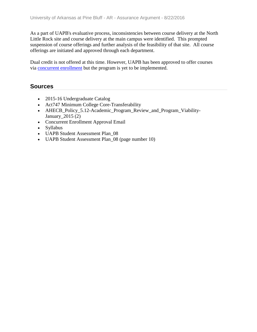As a part of UAPB's evaluative process, inconsistencies between course delivery at the North Little Rock site and course delivery at the main campus were identified. This prompted suspension of course offerings and further analysis of the feasibility of that site. All course offerings are initiated and approved through each department.

Dual credit is not offered at this time. However, UAPB has been approved to offer courses via [concurrent enrollment](file:///C:/Users/taylorm/AppData/Local/Microsoft/Windows/Temporary%20Internet%20Files/evidence/viewfile%3ffileId=243653) but the program is yet to be implemented.

- 2015-16 Undergraduate Catalog
- Act747 Minimum College Core-Transferability
- AHECB\_Policy\_5.12-Academic\_Program\_Review\_and\_Program\_Viability-January  $2015 (2)$
- Concurrent Enrollment Approval Email
- Syllabus
- UAPB Student Assessment Plan 08
- UAPB Student Assessment Plan\_08 (page number 10)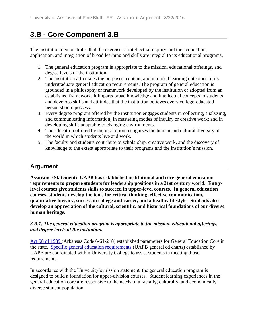## **3.B - Core Component 3.B**

The institution demonstrates that the exercise of intellectual inquiry and the acquisition, application, and integration of broad learning and skills are integral to its educational programs.

- 1. The general education program is appropriate to the mission, educational offerings, and degree levels of the institution.
- 2. The institution articulates the purposes, content, and intended learning outcomes of its undergraduate general education requirements. The program of general education is grounded in a philosophy or framework developed by the institution or adopted from an established framework. It imparts broad knowledge and intellectual concepts to students and develops skills and attitudes that the institution believes every college-educated person should possess.
- 3. Every degree program offered by the institution engages students in collecting, analyzing, and communicating information; in mastering modes of inquiry or creative work; and in developing skills adaptable to changing environments.
- 4. The education offered by the institution recognizes the human and cultural diversity of the world in which students live and work.
- 5. The faculty and students contribute to scholarship, creative work, and the discovery of knowledge to the extent appropriate to their programs and the institution's mission.

### **Argument**

**Assurance Statement: UAPB has established institutional and core general education requirements to prepare students for leadership positions in a 21st century world. Entrylevel courses give students skills to succeed in upper-level courses. In general education courses, students develop the tools for critical thinking, effective communication, quantitative literacy, success in college and career, and a healthy lifestyle. Students also develop an appreciation of the cultural, scientific, and historical foundations of our diverse human heritage.**

#### *3.B.1. The general education program is appropriate to the mission, educational offerings, and degree levels of the institution.*

[Act 98 of 1989 \(](file:///C:/Users/taylorm/AppData/Local/Microsoft/Windows/Temporary%20Internet%20Files/evidence/viewfile%3ffileId=237862%23page=139)Arkansas Code 6-61-218) established parameters for General Education Core in the state. [Specific general education requirements](file:///C:/Users/taylorm/AppData/Local/Microsoft/Windows/Temporary%20Internet%20Files/evidence/viewfile%3ffileId=241402%23page=46) (UAPB general ed charts) established by UAPB are coordinated within University College to assist students in meeting those requirements.

In accordance with the University's mission statement, the general education program is designed to build a foundation for upper-division courses. Student learning experiences in the general education core are responsive to the needs of a racially, culturally, and economically diverse student population.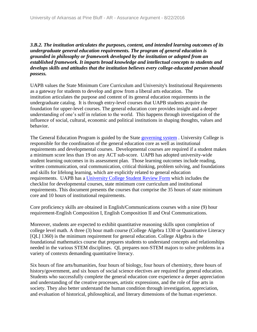*3.B.2. The institution articulates the purposes, content, and intended learning outcomes of its undergraduate general education requirements. The program of general education is grounded in philosophy or framework developed by the institution or adopted from an established framework. It imparts broad knowledge and intellectual concepts to students and develops skills and attitudes that the institution believes every college-educated person should possess.*

UAPB values the State Minimum Core Curriculum and University's Institutional Requirements as a gateway for students to develop and grow from a liberal arts education. The institution articulates the purpose and content of its general education requirements in the undergraduate catalog. It is through entry-level courses that UAPB students acquire the foundation for upper-level courses. The general education core provides insight and a deeper understanding of one's self in relation to the world. This happens through investigation of the influence of social, cultural, economic and political institutions in shaping thoughts, values and behavior.

The General Education Program is guided by the State [governing system](file:///C:/Users/taylorm/AppData/Local/Microsoft/Windows/Temporary%20Internet%20Files/evidence/viewfile%3ffileId=237862%23page=141). University College is responsible for the coordination of the general education core as well as institutional requirements and developmental courses. Developmental courses are required if a student makes a minimum score less than 19 on any ACT sub-score. UAPB has adopted university-wide student learning outcomes in its assessment plan. Those learning outcomes include reading, written communication, oral communication, critical thinking, problem solving, and foundations and skills for lifelong learning, which are explicitly related to general education requirements. UAPB has a [University College Student Review Form](file:///C:/Users/taylorm/AppData/Local/Microsoft/Windows/Temporary%20Internet%20Files/evidence/viewfile%3ffileid=208306) which includes the checklist for developmental courses, state minimum core curriculum and institutional requirements. This document presents the courses that comprise the 35 hours of state minimum core and 10 hours of institutional requirements.

Core proficiency skills are obtained in English/Communications courses with a nine (9) hour requirement-English Composition I, English Composition II and Oral Communications.

Moreover, students are expected to exhibit quantitative reasoning skills upon completion of college level math. A three (3) hour math course (College Algebra 1330 or Quantitative Literacy [QL] 1360) is the minimum requirement for general education. College Algebra is the foundational mathematics course that prepares students to understand concepts and relationships needed in the various STEM disciplines. QL prepares non-STEM majors to solve problems in a variety of contexts demanding quantitative literacy.

Six hours of fine arts/humanities, four hours of biology, four hours of chemistry, three hours of history/government, and six hours of social science electives are required for general education. Students who successfully complete the general education core experience a deeper appreciation and understanding of the creative processes, artistic expressions, and the role of fine arts in society. They also better understand the human condition through investigation, appreciation, and evaluation of historical, philosophical, and literary dimensions of the human experience.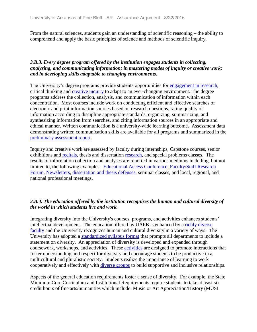From the natural sciences, students gain an understanding of scientific reasoning – the ability to comprehend and apply the basic principles of science and methods of scientific inquiry.

#### *3.B.3. Every degree program offered by the institution engages students in collecting, analyzing, and communicating information; in mastering modes of inquiry or creative work; and in developing skills adaptable to changing environments.*

The University's degree programs provide students opportunities for [engagement in research,](file:///C:/Users/taylorm/AppData/Local/Microsoft/Windows/Temporary%20Internet%20Files/evidence/viewfile%3ffileId=244431) critical thinking and [creative inquiry t](file:///C:/Users/taylorm/AppData/Local/Microsoft/Windows/Temporary%20Internet%20Files/evidence/viewfile%3ffileId=244430%23page=21)o adapt to an ever-changing environment. The degree programs address the collection, analysis, and communication of information within each concentration. Most courses include work on conducting efficient and effective searches of electronic and print information sources based on research questions, rating quality of information according to discipline appropriate standards, organizing, summarizing, and synthesizing information from searches, and citing information sources in an appropriate and ethical manner. Written communication is a university-wide learning outcome. Assessment data demonstrating written communication skills are available for all programs and summarized in the [preliminary assessment report.](file:///C:/Users/taylorm/AppData/Local/Microsoft/Windows/Temporary%20Internet%20Files/evidence/viewfile%3ffileId=240920%23page=7)

Inquiry and creative work are assessed by faculty during internships, Capstone courses, senior exhibitions and [recitals,](file:///C:/Users/taylorm/AppData/Local/Microsoft/Windows/Temporary%20Internet%20Files/evidence/viewfile%3ffileId=244301) thesis and dissertation [research,](file:///C:/Users/taylorm/AppData/Local/Microsoft/Windows/Temporary%20Internet%20Files/evidence/viewfile%3ffileid=244189) and special problems classes. The results of information collection and analyses are reported in various mediums including, but not limited to, the following examples: [Educational Access Conference,](file:///C:/Users/taylorm/AppData/Local/Microsoft/Windows/Temporary%20Internet%20Files/evidence/viewfile%3ffileId=244196) [Faculty/Staff Research](file:///C:/Users/taylorm/AppData/Local/Microsoft/Windows/Temporary%20Internet%20Files/evidence/viewfile%3ffileid=243279)  [Forum,](file:///C:/Users/taylorm/AppData/Local/Microsoft/Windows/Temporary%20Internet%20Files/evidence/viewfile%3ffileid=243279) [Newsletters,](file:///C:/Users/taylorm/AppData/Local/Microsoft/Windows/Temporary%20Internet%20Files/evidence/viewfile%3ffileid=244195) [dissertation and thesis defenses,](file:///C:/Users/taylorm/AppData/Local/Microsoft/Windows/Temporary%20Internet%20Files/evidence/viewfile%3ffileid=244189) seminar classes, and local, regional, and national professional meetings.

#### *3.B.4. The education offered by the institution recognizes the human and cultural diversity of the world in which students live and work.*

Integrating diversity into the University's courses, programs, and activities enhances students' intellectual development. The education offered by UAPB is enhanced by a [richly diverse](file:///C:/Users/taylorm/AppData/Local/Microsoft/Windows/Temporary%20Internet%20Files/evidence/viewfile%3ffileId=243770%23page=52)  [faculty](file:///C:/Users/taylorm/AppData/Local/Microsoft/Windows/Temporary%20Internet%20Files/evidence/viewfile%3ffileId=243770%23page=52) and the University recognizes human and cultural diversity in a variety of ways. The University has adopted a [standardized syllabus format](file:///C:/Users/taylorm/AppData/Local/Microsoft/Windows/Temporary%20Internet%20Files/evidence/viewfile%3ffileId=238466) that prompts all departments to include a statement on diversity. An appreciation of diversity is developed and expanded through coursework, workshops, and activities. These [activities](file:///C:/Users/taylorm/AppData/Local/Microsoft/Windows/Temporary%20Internet%20Files/evidence/viewfile%3ffileid=244199) are designed to promote interactions that foster understanding and respect for diversity and encourage students to be productive in a multicultural and pluralistic society. Students realize the importance of learning to work cooperatively and effectively with [diverse groups](file:///C:/Users/taylorm/AppData/Local/Microsoft/Windows/Temporary%20Internet%20Files/evidence/viewfile%3ffileId=186528) to build supportive and inclusive relationships.

Aspects of the general education requirements foster a sense of diversity. For example, the State Minimum Core Curriculum and Institutional Requirements require students to take at least six credit hours of fine arts/humanities which include: Music or Art Appreciation/History (MUSI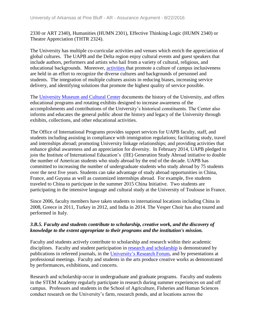2330 or ART 2340), Humanities (HUMN 2301), Effective Thinking-Logic (HUMN 2340) or Theatre Appreciation (THTR 2324).

The University has multiple co-curricular activities and venues which enrich the appreciation of global cultures. The UAPB and the Delta region enjoy cultural events and guest speakers that include authors, performers and artists who hail from a variety of cultural, religious, and educational backgrounds. Moreover, [activities t](file:///C:/Users/taylorm/AppData/Local/Microsoft/Windows/Temporary%20Internet%20Files/evidence/viewfile%3ffileId=244199)hat promote a culture of campus inclusiveness are held in an effort to recognize the diverse cultures and backgrounds of personnel and students. The integration of multiple cultures assists in reducing biases, increasing service delivery, and identifying solutions that promote the highest quality of service possible.

The [University Museum and Cultural Center](file:///C:/Users/taylorm/AppData/Local/Microsoft/Windows/Temporary%20Internet%20Files/evidence/viewfile%3ffileid=244129) documents the history of the University, and offers educational programs and rotating exhibits designed to increase awareness of the accomplishments and contributions of the University's historical constituents. The Center also informs and educates the general public about the history and legacy of the University through exhibits, collections, and other educational activities.

The Office of International Programs provides support services for UAPB faculty, staff, and students including assisting in compliance with immigration regulations; facilitating study, travel and internships abroad; promoting University linkage relationships; and providing activities that enhance global awareness and an appreciation for diversity. In February 2014, UAPB pledged to join the Institute of International Education's (IIE) Generation Study Abroad initiative to double the number of American students who study abroad by the end of the decade. UAPB has committed to increasing the number of undergraduate students who study abroad by 75 students over the next five years. Students can take advantage of study abroad opportunities in China, France, and Guyana as well as customized internships abroad. For example, five students traveled to China to participate in the summer 2015 China Initiative. Two students are participating in the intensive language and cultural study at the University of Toulouse in France.

Since 2006, faculty members have taken students to international locations including China in 2008, Greece in 2011, Turkey in 2012, and India in 2014. The Vesper Choir has also toured and performed in Italy.

#### *3.B.5. Faculty and students contribute to scholarship, creative work, and the discovery of knowledge to the extent appropriate to their programs and the institution's mission.*

Faculty and students actively contribute to scholarship and research within their academic disciplines. Faculty and student participation in [research and scholarship](file:///C:/Users/taylorm/AppData/Local/Microsoft/Windows/Temporary%20Internet%20Files/evidence/viewfile%3ffileId=244136) is demonstrated by publications in refereed journals, in the [University's Research Forum,](file:///C:/Users/taylorm/AppData/Local/Microsoft/Windows/Temporary%20Internet%20Files/evidence/viewfile%3ffileId=243279) and by presentations at professional meetings. Faculty and students in the arts produce creative works as demonstrated by performances, exhibitions, and concerts.

Research and scholarship occur in undergraduate and graduate programs. Faculty and students in the STEM Academy regularly participate in research during summer experiences on and off campus. Professors and students in the School of Agriculture, Fisheries and Human Sciences conduct research on the University's farm, research ponds, and at locations across the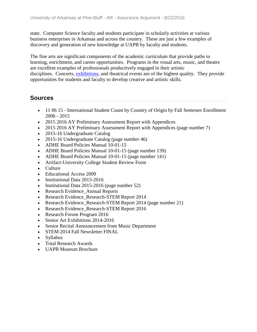state. Computer Science faculty and students participate in scholarly activities at various business enterprises in Arkansas and across the country. These are just a few examples of discovery and generation of new knowledge at UAPB by faculty and students.

The fine arts are significant components of the academic curriculum that provide paths to learning, enrichment, and career opportunities. Programs in the visual arts, music, and theatre are excellent examples of professionals productively engaged in their artistic disciplines. Concerts, [exhibitions,](file:///C:/Users/taylorm/AppData/Local/Microsoft/Windows/Temporary%20Internet%20Files/evidence/viewfile%3ffileId=244297) and theatrical events are of the highest quality. They provide opportunities for students and faculty to develop creative and artistic skills.

- 11 06 15 International Student Count by Country of Origin by Fall Semester Enrollment 2006 - 2015
- 2015 2016 AY Preliminary Assessment Report with Appendices
- 2015 2016 AY Preliminary Assessment Report with Appendices (page number 7)
- 2015-16 Undergraduate Catalog
- 2015-16 Undergraduate Catalog (page number 46)
- ADHE Board Policies Manual 10-01-15
- ADHE Board Policies Manual 10-01-15 (page number 139)
- ADHE Board Policies Manual 10-01-15 (page number 141)
- Artifact-University College Student Review Form
- Culture
- Educational Access 2009
- Institutional Data 2015-2016
- Institutional Data 2015-2016 (page number 52)
- Research Evidence\_Annual Reports
- Research Evidence Research-STEM Report 2014
- Research Evidence\_Research-STEM Report 2014 (page number 21)
- Research Evidence Research-STEM Report 2016
- Research Forum Program 2016
- Senior Art Exhibitions 2014-2016
- Senior Recital Announcement from Music Department
- STEM 2014 Fall Newsletter FINAL
- Syllabus
- Total Research Awards
- UAPB Museum Brochure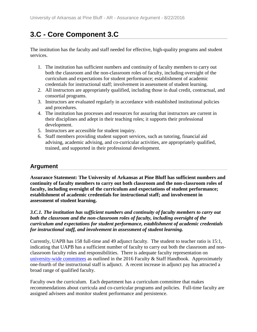# **3.C - Core Component 3.C**

The institution has the faculty and staff needed for effective, high-quality programs and student services.

- 1. The institution has sufficient numbers and continuity of faculty members to carry out both the classroom and the non-classroom roles of faculty, including oversight of the curriculum and expectations for student performance; establishment of academic credentials for instructional staff; involvement in assessment of student learning.
- 2. All instructors are appropriately qualified, including those in dual credit, contractual, and consortial programs.
- 3. Instructors are evaluated regularly in accordance with established institutional policies and procedures.
- 4. The institution has processes and resources for assuring that instructors are current in their disciplines and adept in their teaching roles; it supports their professional development.
- 5. Instructors are accessible for student inquiry.
- 6. Staff members providing student support services, such as tutoring, financial aid advising, academic advising, and co-curricular activities, are appropriately qualified, trained, and supported in their professional development.

## **Argument**

**Assurance Statement: The University of Arkansas at Pine Bluff has sufficient numbers and continuity of faculty members to carry out both classroom and the non-classroom roles of faculty, including oversight of the curriculum and expectations of student performance; establishment of academic credentials for instructional staff; and involvement in assessment of student learning.**

*3.C.1. The institution has sufficient numbers and continuity of faculty members to carry out both the classroom and the non-classroom roles of faculty, including oversight of the curriculum and expectations for student performance, establishment of academic credentials for instructional staff, and involvement in assessment of student learning.*

Currently, UAPB has 158 full-time and 49 adjunct faculty. The student to teacher ratio is 15:1, indicating that UAPB has a sufficient number of faculty to carry out both the classroom and nonclassroom faculty roles and responsibilities. There is adequate faculty representation on [university-wide committees](file:///C:/Users/taylorm/AppData/Local/Microsoft/Windows/Temporary%20Internet%20Files/evidence/viewfile%3ffileId=243316%23page=2) as outlined in the 2016 Faculty & Staff Handbook. Approximately one-fourth of the instructional staff is adjunct. A recent increase in adjunct pay has attracted a broad range of qualified faculty.

Faculty own the curriculum. Each department has a curriculum committee that makes recommendations about curricula and co-curricular programs and policies. Full-time faculty are assigned advisees and monitor student performance and persistence.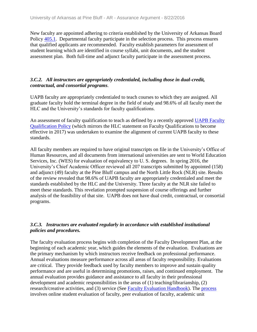New faculty are appointed adhering to criteria established by the University of Arkansas Board Policy [405.1.](file:///C:/Users/taylorm/AppData/Local/Microsoft/Windows/Temporary%20Internet%20Files/evidence/viewfile%3ffileId=237879) Departmental faculty participate in the selection process. This process ensures that qualified applicants are recommended. Faculty establish parameters for assessment of student learning which are identified in course syllabi, unit documents, and the student assessment plan. Both full-time and adjunct faculty participate in the assessment process.

### *3.C.2. All instructors are appropriately credentialed, including those in dual-credit, contractual, and consortial programs.*

UAPB faculty are appropriately credentialed to teach courses to which they are assigned. All graduate faculty hold the terminal degree in the field of study and 98.6% of all faculty meet the HLC and the University's standards for faculty qualifications.

An assessment of faculty qualification to teach as defined by a recently approved UAPB Faculty [Qualification Policy](file:///C:/Users/taylorm/AppData/Local/Microsoft/Windows/Temporary%20Internet%20Files/evidence/viewfile%3ffileId=244156) (which mirrors the HLC statement on Faculty Qualifications to become effective in 2017) was undertaken to examine the alignment of current UAPB faculty to these standards.

All faculty members are required to have original transcripts on file in the University's Office of Human Resources, and all documents from international universities are sent to World Education Services, Inc. (WES) for evaluation of equivalency to U. S. degrees. In spring 2016, the University's Chief Academic Officer reviewed all 207 transcripts submitted by appointed (158) and adjunct (49) faculty at the Pine Bluff campus and the North Little Rock (NLR) site. Results of the review revealed that 98.6% of UAPB faculty are appropriately credentialed and meet the standards established by the HLC and the University. Three faculty at the NLR site failed to meet these standards. This revelation prompted suspension of course offerings and further analysis of the feasibility of that site. UAPB does not have dual credit, contractual, or consortial programs.

#### *3.C.3. Instructors are evaluated regularly in accordance with established institutional policies and procedures.*

The faculty evaluation process begins with completion of the Faculty Development Plan, at the beginning of each academic year, which guides the elements of the evaluation. Evaluations are the primary mechanism by which instructors receive feedback on professional performance. Annual evaluations measure performance across all areas of faculty responsibility. Evaluations are critical. They provide feedback used by faculty members to improve and sustain quality performance and are useful in determining promotions, raises, and continued employment. The annual evaluation provides guidance and assistance to all faculty in their professional development and academic responsibilities in the areas of (1) teaching/librarianship, (2) research/creative activities, and (3) service (See [Faculty Evaluation Handbook\)](file:///C:/Users/taylorm/AppData/Local/Microsoft/Windows/Temporary%20Internet%20Files/evidence/viewfile%3ffileId=243764%23page=4). The [process](file:///C:/Users/taylorm/AppData/Local/Microsoft/Windows/Temporary%20Internet%20Files/evidence/viewfile%3ffileId=243764%23page=16) involves online student evaluation of faculty, peer evaluation of faculty, academic unit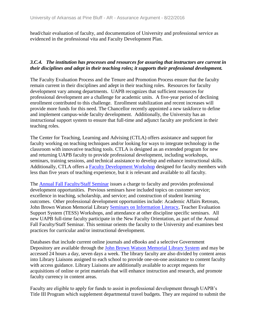head/chair evaluation of faculty, and documentation of University and professional service as evidenced in the professional vita and Faculty Development Plan.

### *3.C.4. The institution has processes and resources for assuring that instructors are current in their disciplines and adept in their teaching roles; it supports their professional development.*

The Faculty Evaluation Process and the Tenure and Promotion Process ensure that the faculty remain current in their disciplines and adept in their teaching roles. Resources for faculty development vary among departments. UAPB recognizes that sufficient resources for professional development are a challenge for academic units. A five-year period of declining enrollment contributed to this challenge. Enrollment stabilization and recent increases will provide more funds for this need. The Chancellor recently appointed a new taskforce to define and implement campus-wide faculty development. Additionally, the University has an instructional support system to ensure that full-time and adjunct faculty are proficient in their teaching roles.

The Center for Teaching, Learning and Advising (CTLA) offers assistance and support for faculty working on teaching techniques and/or looking for ways to integrate technology in the classroom with innovative teaching tools. CTLA is designed as an extended program for new and returning UAPB faculty to provide professional development, including workshops, seminars, training sessions, and technical assistance to develop and enhance instructional skills. Additionally, CTLA offers a [Faculty Development Workshop](file:///C:/Users/taylorm/AppData/Local/Microsoft/Windows/Temporary%20Internet%20Files/evidence/viewfile%3ffileId=184964%23page=3) designed for faculty members with less than five years of teaching experience, but it is relevant and available to all faculty.

The **[Annual Fall Faculty/Staff Seminar](file:///C:/Users/taylorm/AppData/Local/Microsoft/Windows/Temporary%20Internet%20Files/evidence/viewfile%3ffileId=244295)** issues a charge to faculty and provides professional development opportunities. Previous seminars have included topics on customer service; excellence in teaching, scholarship, and service; and construction of student learning outcomes. Other professional development opportunities include: Academic Affairs Retreats, John Brown Watson Memorial Library [Seminars on Information Literacy,](file:///C:/Users/taylorm/AppData/Local/Microsoft/Windows/Temporary%20Internet%20Files/evidence/viewfile%3ffileId=244116) Teacher Evaluation Support System (TESS) Workshops, and attendance at other discipline specific seminars. All new UAPB full-time faculty participate in the New Faculty Orientation, as part of the Annual Fall Faculty/Staff Seminar. This seminar orients the faculty to the University and examines best practices for curricular and/or instructional development.

Databases that include current online journals and eBooks and a selective Government Depository are available through the [John Brown Watson Memorial Library System](file:///C:/Users/taylorm/AppData/Local/Microsoft/Windows/Temporary%20Internet%20Files/evidence/viewfile%3ffileId=241402%23page=76) and may be accessed 24 hours a day, seven days a week. The library faculty are also divided by content areas into Library Liaisons assigned to each school to provide one-on-one assistance to content faculty with access guidance. Library Liaisons are additionally available to accept requests for acquisitions of online or print materials that will enhance instruction and research, and promote faculty currency in content areas.

Faculty are eligible to apply for funds to assist in professional development through UAPB's Title III Program which supplement departmental travel budgets. They are required to submit the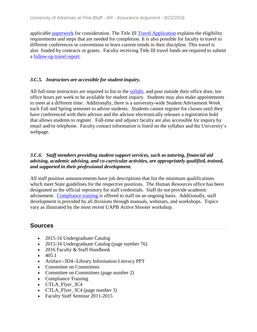applicable [paperwork](file:///C:/Users/taylorm/AppData/Local/Microsoft/Windows/Temporary%20Internet%20Files/evidence/viewfile%3ffileId=184962) for consideration. The Title III [Travel Application](file:///C:/Users/taylorm/AppData/Local/Microsoft/Windows/Temporary%20Internet%20Files/evidence/viewfile%3ffileid=184961) explains the eligibility requirements and steps that are needed for completion. It is also possible for faculty to travel to different conferences or conventions to learn current trends in their discipline. This travel is also funded by contracts or grants. Faculty receiving Title III travel funds are required to submit a [follow-up travel report.](file:///C:/Users/taylorm/AppData/Local/Microsoft/Windows/Temporary%20Internet%20Files/evidence/viewfile%3ffileId=184963)

### *3.C.5. Instructors are accessible for student inquiry.*

All full-time instructors are required to list in the [syllabi,](file:///C:/Users/taylorm/AppData/Local/Microsoft/Windows/Temporary%20Internet%20Files/evidence/viewfile%3ffileId=238466) and post outside their office door, ten office hours per week to be available for student inquiry. Students may also make appointments to meet at a different time. Additionally, there is a university-wide Student Advisement Week each Fall and Spring semester to advise students. Students cannot register for classes until they have conferenced with their advisor and the advisor electronically releases a registration hold that allows students to register. Full-time and adjunct faculty are also accessible for inquiry by email and/or telephone. Faculty contact information is listed on the syllabus and the University's webpage.

### *3.C.6. Staff members providing student support services, such as tutoring, financial aid advising, academic advising, and co-curricular activities, are appropriately qualified, trained, and supported in their professional development.*

All staff position announcements have job descriptions that list the minimum qualifications which meet State guidelines for the respective positions. The Human Resources office has been designated as the official repository for staff credentials. Staff do not provide academic advisement. [Compliance training](file:///C:/Users/taylorm/AppData/Local/Microsoft/Windows/Temporary%20Internet%20Files/evidence/viewfile%3ffileId=244317) is offered to staff on an ongoing basis. Additionally, staff development is provided by all divisions through manuals, webinars, and workshops. Topics vary as illustrated by the most recent UAPB Active Shooter workshop.

- 2015-16 Undergraduate Catalog
- 2015-16 Undergraduate Catalog (page number 76)
- 2016 Faculty & Staff Handbook
- $405.1$
- Artifact--3D4--Library Information Literacy PPT
- Committee on Committees
- Committee on Committees (page number 2)
- Compliance Training
- CTLA\_Flyer\_3C4
- CTLA\_Flyer\_3C4 (page number 3)
- Faculty Staff Seminar 2011-2015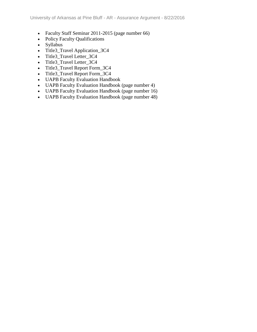- Faculty Staff Seminar 2011-2015 (page number 66)
- Policy Faculty Qualifications
- Syllabus
- Title3\_Travel Application\_3C4
- Title3\_Travel Letter\_3C4
- Title3\_Travel Letter\_3C4
- Title3\_Travel Report Form\_3C4
- Title3\_Travel Report Form\_3C4
- UAPB Faculty Evaluation Handbook
- UAPB Faculty Evaluation Handbook (page number 4)
- UAPB Faculty Evaluation Handbook (page number 16)
- UAPB Faculty Evaluation Handbook (page number 48)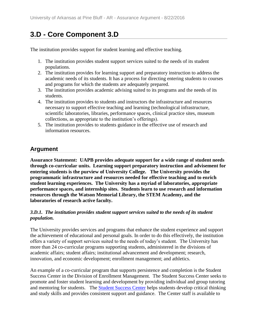# **3.D - Core Component 3.D**

The institution provides support for student learning and effective teaching.

- 1. The institution provides student support services suited to the needs of its student populations.
- 2. The institution provides for learning support and preparatory instruction to address the academic needs of its students. It has a process for directing entering students to courses and programs for which the students are adequately prepared.
- 3. The institution provides academic advising suited to its programs and the needs of its students.
- 4. The institution provides to students and instructors the infrastructure and resources necessary to support effective teaching and learning (technological infrastructure, scientific laboratories, libraries, performance spaces, clinical practice sites, museum collections, as appropriate to the institution's offerings).
- 5. The institution provides to students guidance in the effective use of research and information resources.

## **Argument**

**Assurance Statement: UAPB provides adequate support for a wide range of student needs through co-curricular units. Learning support preparatory instruction and advisement for entering students is the purview of University College. The University provides the programmatic infrastructure and resources needed for effective teaching and to enrich student learning experiences. The University has a myriad of laboratories, appropriate performance spaces, and internship sites. Students learn to use research and information resources through the Watson Memorial Library, the STEM Academy, and the laboratories of research active faculty.**

### *3.D.1. The institution provides student support services suited to the needs of its student population.*

The University provides services and programs that enhance the student experience and support the achievement of educational and personal goals. In order to do this effectively, the institution offers a variety of support services suited to the needs of today's student. The University has more than 24 co-curricular programs supporting students, administered in the divisions of academic affairs; student affairs; institutional advancement and development; research, innovation, and economic development; enrollment management; and athletics.

An example of a co-curricular program that supports persistence and completion is the Student Success Center in the Division of Enrollment Management. The Student Success Center seeks to promote and foster student learning and development by providing individual and group tutoring and mentoring for students. The [Student Success Center](file:///C:/Users/taylorm/AppData/Local/Microsoft/Windows/Temporary%20Internet%20Files/evidence/viewfile%3ffileId=243765) helps students develop critical thinking and study skills and provides consistent support and guidance. The Center staff is available to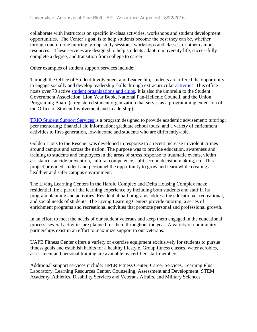collaborate with instructors on specific in-class activities, workshops and student development opportunities. The Center's goal is to help students become the best they can be, whether through one-on-one tutoring, group study sessions, workshops and classes, or other campus resources. These services are designed to help students adapt to university life, successfully complete a degree, and transition from college to career.

Other examples of student support services include:

Through the Office of Student Involvement and Leadership, students are offered the opportunity to engage socially and develop leadership skills through extracurricular [activities.](file:///C:/Users/taylorm/AppData/Local/Microsoft/Windows/Temporary%20Internet%20Files/evidence/viewfile%3ffileId=244203) This office hosts over 70 active [student organizations and clubs.](file:///C:/Users/taylorm/AppData/Local/Microsoft/Windows/Temporary%20Internet%20Files/evidence/viewfile%3ffileId=244202) It is also the umbrella to the Student Government Association, Lion Year Book, National Pan-Hellenic Council, and the Union Programing Board (a registered student organization that serves as a programming extension of the Office of Student Involvement and Leadership).

[TRIO Student Support Services i](file:///C:/Users/taylorm/AppData/Local/Microsoft/Windows/Temporary%20Internet%20Files/evidence/viewfile%3ffileId=241402%23page=413)s a program designed to provide academic advisement; tutoring; peer mentoring; financial aid information; graduate school tours; and a variety of enrichment activities to first-generation, low-income and students who are differently-able.

Golden Lions to the Rescue! was developed in response to a recent increase in violent crimes around campus and across the nation. The purpose was to provide education, awareness and training to students and employees in the areas of stress response to traumatic events, victim assistance, suicide prevention, cultural competence, split second decision making, etc. This project provided student and personnel the opportunity to grow and learn while creating a healthier and safer campus environment.

The Living Learning Centers in the Harold Complex and Delta Housing Complex make residential life a part of the learning experience by including both students and staff in its program planning and activities. Residential hall programs address the educational, recreational, and social needs of students. The Living Learning Centers provide tutoring, a series of enrichment programs and recreational activities that promote personal and professional growth.

In an effort to meet the needs of our student veterans and keep them engaged in the educational process, several activities are planned for them throughout the year. A variety of community partnerships exist in an effort to maximize support to our veterans.

UAPB Fitness Center offers a variety of exercise equipment exclusively for students to pursue fitness goals and establish habits for a healthy lifestyle. Group fitness classes, water aerobics, assessment and personal training are available by certified staff members.

Additional support services include: HPER Fitness Center, Career Services, Learning Plus Laboratory, Learning Resources Center, Counseling, Assessment and Development, STEM Academy, Athletics, Disability Services and Veterans Affairs, and Military Sciences.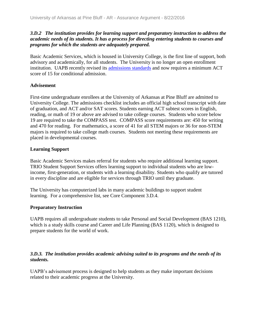### *3.D.2 The institution provides for learning support and preparatory instruction to address the academic needs of its students. It has a process for directing entering students to courses and programs for which the students are adequately prepared.*

Basic Academic Services, which is housed in University College, is the first line of support, both advisory and academically, for all students. The University is no longer an open enrollment institution. UAPB recently revised its [admissions standards](file:///C:/Users/taylorm/AppData/Local/Microsoft/Windows/Temporary%20Internet%20Files/evidence/viewfile%3ffileid=244321) and now requires a minimum ACT score of 15 for conditional admission.

### **Advisement**

First-time undergraduate enrollees at the University of Arkansas at Pine Bluff are admitted to University College. The admissions checklist includes an official high school transcript with date of graduation, and ACT and/or SAT scores. Students earning ACT subtest scores in English, reading, or math of 19 or above are advised to take college courses. Students who score below 19 are required to take the COMPASS test. COMPASS score requirements are: 450 for writing and 470 for reading. For mathematics, a score of 41 for all STEM majors or 36 for non-STEM majors is required to take college math courses. Students not meeting these requirements are placed in developmental courses.

### **Learning Support**

Basic Academic Services makes referral for students who require additional learning support. TRIO Student Support Services offers learning support to individual students who are lowincome, first-generation, or students with a learning disability. Students who qualify are tutored in every discipline and are eligible for services through TRIO until they graduate.

The University has computerized labs in many academic buildings to support student learning. For a comprehensive list, see Core Component 3.D.4.

### **Preparatory Instruction**

UAPB requires all undergraduate students to take Personal and Social Development (BAS 1210), which is a study skills course and Career and Life Planning (BAS 1120), which is designed to prepare students for the world of work.

### *3.D.3. The institution provides academic advising suited to its programs and the needs of its students.*

UAPB's advisement process is designed to help students as they make important decisions related to their academic progress at the University.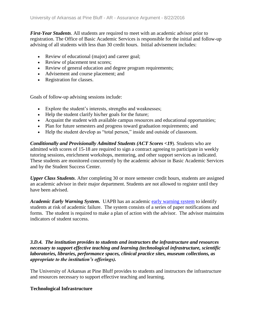*First-Year Students*. All students are required to meet with an academic advisor prior to registration. The Office of Basic Academic Services is responsible for the initial and follow-up advising of all students with less than 30 credit hours. Initial advisement includes:

- Review of educational (major) and career goal;
- Review of placement test scores;
- Review of general education and degree program requirements;
- Advisement and course placement; and
- Registration for classes.

Goals of follow-up advising sessions include:

- Explore the student's interests, strengths and weaknesses;
- Help the student clarify his/her goals for the future;
- Acquaint the student with available campus resources and educational opportunities;
- Plan for future semesters and progress toward graduation requirements; and
- Help the student develop as "total person," inside and outside of classroom.

*Conditionally and Provisionally Admitted Students (ACT Scores <19*). Students who are admitted with scores of 15-18 are required to sign a contract agreeing to participate in weekly tutoring sessions, enrichment workshops, mentoring, and other support services as indicated. These students are monitored concurrently by the academic advisor in Basic Academic Services and by the Student Success Center.

*Upper Class Students*. After completing 30 or more semester credit hours, students are assigned an academic advisor in their major department. Students are not allowed to register until they have been advised.

*Academic Early Warning System.* UAPB has an academic [early warning system](file:///C:/Users/taylorm/AppData/Local/Microsoft/Windows/Temporary%20Internet%20Files/evidence/viewfile%3ffileId=244330) to identify students at risk of academic failure. The system consists of a series of paper notifications and forms. The student is required to make a plan of action with the advisor. The advisor maintains indicators of student success.

*3.D.4. The institution provides to students and instructors the infrastructure and resources necessary to support effective teaching and learning (technological infrastructure, scientific laboratories, libraries, performance spaces, clinical practice sites, museum collections, as appropriate to the institution's offerings).*

The University of Arkansas at Pine Bluff provides to students and instructors the infrastructure and resources necessary to support effective teaching and learning.

### **Technological Infrastructure**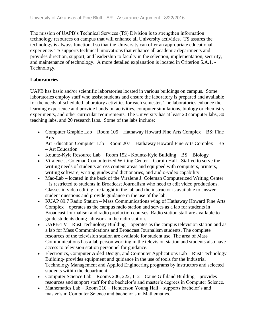The mission of UAPB's Technical Services (TS) Division is to strengthen information technology resources on campus that will enhance all University activities. TS assures the technology is always functional so that the University can offer an appropriate educational experience. TS supports technical innovations that enhance all academic departments and provides direction, support, and leadership to faculty in the selection, implementation, security, and maintenance of technology. A more detailed explanation is located in Criterion 5.A.1. - Technology.

### **Laboratories**

UAPB has basic and/or scientific laboratories located in various buildings on campus. Some laboratories employ staff who assist students and ensure the laboratory is prepared and available for the needs of scheduled laboratory activities for each semester. The laboratories enhance the learning experience and provide hands-on activities, computer simulations, biology or chemistry experiments, and other curricular requirements. The University has at least 20 computer labs, 30 teaching labs, and 20 research labs. Some of the labs include:

• Computer Graphic Lab – Room 105 – Hathaway Howard Fine Arts Complex – BS; Fine Arts

Art Education Computer Lab – Room 207 – Hathaway Howard Fine Arts Complex – BS – Art Education

- Kountz-Kyle Resource Lab Room 152 Kountz-Kyle Building BS Biology
- Viralene J. Coleman Computerized Writing Center Corbin Hall Staffed to serve the writing needs of students across content areas and equipped with computers, printers, writing software, writing guides and dictionaries, and audio-video capability
- Mac-Lab located in the back of the Viralene J. Coleman Computerized Writing Center – is restricted to students in Broadcast Journalism who need to edit video productions. Classes in video editing are taught in the lab and the instructor is available to answer student questions and provide guidance in the use of the lab.
- KUAP 89.7 Radio Station Mass Communications wing of Hathaway Howard Fine Arts Complex – operates as the campus radio station and serves as a lab for students in Broadcast Journalism and radio production courses. Radio station staff are available to guide students doing lab work in the radio station.
- UAPB-TV Rust Technology Building operates as the campus television station and as a lab for Mass Communications and Broadcast Journalism students. The complete resources of the television station are available for student use. The area of Mass Communications has a lab person working in the television station and students also have access to television station personnel for guidance.
- Electronics, Computer Aided Design, and Computer Applications Lab Rust Technology Building- provides equipment and guidance in the use of tools for the Industrial Technology Management and Applied Engineering programs by instructors and selected students within the department.
- Computer Science Lab Rooms 206, 222, 112 Caine Gilliland Building provides resources and support staff for the bachelor's and master's degrees in Computer Science.
- Mathematics Lab Room 210 Henderson Young Hall supports bachelor's and master's in Computer Science and bachelor's in Mathematics.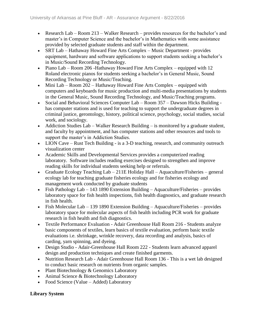- Research Lab Room 213 Walker Research provides resources for the bachelor's and master's in Computer Science and the bachelor's in Mathematics with some assistance provided by selected graduate students and staff within the department.
- SRT Lab Hathaway Howard Fine Arts Complex Music Department provides equipment, hardware and software applications to support students seeking a bachelor's in Music/Sound Recording Technology.
- Piano Lab Room 206 -Hathaway Howard Fine Arts Complex equipped with 12 Roland electronic pianos for students seeking a bachelor's in General Music, Sound Recording Technology or Music/Teaching.
- Mini Lab Room 202 Hathaway Howard Fine Arts Complex equipped with computers and keyboards for music production and multi-media presentations by students in the General Music, Sound Recording Technology, and Music/Teaching programs.
- Social and Behavioral Sciences Computer Lab Room 357 Dawson Hicks Building has computer stations and is used for teaching to support the undergraduate degrees in criminal justice, gerontology, history, political science, psychology, social studies, social work, and sociology.
- Addiction Studies Lab Walker Research Building is monitored by a graduate student, and faculty by appointment, and has computer stations and other resources and tools to support the master's in Addiction Studies.
- LION Cave Rust Tech Building is a 3-D teaching, research, and community outreach visualization center
- Academic Skills and Developmental Services provides a computerized reading laboratory. Software includes reading exercises designed to strengthen and improve reading skills for individual students seeking help or referrals.
- Graduate Ecology Teaching Lab 211E Holiday Hall Aquaculture/Fisheries general ecology lab for teaching graduate fisheries ecology and for fisheries ecology and management work conducted by graduate students
- Fish Pathology Lab 143 1890 Extension Building Aquaculture/Fisheries provides laboratory space for fish health inspections, fish health diagnostics, and graduate research in fish health.
- Fish Molecular Lab 139 1890 Extension Building Aquaculture/Fisheries provides laboratory space for molecular aspects of fish health including PCR work for graduate research in fish health and fish diagnostics.
- Textile Performance Evaluation Adair Greenhouse Hall Room 216 Students analyze basic components of textiles, learn basics of textile evaluation, perform basic textile evaluations i.e. shrinkage, wrinkle recovery, data recording and analysis, basics of carding, yarn spinning, and dyeing.
- Design Studio Adair-Greenhouse Hall Room 222 Students learn advanced apparel design and production techniques and create finished garments.
- Nutrition Research Lab Adair Greenhouse Hall Room 136 This is a wet lab designed to conduct basic research on nutrients from organic samples.
- Plant Biotechnology & Genomics Laboratory
- Animal Science & Biotechnology Laboratory
- Food Science (Value Added) Laboratory

### **Library System**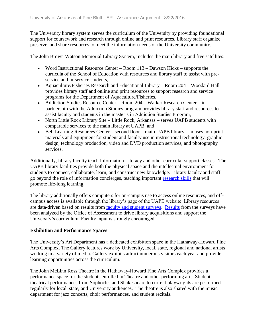The University library system serves the curriculum of the University by providing foundational support for coursework and research through online and print resources. Library staff organize, preserve, and share resources to meet the information needs of the University community.

The John Brown Watson Memorial Library System, includes the main library and five satellites:

- Word Instructional Resource Center Room 113 Dawson Hicks supports the curricula of the School of Education with resources and library staff to assist with preservice and in-service students,
- Aquaculture/Fisheries Research and Educational Library Room 204 Woodard Hall provides library staff and online and print resources to support research and service programs for the Department of Aquaculture/Fisheries,
- Addiction Studies Resource Center Room 204 Walker Research Center in partnership with the Addiction Studies program provides library staff and resources to assist faculty and students in the master's in Addiction Studies Program,
- North Little Rock Library Site Little Rock, Arkansas serves UAPB students with comparable services to the main library at UAPB, and
- Bell Learning Resources Center second floor main UAPB library houses non-print materials and equipment for student and faculty use in instructional technology, graphic design, technology production, video and DVD production services, and photography services.

Additionally, library faculty teach Information Literacy and other curricular support classes. The UAPB library facilities provide both the physical space and the intellectual environment for students to connect, collaborate, learn, and construct new knowledge. Library faculty and staff go beyond the role of information concierges, teaching important [research skills](file:///C:/Users/taylorm/AppData/Local/Microsoft/Windows/Temporary%20Internet%20Files/evidence/viewfile%3ffileId=244114) that will promote life-long learning.

The library additionally offers computers for on-campus use to access online resources, and offcampus access is available through the library's page of the UAPB website. Library resources are data-driven based on results from [faculty and student surveys.](file:///C:/Users/taylorm/AppData/Local/Microsoft/Windows/Temporary%20Internet%20Files/evidence/viewfile%3ffileId=244115) [Results](file:///C:/Users/taylorm/AppData/Local/Microsoft/Windows/Temporary%20Internet%20Files/evidence/viewfile%3ffileId=240920%23page=19) from the surveys have been analyzed by the Office of Assessment to drive library acquisitions and support the University's curriculum. Faculty input is strongly encouraged.

### **Exhibition and Performance Spaces**

The University's Art Department has a dedicated exhibition space in the Hathaway-Howard Fine Arts Complex. The Gallery features work by University, local, state, regional and national artists working in a variety of media. Gallery exhibits attract numerous visitors each year and provide learning opportunities across the curriculum.

The John McLinn Ross Theatre in the Hathaway-Howard Fine Arts Complex provides a performance space for the students enrolled in Theatre and other performing arts. Student theatrical performances from Sophocles and Shakespeare to current playwrights are performed regularly for local, state, and University audiences. The theatre is also shared with the music department for jazz concerts, choir performances, and student recitals.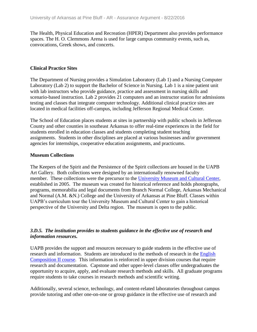The Health, Physical Education and Recreation (HPER) Department also provides performance spaces. The H. O. Clemmons Arena is used for large campus community events, such as, convocations, Greek shows, and concerts.

#### **Clinical Practice Sites**

The Department of Nursing provides a Simulation Laboratory (Lab 1) and a Nursing Computer Laboratory (Lab 2) to support the Bachelor of Science in Nursing. Lab 1 is a nine patient unit with lab instructors who provide guidance, practice and assessment in nursing skills and scenario-based instruction. Lab 2 provides 21 computers and an instructor station for admissions testing and classes that integrate computer technology. Additional clinical practice sites are located in medical facilities off-campus, including Jefferson Regional Medical Center.

The School of Education places students at sites in partnership with public schools in Jefferson County and other counties in southeast Arkansas to offer real-time experiences in the field for students enrolled in education classes and students completing student teaching assignments. Students in other disciplines are placed at various businesses and/or government agencies for internships, cooperative education assignments, and practicums.

#### **Museum Collections**

The Keepers of the Spirit and the Persistence of the Spirit collections are housed in the UAPB Art Gallery. Both collections were designed by an internationally renowned faculty member. These collections were the precursor to the [University Museum and Cultural Center,](file:///C:/Users/taylorm/AppData/Local/Microsoft/Windows/Temporary%20Internet%20Files/evidence/viewfile%3ffileId=244129) established in 2005. The museum was created for historical reference and holds photographs, programs, memorabilia and legal documents from Branch Normal College, Arkansas Mechanical and Normal (A.M. &N.) College and the University of Arkansas at Pine Bluff. Classes within UAPB's curriculum tour the University Museum and Cultural Center to gain a historical perspective of the University and Delta region. The museum is open to the public.

### *3.D.5. The institution provides to students guidance in the effective use of research and information resources.*

UAPB provides the support and resources necessary to guide students in the effective use of research and information. Students are introduced to the methods of research in the [English](file:///C:/Users/taylorm/AppData/Local/Microsoft/Windows/Temporary%20Internet%20Files/evidence/viewfile%3ffileId=241402%23page=153)  [Composition II course.](file:///C:/Users/taylorm/AppData/Local/Microsoft/Windows/Temporary%20Internet%20Files/evidence/viewfile%3ffileId=241402%23page=153) This information is reinforced in upper division courses that require research and documentation. Capstone and other upper-level classes offer undergraduates the opportunity to acquire, apply, and evaluate research methods and skills. All graduate programs require students to take courses in research methods and scientific writing.

Additionally, several science, technology, and content-related laboratories throughout campus provide tutoring and other one-on-one or group guidance in the effective use of research and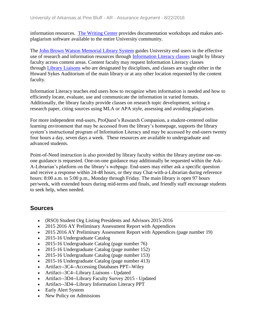information resources. [The Writing Center](file:///C:/Users/taylorm/AppData/Local/Microsoft/Windows/Temporary%20Internet%20Files/evidence/viewfile%3ffileId=241402%23page=152) provides documentation workshops and makes antiplagiarism software available to the entire University community.

The John Brown Watson [Memorial Library System](file:///C:/Users/taylorm/AppData/Local/Microsoft/Windows/Temporary%20Internet%20Files/evidence/viewfile%3ffileId=241402%23page=76) guides University end users in the effective use of research and information resources through [Information Literacy classes](file:///C:/Users/taylorm/AppData/Local/Microsoft/Windows/Temporary%20Internet%20Files/evidence/viewfile%3ffileid=244116) taught by library faculty across content areas. Content faculty may request Information Literacy classes through [Library Liaisons](file:///C:/Users/taylorm/AppData/Local/Microsoft/Windows/Temporary%20Internet%20Files/evidence/viewfile%3ffileId=244113) who are designated by disciplines, and classes are taught either in the Howard Sykes Auditorium of the main library or at any other location requested by the content faculty.

Information Literacy teaches end users how to recognize when information is needed and how to efficiently locate, evaluate, use and communicate the information in varied formats. Additionally, the library faculty provide classes on research topic development, writing a research paper, citing sources using MLA or APA style, assessing and avoiding plagiarism.

For more independent end-users, ProQuest's Research Companion, a student-centered online learning environment that may be accessed from the library's homepage, supports the library system's instructional program of Information Literacy and may be accessed by end-users twenty four hours a day, seven days a week. These resources are available to undergraduate and advanced students.

Point-of-Need instruction is also provided by library faculty within the library anytime one-onone guidance is requested. One-on-one guidance may additionally be requested within the Ask-A-Librarian's platform on the library's webpage. End-users may either ask a specific question and receive a response within 24-48 hours, or they may Chat-with-a-Librarian during reference hours: 8:00 a.m. to 5:00 p.m., Monday through Friday. The main library is open 97 hours per/week, with extended hours during mid-terms and finals, and friendly staff encourage students to seek help, when needed.

- (RSO) Student Org Listing Presidents and Advisors 2015-2016
- 2015 2016 AY Preliminary Assessment Report with Appendices
- 2015 2016 AY Preliminary Assessment Report with Appendices (page number 19)
- 2015-16 Undergraduate Catalog
- 2015-16 Undergraduate Catalog (page number 76)
- 2015-16 Undergraduate Catalog (page number 152)
- 2015-16 Undergraduate Catalog (page number 153)
- 2015-16 Undergraduate Catalog (page number 413)
- Artifact--3C4--Accessing Databases PPT--Wiley
- Artifact--3C4--Library Liaisons Updated
- Artifact--3D4--Library Faculty Survey 2015 Updated
- Artifact--3D4--Library Information Literacy PPT
- Early Alert System
- New Policy on Admissions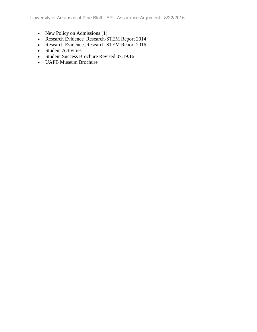- New Policy on Admissions (1)
- Research Evidence\_Research-STEM Report 2014
- Research Evidence\_Research-STEM Report 2016
- Student Activities
- Student Success Brochure Revised 07.19.16
- UAPB Museum Brochure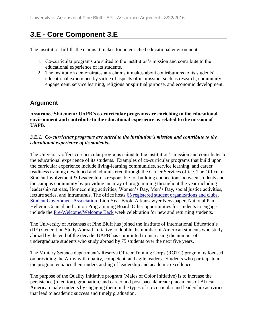## **3.E - Core Component 3.E**

The institution fulfills the claims it makes for an enriched educational environment.

- 1. Co-curricular programs are suited to the institution's mission and contribute to the educational experience of its students.
- 2. The institution demonstrates any claims it makes about contributions to its students' educational experience by virtue of aspects of its mission, such as research, community engagement, service learning, religious or spiritual purpose, and economic development.

### **Argument**

**Assurance Statement: UAPB's co-curricular programs are enriching to the educational environment and contribute to the educational experience as related to the mission of UAPB.**

### *3.E.1. Co-curricular programs are suited to the institution's mission and contribute to the educational experience of its students.*

The University offers co-curricular programs suited to the institution's mission and contributes to the educational experience of its students. Examples of co-curricular programs that build upon the curricular experience include living-learning communities, service learning, and career readiness training developed and administered through the Career Services office. The Office of Student Involvement & Leadership is responsible for building connections between students and the campus community by providing an array of programming throughout the year including leadership retreats, Homecoming activities, Women's Day, Men's Day, social justice activities, lecture series, and intramurals. The office hosts [65 registered student organizations and clubs,](file:///C:/Users/taylorm/AppData/Local/Microsoft/Windows/Temporary%20Internet%20Files/evidence/viewfile%3ffileId=244202) [Student Government Association,](file:///C:/Users/taylorm/AppData/Local/Microsoft/Windows/Temporary%20Internet%20Files/evidence/viewfile%3ffileId=244208) Lion Year Book, Arkansawyer Newspaper, National Pan-Hellenic Council and Union Programming Board. Other opportunities for students to engage include the [Pre-Welcome/Welcome Back](file:///C:/Users/taylorm/AppData/Local/Microsoft/Windows/Temporary%20Internet%20Files/evidence/viewfile%3ffileId=244209) week celebration for new and returning students.

The University of Arkansas at Pine Bluff has joined the Institute of International Education's (IIE) Generation Study Abroad initiative to double the number of American students who study abroad by the end of the decade. UAPB has committed to increasing the number of undergraduate students who study abroad by 75 students over the next five years.

The Military Science department's Reserve Officer Training Corps (ROTC) program is focused on providing the Army with quality, competent, and agile leaders. Students who participate in the program enhance their understanding of leadership and academic excellence.

The purpose of the Quality Initiative program (Males of Color Initiative) is to increase the persistence (retention), graduation, and career and post-baccalaureate placements of African American male students by engaging them in the types of co-curricular and leadership activities that lead to academic success and timely graduation.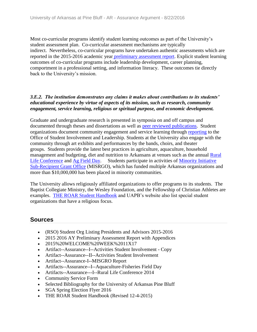Most co-curricular programs identify student learning outcomes as part of the University's student assessment plan. Co-curricular assessment mechanisms are typically indirect. Nevertheless, co-curricular programs have undertaken authentic assessments which are reported in the 2015-2016 academic year [preliminary assessment report.](file:///C:/Users/taylorm/AppData/Local/Microsoft/Windows/Temporary%20Internet%20Files/evidence/viewfile%3ffileId=240920) Explicit student learning outcomes of co-curricular programs include leadership development, career planning, comportment in a professional setting, and information literacy. These outcomes tie directly back to the University's mission.

### *3.E.2. The institution demonstrates any claims it makes about contributions to its students' educational experience by virtue of aspects of its mission, such as research, community engagement, service learning, religious or spiritual purpose, and economic development.*

Graduate and undergraduate research is presented in symposia on and off campus and documented through theses and dissertations as well as [peer reviewed publications.](file:///C:/Users/taylorm/AppData/Local/Microsoft/Windows/Temporary%20Internet%20Files/evidence/viewfile%3ffileId=228657) Student organizations document community engagement and service learning through [reporting](file:///C:/Users/taylorm/AppData/Local/Microsoft/Windows/Temporary%20Internet%20Files/evidence/viewfile%3ffileId=243842) to the Office of Student Involvement and Leadership. Students at the University also engage with the community through art exhibits and performances by the bands, choirs, and theater groups. Students provide the latest best practices in agriculture, aquaculture, household management and budgeting, diet and nutrition to Arkansans at venues such as the annual [Rural](file:///C:/Users/taylorm/AppData/Local/Microsoft/Windows/Temporary%20Internet%20Files/evidence/viewfile%3ffileid=241384)  [Life Conference](file:///C:/Users/taylorm/AppData/Local/Microsoft/Windows/Temporary%20Internet%20Files/evidence/viewfile%3ffileid=241384) and [Ag Field Day.](file:///C:/Users/taylorm/AppData/Local/Microsoft/Windows/Temporary%20Internet%20Files/evidence/viewfile%3ffileid=241387) Students participate in activities of [Minority Initiative](file:///C:/Users/taylorm/AppData/Local/Microsoft/Windows/Temporary%20Internet%20Files/evidence/viewfile%3ffileid=241385)  [Sub-Recipient Grant Office](file:///C:/Users/taylorm/AppData/Local/Microsoft/Windows/Temporary%20Internet%20Files/evidence/viewfile%3ffileid=241385) (MISRGO), which has funded multiple Arkansas organizations and more than \$10,000,000 has been placed in minority communities.

The University allows religiously affiliated organizations to offer programs to its students. The Baptist Collegiate Ministry, the Wesley Foundation, and the Fellowship of Christian Athletes are examples. THE ROAR [Student Handbook](file:///C:/Users/taylorm/AppData/Local/Microsoft/Windows/Temporary%20Internet%20Files/evidence/viewfile%3ffileId=187258%23page=71) and UAPB's website also list special student organizations that have a religious focus.

- (RSO) Student Org Listing Presidents and Advisors 2015-2016
- 2015 2016 AY Preliminary Assessment Report with Appendices
- 2015%20WELCOME%20WEEK%2011X17
- Artifact--Assurance--I--Activities Student Involvement Copy
- Artifact--Assurance--II--Activities Student Involvement
- Artifact--Assurance-I--MISGRO Report
- Artifacts--Assurance--I--Aquaculture-Fisheries Field Day
- Artifacts--Assurance---I--Rural Life Conference 2014
- Community Service Form
- Selected Bibliography for the University of Arkansas Pine Bluff
- SGA Spring Election Flyer 2016
- THE ROAR Student Handbook (Revised 12-4-2015)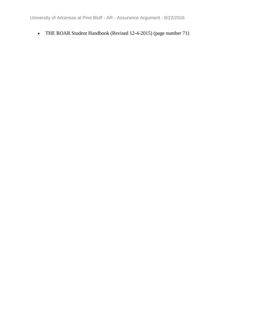• THE ROAR Student Handbook (Revised 12-4-2015) (page number 71)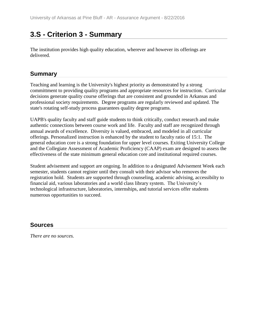## **3.S - Criterion 3 - Summary**

The institution provides high quality education, wherever and however its offerings are delivered.

### **Summary**

Teaching and learning is the University's highest priority as demonstrated by a strong committment to providing quality programs and appropriate resources for instruction. Curricular decisions generate quality course offerings that are consistent and grounded in Arkansas and professional society requirements. Degree programs are regularly reviewed and updated. The state's rotating self-study process guarantees quality degree programs.

UAPB's quality faculty and staff guide students to think critically, conduct research and make authentic connections between course work and life. Faculty and staff are recognized through annual awards of excellence. Diversity is valued, embraced, and modeled in all curricular offerings. Personalized instruction is enhanced by the student to faculty ratio of 15:1. The general education core is a strong foundation for upper level courses. Exiting University College and the Collegiate Assessment of Academic Proficiency (CAAP) exam are designed to assess the effectiveness of the state minimum general education core and institutional required courses.

Student advisement and support are ongoing. In addition to a designated Advisement Week each semester, students cannot register until they consult with their advisor who removes the registration hold. Students are supported through counseling, academic advising, accessibilty to financial aid, various laboratories and a world class library system. The University's technological infrastructure, laboratories, internships, and tutorial services offer students numerous opportunities to succeed.

## **Sources**

*There are no sources.*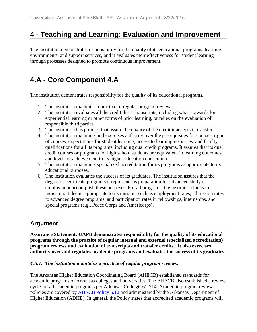## **4 - Teaching and Learning: Evaluation and Improvement**

The institution demonstrates responsibility for the quality of its educational programs, learning environments, and support services, and it evaluates their effectiveness for student learning through processes designed to promote continuous improvement.

## **4.A - Core Component 4.A**

The institution demonstrates responsibility for the quality of its educational programs.

- 1. The institution maintains a practice of regular program reviews.
- 2. The institution evaluates all the credit that it transcripts, including what it awards for experiential learning or other forms of prior learning, or relies on the evaluation of responsible third parties.
- 3. The institution has policies that assure the quality of the credit it accepts in transfer.
- 4. The institution maintains and exercises authority over the prerequisites for courses, rigor of courses, expectations for student learning, access to learning resources, and faculty qualifications for all its programs, including dual credit programs. It assures that its dual credit courses or programs for high school students are equivalent in learning outcomes and levels of achievement to its higher education curriculum.
- 5. The institution maintains specialized accreditation for its programs as appropriate to its educational purposes.
- 6. The institution evaluates the success of its graduates. The institution assures that the degree or certificate programs it represents as preparation for advanced study or employment accomplish these purposes. For all programs, the institution looks to indicators it deems appropriate to its mission, such as employment rates, admission rates to advanced degree programs, and participation rates in fellowships, internships, and special programs (e.g., Peace Corps and Americorps).

## **Argument**

**Assurance Statement: UAPB demonstrates responsibility for the quality of its educational programs through the practice of regular internal and external (specialized accreditation) program reviews and evaluation of transcripts and transfer credits. It also exercises authority over and regulates academic programs and evaluates the success of its graduates.**

### *4.A.1. The institution maintains a practice of regular program reviews.*

The Arkansas Higher Education Coordinating Board (AHECB) established standards for academic programs of Arkansas colleges and universities. The AHECB also established a review cycle for all academic programs per Arkansas Code §6-61-214. Academic program review policies are covered by [AHECB Policy 5.12](file:///C:/Users/taylorm/AppData/Local/Microsoft/Windows/Temporary%20Internet%20Files/evidence/viewfile%3ffileId=242098) and administered by the Arkansas Department of Higher Education (ADHE). In general, the Policy states that accredited academic programs will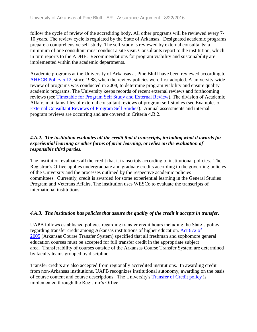follow the cycle of review of the accrediting body. All other programs will be reviewed every 7- 10 years. The review cycle is regulated by the State of Arkansas. Designated academic programs prepare a comprehensive self-study. The self-study is reviewed by external consultants; a minimum of one consultant must conduct a site visit. Consultants report to the institution, which in turn reports to the ADHE. Recommendations for program viability and sustainability are implemented within the academic departments.

Academic programs at the University of Arkansas at Pine Bluff have been reviewed according to [AHECB Policy 5.12,](file:///C:/Users/taylorm/AppData/Local/Microsoft/Windows/Temporary%20Internet%20Files/evidence/viewfile%3ffileId=242098) since 1988, when the review policies were first adopted. A university-wide review of programs was conducted in 2008, to determine program viability and ensure quality academic programs. The University keeps records of recent external reviews and forthcoming reviews (see [Timetable for Program Self Study and External Review\)](file:///C:/Users/taylorm/AppData/Local/Microsoft/Windows/Temporary%20Internet%20Files/evidence/viewfile%3ffileId=185332). The division of Academic Affairs maintains files of external consultant reviews of program self-studies (see Examples of [External Consultant Reviews of Program Self Studies\)](file:///C:/Users/taylorm/AppData/Local/Microsoft/Windows/Temporary%20Internet%20Files/evidence/viewfile%3ffileId=185335). Annual assessments and internal program reviews are occurring and are covered in Criteria 4.B.2.

### *4.A.2. The institution evaluates all the credit that it transcripts, including what it awards for experiential learning or other forms of prior learning, or relies on the evaluation of responsible third parties.*

The institution evaluates all the credit that it transcripts according to institutional policies. The Registrar's Office applies undergraduate and graduate credits according to the governing policies of the University and the processes outlined by the respective academic policies committees. Currently, credit is awarded for some experiential learning in the General Studies Program and Veterans Affairs. The institution uses WESCo to evaluate the transcripts of international institutions.

### *4.A.3. The institution has policies that assure the quality of the credit it accepts in transfer.*

UAPB follows established policies regarding transfer credit hours including the State's policy regarding transfer credit among Arkansas institutions of higher education. [Act 672 of](file:///C:/Users/taylorm/AppData/Local/Microsoft/Windows/Temporary%20Internet%20Files/evidence/viewfile%3ffileId=242226)  [2005](file:///C:/Users/taylorm/AppData/Local/Microsoft/Windows/Temporary%20Internet%20Files/evidence/viewfile%3ffileId=242226) (Arkansas Course Transfer System) specified that all freshman and sophomore general education courses must be accepted for full transfer credit in the appropriate subject area. Transferability of courses outside of the Arkansas Course Transfer System are determined by faculty teams grouped by discipline.

Transfer credits are also accepted from regionally accredited institutions. In awarding credit from non-Arkansas institutions, UAPB recognizes institutional autonomy, awarding on the basis of course content and course descriptions. The University's [Transfer of Credit policy](file:///C:/Users/taylorm/AppData/Local/Microsoft/Windows/Temporary%20Internet%20Files/evidence/viewfile%3ffileId=242100) is implemented through the Registrar's Office.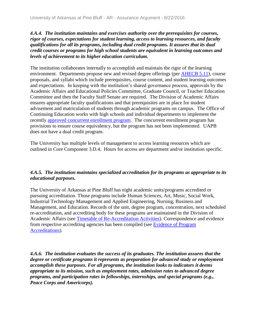### *4.A.4. The institution maintains and exercises authority over the prerequisites for courses, rigor of courses, expectations for student learning, access to learning resources, and faculty qualifications for all its programs, including dual credit programs. It assures that its dual credit courses or programs for high school students are equivalent in learning outcomes and levels of achievement to its higher education curriculum.*

The institution collaborates internally to accomplish and maintain the rigor of the learning environment. Departments propose new and revised degree offerings (per [AHECB 5.11\)](file:///C:/Users/taylorm/AppData/Local/Microsoft/Windows/Temporary%20Internet%20Files/evidence/viewfile%3ffileId=243611), course proposals, and syllabi which include prerequisites, course content, and student learning outcomes and expectations. In keeping with the institution's shared governance process, approvals by the Academic Affairs and Educational Policies Committee, Graduate Council, or Teacher Education Committee and then the Faculty Staff Senate are required. The Division of Academic Affairs ensures appropriate faculty qualifications and that prerequisites are in place for student advisement and matriculation of students through academic programs on campus. The Office of Continuing Education works with high schools and individual departments to implement the recently [approved concurrent enrollment program.](file:///C:/Users/taylorm/AppData/Local/Microsoft/Windows/Temporary%20Internet%20Files/evidence/viewfile%3ffileId=243819) The concurrent enrollment program has provisions to ensure course equivalency, but the program has not been implemented. UAPB does not have a dual credit program.

The University has multiple levels of management to access learning resources which are outlined in Core Component 3.D.4. Hours for access are department and/or institution specific.

### *4.A.5. The institution maintains specialized accreditation for its programs as appropriate to its educational purposes.*

The University of Arkansas at Pine Bluff has eight academic units/programs accredited or pursuing accreditation. Those programs include Human Sciences, Art, Music, Social Work, Industrial Technology Management and Applied Engineering, Nursing, Business and Management, and Education. Records of the unit, degree program, concentration, next scheduled re-accreditation, and accrediting body for these programs are maintained in the Division of Academic Affairs (see [Timetable of Re-Accreditation Activities\)](file:///C:/Users/taylorm/AppData/Local/Microsoft/Windows/Temporary%20Internet%20Files/evidence/viewfile%3ffileId=185334). Correspondence and evidence from respective accrediting agencies has been compiled (see [Evidence of Program](file:///C:/Users/taylorm/AppData/Local/Microsoft/Windows/Temporary%20Internet%20Files/evidence/viewfile%3ffileId=185333)  [Accreditations\)](file:///C:/Users/taylorm/AppData/Local/Microsoft/Windows/Temporary%20Internet%20Files/evidence/viewfile%3ffileId=185333).

*4.A.6. The institution evaluates the success of its graduates. The institution assures that the degree or certificate programs it represents as preparation for advanced study or employment accomplish these purposes. For all programs, the institution looks to indicators it deems appropriate to its mission, such as employment rates, admission rates to advanced degree programs, and participation rates in fellowships, internships, and special programs (e.g., Peace Corps and Americorps).*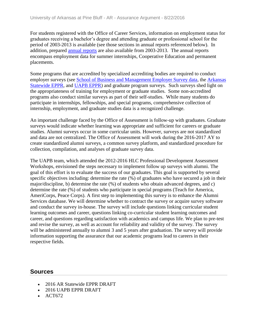For students registered with the Office of Career Services, information on employment status for graduates receiving a bachelor's degree and attending graduate or professional school for the period of 2003-2013 is available (see those sections in annual reports referenced below). In addition, prepared [annual reports](file:///C:/Users/taylorm/AppData/Local/Microsoft/Windows/Temporary%20Internet%20Files/evidence/viewfile%3ffileId=243805) are also available from 2003-2013. The annual reports encompass employment data for summer internships, Cooperative Education and permanent placements.

Some programs that are accredited by specialized accrediting bodies are required to conduct employer surveys (see [School of Business and Management Employer Survey data,](file:///C:/Users/taylorm/AppData/Local/Microsoft/Windows/Temporary%20Internet%20Files/evidence/viewfile%3ffileId=243631) the [Arkansas](file:///C:/Users/taylorm/AppData/Local/Microsoft/Windows/Temporary%20Internet%20Files/evidence/viewfile%3ffileId=243250)  [Statewide](file:///C:/Users/taylorm/AppData/Local/Microsoft/Windows/Temporary%20Internet%20Files/evidence/viewfile%3ffileId=243250) EPPR, and [UAPB EPPR\)](file:///C:/Users/taylorm/AppData/Local/Microsoft/Windows/Temporary%20Internet%20Files/evidence/viewfile%3ffileId=244352) and graduate program surveys. Such surveys shed light on the appropriateness of training for employment or graduate studies. Some non-accredited programs also conduct similar surveys as part of their self-studies. While many students do participate in internships, fellowships, and special programs, comprehensive collection of internship, employment, and graduate studies data is a recognized challenge.

An important challenge faced by the Office of Assessment is follow-up with graduates. Graduate surveys would indicate whether learning was appropriate and sufficient for careers or graduate studies. Alumni surveys occur in some curricular units. However, surveys are not standardized and data are not centralized. The Office of Assessment will work during the 2016-2017 AY to create standardized alumni surveys, a common survey platform, and standardized procedure for collection, compilation, and analyses of graduate survey data.

The UAPB team, which attended the 2012-2016 HLC Professional Development Assessment Workshops, envisioned the steps necessary to implement follow up surveys with alumni. The goal of this effort is to evaluate the success of our graduates. This goal is supported by several specific objectives including: determine the rate (%) of graduates who have secured a job in their major/discipline, b) determine the rate (%) of students who obtain advanced degrees, and c) determine the rate (%) of students who participate in special programs (Teach for America, AmeriCorps, Peace Corps). A first step to implementing this survey is to enhance the Alumni Services database. We will determine whether to contract the survey or acquire survey software and conduct the survey in-house. The survey will include questions linking curricular student learning outcomes and career, questions linking co-curricular student learning outcomes and career, and questions regarding satisfaction with academics and campus life. We plan to pre-test and revise the survey, as well as account for reliability and validity of the survey. The survey will be administered annually to alumni 3 and 5 years after graduation. The survey will provide information supporting the assurance that our academic programs lead to careers in their respective fields.

- 2016 AR Statewide EPPR DRAFT
- 2016 UAPB EPPR DRAFT
- ACT672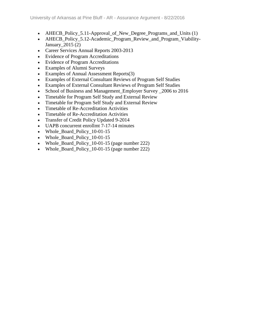- AHECB Policy 5.11-Approval of New Degree Programs and Units (1)
- AHECB\_Policy\_5.12-Academic\_Program\_Review\_and\_Program\_Viability-January\_2015 (2)
- Career Services Annual Reports 2003-2013
- Evidence of Program Accreditations
- Evidence of Program Accreditations
- Examples of Alumni Surveys
- Examples of Annual Assessment Reports(3)
- Examples of External Consultant Reviews of Program Self Studies
- Examples of External Consultant Reviews of Program Self Studies
- School of Business and Management Employer Survey 2006 to 2016
- Timetable for Program Self Study and External Review
- Timetable for Program Self Study and External Review
- Timetable of Re-Accreditation Activities
- Timetable of Re-Accreditation Activities
- Transfer of Credit Policy Updated 9-2014
- UAPB concurrent enrollmt 7-17-14 minutes
- Whole\_Board\_Policy\_10-01-15
- Whole\_Board\_Policy\_10-01-15
- Whole\_Board\_Policy\_10-01-15 (page number 222)
- Whole\_Board\_Policy\_10-01-15 (page number 222)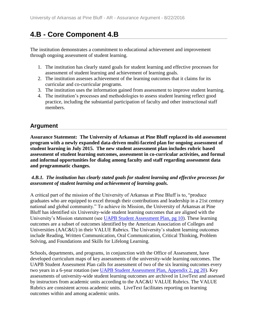# **4.B - Core Component 4.B**

The institution demonstrates a commitment to educational achievement and improvement through ongoing assessment of student learning.

- 1. The institution has clearly stated goals for student learning and effective processes for assessment of student learning and achievement of learning goals.
- 2. The institution assesses achievement of the learning outcomes that it claims for its curricular and co-curricular programs.
- 3. The institution uses the information gained from assessment to improve student learning.
- 4. The institution's processes and methodologies to assess student learning reflect good practice, including the substantial participation of faculty and other instructional staff members.

## **Argument**

**Assurance Statement: The University of Arkansas at Pine Bluff replaced its old assessment program with a newly expanded data-driven multi-faceted plan for ongoing assessment of student learning in July 2015. The new student assessment plan includes rubric based assessment of student learning outcomes, assessment in co-curricular activities, and formal and informal opportunities for dialog among faculty and staff regarding assessment data and programmatic changes.**

### *4.B.1. The institution has clearly stated goals for student learning and effective processes for assessment of student learning and achievement of learning goals.*

A critical part of the mission of the University of Arkansas at Pine Bluff is to, "produce graduates who are equipped to excel through their contributions and leadership in a 21st century national and global community." To achieve its Mission, the University of Arkansas at Pine Bluff has identified six University-wide student learning outcomes that are aligned with the University's Mission statement (see [UAPB Student Assessment Plan, pg 10\)](file:///C:/Users/taylorm/AppData/Local/Microsoft/Windows/Temporary%20Internet%20Files/evidence/viewfile%3ffileId=185445%23page=10). These learning outcomes are a subset of outcomes identified by the American Association of Colleges and Universities (AAC&U) in their VALUE Rubrics. The University's student learning outcomes include Reading, Written Communication, Oral Communication, Critical Thinking, Problem Solving, and Foundations and Skills for Lifelong Learning.

Schools, departments, and programs, in conjunction with the Office of Assessment, have developed curriculum maps of key assessments of the university-wide learning outcomes. The UAPB Student Assessment Plan calls for assessment of two of the six learning outcomes every two years in a 6-year rotation (see [UAPB Student Assessment Plan, Appendix 2, pg 20\)](file:///C:/Users/taylorm/AppData/Local/Microsoft/Windows/Temporary%20Internet%20Files/evidence/viewfile%3ffileId=185445%23page=20). Key assessments of university-wide student learning outcomes are archived in LiveText and assessed by instructors from academic units according to the AAC&U VALUE Rubrics. The VALUE Rubrics are consistent across academic units. LiveText facilitates reporting on learning outcomes within and among academic units.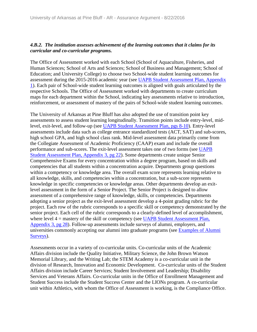### *4.B.2. The institution assesses achievement of the learning outcomes that it claims for its curricular and co-curricular programs.*

The Office of Assessment worked with each School (School of Aquaculture, Fisheries, and Human Sciences; School of Arts and Sciences; School of Business and Management; School of Education; and University College) to choose two School-wide student learning outcomes for assessment during the 2015-2016 academic year (see [UAPB Student Assessment Plan, Appendix](file:///C:/Users/taylorm/AppData/Local/Microsoft/Windows/Temporary%20Internet%20Files/evidence/viewfile%3ffileId=185445%23page=14)  [1\)](file:///C:/Users/taylorm/AppData/Local/Microsoft/Windows/Temporary%20Internet%20Files/evidence/viewfile%3ffileId=185445%23page=14). Each pair of School-wide student learning outcomes is aligned with goals articulated by the respective Schools. The Office of Assessment worked with departments to create curriculum maps for each department within the School, indicating key assessments relative to introduction, reinforcement, or assessment of mastery of the pairs of School-wide student learning outcomes.

The University of Arkansas at Pine Bluff has also adopted the use of transition point key assessments to assess student learning longitudinally. Transition points include entry-level, midlevel, exit-level, and follow-up (see [UAPB Student Assessment Plan, pgs 8-10\)](file:///C:/Users/taylorm/AppData/Local/Microsoft/Windows/Temporary%20Internet%20Files/evidence/viewfile%3ffileId=185445%23page=8). Entry-level assessments include data such as college entrance standardized tests (ACT, SAT) and sub-scores, high school GPA, and high school class rank. Mid-level assessment data primarily come from the Collegiate Assessment of Academic Proficiency (CAAP) exam and include the overall performance and sub-scores. The exit-level assessment takes one of two forms (see [UAPB](file:///C:/Users/taylorm/AppData/Local/Microsoft/Windows/Temporary%20Internet%20Files/evidence/viewfile%3ffileId=185445%23page=22)  [Student Assessment Plan, Appendix 3, pg 22\)](file:///C:/Users/taylorm/AppData/Local/Microsoft/Windows/Temporary%20Internet%20Files/evidence/viewfile%3ffileId=185445%23page=22). Some departments create unique Senior Comprehensive Exams for every concentration within a degree program, based on skills and competencies that all students within a concentration acquire. Departments group questions within a competency or knowledge area. The overall exam score represents learning relative to all knowledge, skills, and competencies within a concentration, but a sub-score represents knowledge in specific competencies or knowledge areas. Other departments develop an exitlevel assessment in the form of a Senior Project. The Senior Project is designed to allow assessment of a comprehensive range of knowledge, skills, or competencies. Departments adopting a senior project as the exit-level assessment develop a 4-point grading rubric for the project. Each row of the rubric corresponds to a specific skill or competency demonstrated by the senior project. Each cell of the rubric corresponds to a clearly-defined level of accomplishment, where level  $4 =$  mastery of the skill or competency (see UAPB Student Assessment Plan, [Appendix 3, pg 28\)](file:///C:/Users/taylorm/AppData/Local/Microsoft/Windows/Temporary%20Internet%20Files/evidence/viewfile%3ffileId=185445%23page=28). Follow-up assessments include surveys of alumni, employers, and universities commonly accepting our alumni into graduate programs (see [Examples of Alumni](file:///C:/Users/taylorm/AppData/Local/Microsoft/Windows/Temporary%20Internet%20Files/evidence/viewfile%3ffileid=185447)  [Surveys\)](file:///C:/Users/taylorm/AppData/Local/Microsoft/Windows/Temporary%20Internet%20Files/evidence/viewfile%3ffileid=185447).

Assessments occur in a variety of co-curricular units. Co-curricular units of the Academic Affairs division include the Quality Initiative, Military Science, the John Brown Watson Memorial Library, and the Writing Lab; the STEM Academy is a co-curricular unit in the division of Research, Innovation and Economic Development. Co-curricular units of the Student Affairs division include Career Services; Student Involvement and Leadership; Disability Services and Veterans Affairs. Co-curricular units in the Office of Enrollment Management and Student Success include the Student Success Center and the LIONs program. A co-curricular unit within Athletics, with whom the Office of Assessment is working, is the Compliance Office.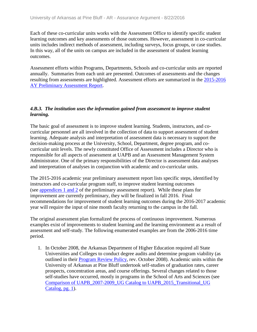Each of these co-curricular units works with the Assessment Office to identify specific student learning outcomes and key assessments of those outcomes. However, assessment in co-curricular units includes indirect methods of assessment, including surveys, focus groups, or case studies. In this way, all of the units on campus are included in the assessment of student learning outcomes.

Assessment efforts within Programs, Departments, Schools and co-curricular units are reported annually. Summaries from each unit are presented. Outcomes of assessments and the changes resulting from assessments are highlighted. Assessment efforts are summarized in the [2015-2016](file:///C:/Users/taylorm/AppData/Local/Microsoft/Windows/Temporary%20Internet%20Files/evidence/viewfile%3ffileid=240920)  [AY Preliminary Assessment Report.](file:///C:/Users/taylorm/AppData/Local/Microsoft/Windows/Temporary%20Internet%20Files/evidence/viewfile%3ffileid=240920)

### *4.B.3. The institution uses the information gained from assessment to improve student learning.*

The basic goal of assessment is to improve student learning. Students, instructors, and cocurricular personnel are all involved in the collection of data to support assessment of student learning. Adequate analysis and interpretation of assessment data is necessary to support the decision-making process at the University, School, Department, degree program, and cocurricular unit levels. The newly constituted Office of Assessment includes a Director who is responsible for all aspects of assessment at UAPB and an Assessment Management System Administrator. One of the primary responsibilities of the Director is assessment data analyses and interpretation of analyses in conjunction with academic and co-curricular units.

The 2015-2016 academic year preliminary assessment report lists specific steps, identified by instructors and co-curricular program staff, to improve student learning outcomes (see [appendices 1 and 2](file:///C:/Users/taylorm/AppData/Local/Microsoft/Windows/Temporary%20Internet%20Files/evidence/viewfile%3ffileId=240920%23page=7) of the preliminary assessment report). While these plans for improvement are currently preliminary, they will be finalized in fall 2016. Final recommendations for improvement of student learning outcomes during the 2016-2017 academic year will require the input of nine month faculty returning to the campus in the fall.

The original assessment plan formalized the process of continuous improvement. Numerous examples exist of improvements to student learning and the learning environment as a result of assessment and self-study. The following enumerated examples are from the 2006-2016 time period.

1. In October 2008, the Arkansas Department of Higher Education required all State Universities and Colleges to conduct degree audits and determine program viability (as outlined in their [Program Review Policy,](file:///C:/Users/taylorm/AppData/Local/Microsoft/Windows/Temporary%20Internet%20Files/evidence/viewfile%3ffileId=242098) rev. October 2008). Academic units within the University of Arkansas at Pine Bluff undertook self-studies of graduation rates, career prospects, concentration areas, and course offerings. Several changes related to those self-studies have occurred, mostly in programs in the School of Arts and Sciences (see [Comparison of UAPB\\_2007-2009\\_UG Catalog to UAPB\\_2015\\_Transitional\\_UG](file:///C:/Users/taylorm/AppData/Local/Microsoft/Windows/Temporary%20Internet%20Files/evidence/viewfile%3ffileid=185443)  [Catalog, pg. 1\)](file:///C:/Users/taylorm/AppData/Local/Microsoft/Windows/Temporary%20Internet%20Files/evidence/viewfile%3ffileid=185443).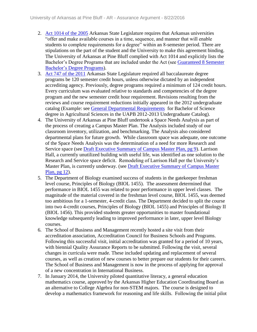- 2. [Act 1014 of the 2005](file:///C:/Users/taylorm/AppData/Local/Microsoft/Windows/Temporary%20Internet%20Files/evidence/viewfile%3ffileId=243167) Arkansas State Legislature requires that Arkansas universities "offer and make available courses in a time, sequence, and manner that will enable students to complete requirements for a degree" within an 8-semester period. There are stipulations on the part of the student and the University to make this agreement binding. The University of Arkansas at Pine Bluff complied with Act 1014 and explicitly lists the Bachelor's Degree Programs that are included under the Act (see Guaranteed 8 Semester Bachelor's [Degree Programs\)](file:///C:/Users/taylorm/AppData/Local/Microsoft/Windows/Temporary%20Internet%20Files/evidence/viewfile%3ffileid=185444).
- 3. [Act 747 of the 2011](file:///C:/Users/taylorm/AppData/Local/Microsoft/Windows/Temporary%20Internet%20Files/evidence/viewfile%3ffileid=242101) Arkansas State Legislature required all baccalaureate degree programs be 120 semester credit hours, unless otherwise dictated by an independent accrediting agency. Previously, degree programs required a minimum of 124 credit hours. Every curriculum was evaluated relative to standards and competencies of the degree program and the new semester credit hour requirement. Revisions resulting from the reviews and course requirement reductions initially appeared in the 2012 undergraduate catalog (Example: see [General Departmental Requirements](file:///C:/Users/taylorm/AppData/Local/Microsoft/Windows/Temporary%20Internet%20Files/evidence/viewfile%3ffileId=185446%23page=81) for Bachelor of Science degree in Agricultural Sciences in the UAPB 2012-2013 Undergraduate Catalog).
- 4. The University of Arkansas at Pine Bluff undertook a Space Needs Analysis as part of the process of creating a Campus Master Plan. The Analysis included study of our classroom inventory, utilization, and benchmarking. The Analysis also considered departmental plans for future growth. While classroom space was adequate, one outcome of the Space Needs Analysis was the determination of a need for more Research and Service space (see [Draft Executive Summary of Campus Master Plan, pg 9\)](file:///C:/Users/taylorm/AppData/Local/Microsoft/Windows/Temporary%20Internet%20Files/evidence/viewfile%3ffileId=185449%23page=9). Larrison Hall, a currently unutilized building with useful life, was identified as one solution to the Research and Service space deficit. Remodeling of Larrison Hall per the University's Master Plan, is currently underway. (see [Draft Executive Summary of Campus Master](file:///C:/Users/taylorm/AppData/Local/Microsoft/Windows/Temporary%20Internet%20Files/evidence/viewfile%3ffileId=185449%23page=12)  [Plan, pg 12\)](file:///C:/Users/taylorm/AppData/Local/Microsoft/Windows/Temporary%20Internet%20Files/evidence/viewfile%3ffileId=185449%23page=12).
- 5. The Department of Biology examined success of students in the gatekeeper freshman level course, Principles of Biology (BIOL 1455). The assessment determined that performance in BIOL 1455 was related to poor performance in upper level classes. The magnitude of the material covered in the freshman level course, BIOL 1455, was deemed too ambitious for a 1-semester, 4-credit class. The Department decided to split the course into two 4-credit courses, Principles of Biology (BIOL 1455) and Principles of Biology II (BIOL 1456). This provided students greater opportunities to master foundational knowledge subsequently leading to improved performance in later, upper level Biology courses.
- 6. The School of Business and Management recently hosted a site visit from their accreditation association, Accreditation Council for Business Schools and Programs. Following this successful visit, initial accreditation was granted for a period of 10 years, with biennial Quality Assurance Reports to be submitted. Following the visit, several changes in curricula were made. These included updating and replacement of several courses, as well as creation of new courses to better prepare our students for their careers. The School of Business and Management is now in the process of applying for approval of a new concentration in International Business.
- 7. In January 2014, the University piloted quantitative literacy, a general education mathematics course, approved by the Arkansas Higher Education Coordinating Board as an alternative to College Algebra for non-STEM majors. The course is designed to develop a mathematics framework for reasoning and life skills. Following the initial pilot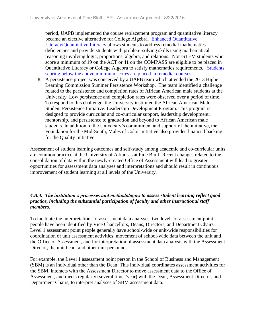period, UAPB implemented the course replacement program and quantitative literacy became an elective alternative for College Algebra. [Enhanced Quantitative](file:///C:/Users/taylorm/AppData/Local/Microsoft/Windows/Temporary%20Internet%20Files/evidence/viewfile%3ffileId=242216)  [Literacy/Quantitative Literacy](file:///C:/Users/taylorm/AppData/Local/Microsoft/Windows/Temporary%20Internet%20Files/evidence/viewfile%3ffileId=242216) allows students to address remedial mathematics deficiencies and provide students with problem-solving skills using mathematical reasoning involving logic, proportions, algebra, and relations. Non-STEM students who score a minimum of 19 on the ACT or 41 on the COMPASS are eligible to be placed in Quantitative Literacy or College Algebra to satisfy mathematics requirements. [Students](file:///C:/Users/taylorm/AppData/Local/Microsoft/Windows/Temporary%20Internet%20Files/evidence/viewfile%3ffileId=238538%23page=184)  [scoring below the above minimum scores are](file:///C:/Users/taylorm/AppData/Local/Microsoft/Windows/Temporary%20Internet%20Files/evidence/viewfile%3ffileId=238538%23page=184) placed in remedial courses.

8. A persistence project was conceived by a UAPB team which attended the 2013 Higher Learning Commission Summer Persistence Workshop. The team identified a challenge related to the persistence and completion rates of African American male students at the University. Low persistence and completion rates were observed over a period of time. To respond to this challenge, the University instituted the African American Male Student Persistence Initiative: Leadership Development Program. This program is designed to provide curricular and co-curricular support, leadership development, mentorship, and persistence to graduation and beyond to African American male students. In addition to the University's commitment and support of the initiative, the Foundation for the Mid-South, Males of Color Initiative also provides financial backing for the Quality Initiative.

Assessment of student learning outcomes and self-study among academic and co-curricular units are common practice at the University of Arkansas at Pine Bluff. Recent changes related to the consolidation of data within the newly-created Office of Assessment will lead to greater opportunities for assessment data analyses and interpretations and should result in continuous improvement of student learning at all levels of the University.

### *4.B.4. The institution's processes and methodologies to assess student learning reflect good practice, including the substantial participation of faculty and other instructional staff members.*

To facilitate the interpretations of assessment data analyses, two levels of assessment point people have been identified by Vice Chancellors, Deans, Directors, and Department Chairs. Level 1 assessment point people generally have school-wide or unit-wide responsibilities for coordination of unit assessment activities, movement of school-wide data between the unit and the Office of Assessment, and for interpretation of assessment data analysis with the Assessment Director, the unit head, and other unit personnel.

For example, the Level 1 assessment point person in the School of Business and Management (SBM) is an individual other than the Dean. This individual coordinates assessment activities for the SBM, interacts with the Assessment Director to move assessment data to the Office of Assessment, and meets regularly (several times/year) with the Dean, Assessment Director, and Department Chairs, to interpret analyses of SBM assessment data.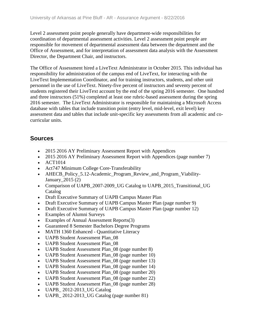Level 2 assessment point people generally have department-wide responsibilities for coordination of departmental assessment activities. Level 2 assessment point people are responsible for movement of departmental assessment data between the department and the Office of Assessment, and for interpretation of assessment data analysis with the Assessment Director, the Department Chair, and instructors.

The Office of Assessment hired a LiveText Administrator in October 2015. This individual has responsibility for administration of the campus end of LiveText, for interacting with the LiveText Implementation Coordinator, and for training instructors, students, and other unit personnel in the use of LiveText. Ninety-five percent of instructors and seventy percent of students registered their LiveText account by the end of the spring 2016 semester. One hundred and three instructors (51%) completed at least one rubric-based assessment during the spring 2016 semester. The LiveText Administrator is responsible for maintaining a Microsoft Access database with tables that include transition point (entry level, mid-level, exit level) key assessment data and tables that include unit-specific key assessments from all academic and cocurricular units.

- 2015 2016 AY Preliminary Assessment Report with Appendices
- 2015 2016 AY Preliminary Assessment Report with Appendices (page number 7)
- ACT1014
- Act747 Minimum College Core-Transferability
- AHECB Policy 5.12-Academic Program Review and Program Viability-January\_2015 (2)
- Comparison of UAPB\_2007-2009\_UG Catalog to UAPB\_2015\_Transitional\_UG Catalog
- Draft Executive Summary of UAPB Campus Master Plan
- Draft Executive Summary of UAPB Campus Master Plan (page number 9)
- Draft Executive Summary of UAPB Campus Master Plan (page number 12)
- Examples of Alumni Surveys
- Examples of Annual Assessment Reports(3)
- Guaranteed 8 Semester Bachelors Degree Programs
- MATH 1360 Enhanced Quantitative Literacy
- UAPB Student Assessment Plan\_08
- UAPB Student Assessment Plan\_08
- UAPB Student Assessment Plan 08 (page number 8)
- UAPB Student Assessment Plan\_08 (page number 10)
- UAPB Student Assessment Plan\_08 (page number 13)
- UAPB Student Assessment Plan 08 (page number 14)
- UAPB Student Assessment Plan 08 (page number 20)
- UAPB Student Assessment Plan 08 (page number 22)
- UAPB Student Assessment Plan 08 (page number 28)
- UAPB\_ 2012-2013\_UG Catalog
- UAPB 2012-2013 UG Catalog (page number 81)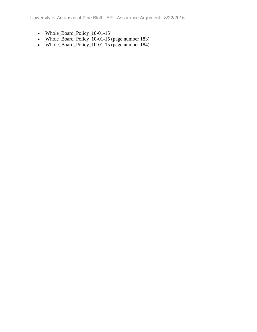University of Arkansas at Pine Bluff - AR - Assurance Argument - 8/22/2016

- Whole\_Board\_Policy\_10-01-15
- Whole\_Board\_Policy\_10-01-15 (page number 183)
- Whole\_Board\_Policy\_10-01-15 (page number 184)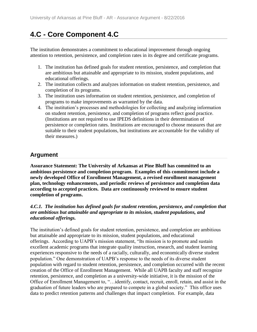# **4.C - Core Component 4.C**

The institution demonstrates a commitment to educational improvement through ongoing attention to retention, persistence, and completion rates in its degree and certificate programs.

- 1. The institution has defined goals for student retention, persistence, and completion that are ambitious but attainable and appropriate to its mission, student populations, and educational offerings.
- 2. The institution collects and analyzes information on student retention, persistence, and completion of its programs.
- 3. The institution uses information on student retention, persistence, and completion of programs to make improvements as warranted by the data.
- 4. The institution's processes and methodologies for collecting and analyzing information on student retention, persistence, and completion of programs reflect good practice. (Institutions are not required to use IPEDS definitions in their determination of persistence or completion rates. Institutions are encouraged to choose measures that are suitable to their student populations, but institutions are accountable for the validity of their measures.)

## **Argument**

**Assurance Statement: The University of Arkansas at Pine Bluff has committed to an ambitious persistence and completion program. Examples of this commitment include a newly developed Office of Enrollment Management, a revised enrollment management plan, technology enhancements, and periodic reviews of persistence and completion data according to accepted practices. Data are continuously reviewed to ensure student completion of programs.**

### *4.C.1. The institution has defined goals for student retention, persistence, and completion that are ambitious but attainable and appropriate to its mission, student populations, and educational offerings.*

The institution's defined goals for student retention, persistence, and completion are ambitious but attainable and appropriate to its mission, student populations, and educational offerings. According to UAPB's mission statement, "Its mission is to promote and sustain excellent academic programs that integrate quality instruction, research, and student learning experiences responsive to the needs of a racially, culturally, and economically diverse student population." One demonstration of UAPB's response to the needs of its diverse student population with regard to student retention, persistence, and completion occurred with the recent creation of the Office of Enrollment Management. While all UAPB faculty and staff recognize retention, persistence, and completion as a university-wide initiative, it is the mission of the Office of Enrollment Management to, "…identify, contact, recruit, enroll, retain, and assist in the graduation of future leaders who are prepared to compete in a global society." This office uses data to predict retention patterns and challenges that impact completion. For example, data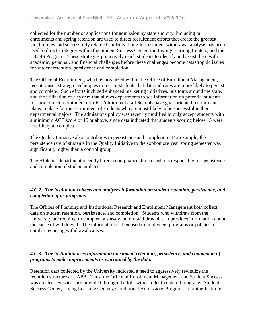collected for the number of applications for admission by state and city, including fall enrollments and spring retention are used to direct recruitment efforts that create the greatest yield of new and successfully retained students. Long-term student withdrawal analysis has been used to direct strategies within the Student Success Center, the Living/Learning Centers, and the LIONS Program. These strategies proactively reach students to identify and assist them with academic, personal, and financial challenges before these challenges become catastrophic issues for student retention, persistence and completion.

The Office of Recruitment, which is organized within the Office of Enrollment Management, recently used strategic techniques to recruit students that data indicates are more likely to persist and complete. Such efforts included enhanced marketing initiatives, bus tours around the state, and the utilization of a system that allows departments to see information on potential students for more direct recruitment efforts. Additionally, all Schools have goal-oriented recruitment plans in place for the recruitment of students who are most likely to be successful in their departmental majors. The admissions policy was recently modified to only accept students with a minimum ACT score of 15 or above, since data indicated that students scoring below 15 were less likely to complete.

The Quality Initiative also contributes to persistence and completion. For example, the persistence rate of students in the Quality Initiative to the sophomore year spring semester was significantly higher than a control group.

The Athletics department recently hired a compliance director who is responsible for persistence and completion of student athletes.

### *4.C.2. The institution collects and analyzes information on student retention, persistence, and completion of its programs.*

The Offices of Planning and Institutional Research and Enrollment Management both collect data on student retention, persistence, and completion. Students who withdraw from the University are required to complete a survey, before withdrawal, that provides information about the cause of withdrawal. The information is then used to implement programs or policies to combat recurring withdrawal causes.

### *4.C.3. The institution uses information on student retention, persistence, and completion of programs to make improvements as warranted by the data.*

Retention data collected by the University indicated a need to aggressively revitalize the retention structure at UAPB. Thus, the Office of Enrollment Management and Student Success was created. Services are provided through the following student-centered programs: Student Success Center, Living Learning Centers, Conditional Admissions Program, Learning Institute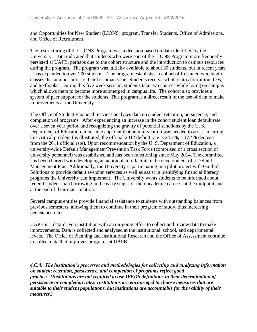and Opportunities for New Student (LIONS) program, Transfer Students, Office of Admissions, and Office of Recruitment.

The restructuring of the LIONS Program was a decision based on data identified by the University. Data indicated that students who were part of the LIONS Program more frequently persisted at UAPB, perhaps due to the cohort structure and the introduction to campus resources during the program. The program was initially available to about 30 students, but in recent years it has expanded to over 200 students. The program establishes a cohort of freshmen who begin classes the summer prior to their freshman year. Students receive scholarships for tuition, fees, and textbooks. During this five week session, students take two courses while living on campus which allows them to become more submerged in campus life. The cohort also provides a system of peer support for the students. This program is a direct result of the use of data to make improvements at the University.

The Office of Student Financial Services analyzes data on student retention, persistence, and completion of programs. After experiencing an increase in the cohort student loan default rate over a seven year period and recognizing the gravity of potential sanctions by the U. S. Department of Education, it became apparent that an intervention was needed to assist in curing this critical problem (as illustrated, the official 2012 default rate is 24.7%, a 17.4% decrease from the 2011 official rate). Upon recommendation by the U. S. Department of Education, a university-wide Default Management/Prevention Task Force (comprised of a cross section of university personnel) was established and has been functioning since May 2014. The committee has been charged with developing an action plan to facilitate the development of a Default Management Plan. Additionally, the University is participating in a pilot project with GuidEd Solutions to provide default aversion services as well as assist in identifying financial literacy programs the University can implement. The University wants students to be informed about federal student loan borrowing in the early stages of their academic careers, at the midpoint and at the end of their matriculation.

Several campus entities provide financial assistance to students with outstanding balances from previous semesters, allowing them to continue in their program of study, thus increasing persistence rates.

UAPB is a data-driven institution with an on-going effort to collect and review data to make improvements. Data is collected and analyzed at the institutional, school, and departmental levels. The Office of Planning and Institutional Research and the Office of Assessment continue to collect data that improves programs at UAPB.

*4.C.4. The institution's processes and methodologies for collecting and analyzing information on student retention, persistence, and completion of programs reflect good practice. (Institutions are not required to use IPEDS definitions in their determination of persistence or completion rates. Institutions are encouraged to choose measures that are suitable to their student populations, but institutions are accountable for the validity of their measures.)*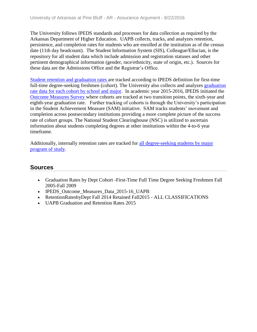The University follows IPEDS standards and processes for data collection as required by the Arkansas Department of Higher Education. UAPB collects, tracks, and analyzes retention, persistence, and completion rates for students who are enrolled at the institution as of the census date (11th day headcount). The Student Information System (SIS), Colleague/Ellucian, is the repository for all student data which include admission and registration statuses and other pertinent demographical information (gender, race/ethnicity, state of origin, etc.). Sources for these data are the Admissions Office and the Registrar's Office.

[Student retention and graduation rates a](file:///C:/Users/taylorm/AppData/Local/Microsoft/Windows/Temporary%20Internet%20Files/evidence/viewfile%3ffileid=241054)re tracked according to IPEDS definition for first-time full-time degree-seeking freshmen (cohort). The University also collects and analyzes [graduation](file:///C:/Users/taylorm/AppData/Local/Microsoft/Windows/Temporary%20Internet%20Files/evidence/viewfile%3ffileid=241055)  rate data for each cohort [by school and major.](file:///C:/Users/taylorm/AppData/Local/Microsoft/Windows/Temporary%20Internet%20Files/evidence/viewfile%3ffileid=241055) In academic year 2015-2016, IPEDS initiated the [Outcome Measures](file:///C:/Users/taylorm/AppData/Local/Microsoft/Windows/Temporary%20Internet%20Files/evidence/viewfile%3ffileid=241052) Survey where cohorts are tracked at two transition points, the sixth-year and eighth-year graduation rate. Further tracking of cohorts is through the University's participation in the Student Achievement Measure (SAM) initiative. SAM tracks students' movement and completion across postsecondary institutions providing a more complete picture of the success rate of cohort groups. The National Student Clearinghouse (NSC) is utilized to ascertain information about students completing degrees at other institutions within the 4-to-6 year timeframe.

Additionally, internally retention rates are tracked for [all degree-seeking students by major](file:///C:/Users/taylorm/AppData/Local/Microsoft/Windows/Temporary%20Internet%20Files/evidence/viewfile%3ffileid=241053)  [program of study.](file:///C:/Users/taylorm/AppData/Local/Microsoft/Windows/Temporary%20Internet%20Files/evidence/viewfile%3ffileid=241053)

- Graduation Rates by Dept Cohort -First-Time Full Time Degree Seeking Freshmen Fall 2005-Fall 2009
- IPEDS\_Outcome\_Measures\_Data\_2015-16\_UAPB
- RetentionRatesbyDept Fall 2014 Retained Fall2015 ALL CLASSIFICATIONS
- UAPB Graduation and Retention Rates 2015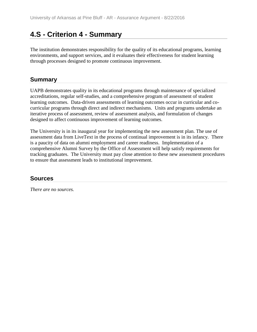# **4.S - Criterion 4 - Summary**

The institution demonstrates responsibility for the quality of its educational programs, learning environments, and support services, and it evaluates their effectiveness for student learning through processes designed to promote continuous improvement.

## **Summary**

UAPB demonstrates quality in its educational programs through maintenance of specialized accreditations, regular self-studies, and a comprehensive program of assessment of student learning outcomes. Data-driven assessments of learning outcomes occur in curricular and cocurricular programs through direct and indirect mechanisms. Units and programs undertake an iterative process of assessment, review of assessment analysis, and formulation of changes designed to affect continuous improvement of learning outcomes.

The University is in its inaugural year for implementing the new assessment plan. The use of assessment data from LiveText in the process of continual improvement is in its infancy. There is a paucity of data on alumni employment and career readiness. Implementation of a comprehensive Alumni Survey by the Office of Assessment will help satisfy requirements for tracking graduates. The University must pay close attention to these new assessment procedures to ensure that assessment leads to institutional improvement.

## **Sources**

*There are no sources.*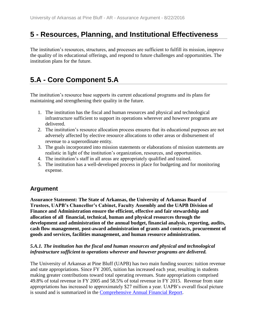# **5 - Resources, Planning, and Institutional Effectiveness**

The institution's resources, structures, and processes are sufficient to fulfill its mission, improve the quality of its educational offerings, and respond to future challenges and opportunities. The institution plans for the future.

# **5.A - Core Component 5.A**

The institution's resource base supports its current educational programs and its plans for maintaining and strengthening their quality in the future.

- 1. The institution has the fiscal and human resources and physical and technological infrastructure sufficient to support its operations wherever and however programs are delivered.
- 2. The institution's resource allocation process ensures that its educational purposes are not adversely affected by elective resource allocations to other areas or disbursement of revenue to a superordinate entity.
- 3. The goals incorporated into mission statements or elaborations of mission statements are realistic in light of the institution's organization, resources, and opportunities.
- 4. The institution's staff in all areas are appropriately qualified and trained.
- 5. The institution has a well-developed process in place for budgeting and for monitoring expense.

## **Argument**

**Assurance Statement: The State of Arkansas, the University of Arkansas Board of Trustees, UAPB's Chancellor's Cabinet, Faculty Assembly and the UAPB Division of Finance and Administration ensure the efficient, effective and fair stewardship and allocation of all financial, technical, human and physical resources through the development and administration of the annual budget, financial analysis, reporting, audits, cash flow management, post-award administration of grants and contracts, procurement of goods and services, facilities management, and human resource administration.**

#### *5.A.1. The institution has the fiscal and human resources and physical and technological infrastructure sufficient to operations wherever and however programs are delivered.*

The University of Arkansas at Pine Bluff (UAPB) has two main funding sources: tuition revenue and state appropriations. Since FY 2005, tuition has increased each year, resulting in students making greater contributions toward total operating revenues. State appropriations comprised 49.8% of total revenue in FY 2005 and 58.5% of total revenue in FY 2015. Revenue from state appropriations has increased to approximately \$27 million a year. UAPB's overall fiscal picture is sound and is summarized in the [Comprehensive Annual Financial Report.](file:///C:/Users/taylorm/AppData/Local/Microsoft/Windows/Temporary%20Internet%20Files/evidence/viewfile%3ffileId=241415%23page=27)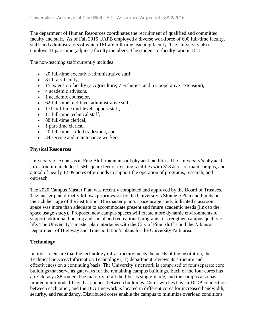The department of Human Resources coordinates the recruitment of qualified and committed faculty and staff. As of Fall 2015 UAPB employed a diverse workforce of 600 full-time faculty, staff, and administrators of which 161 are full-time teaching faculty. The University also employs 41 part-time (adjunct) faculty members. The student-to-faculty ratio is 15:1.

The non-teaching staff currently includes:

- 20 full-time executive-administrative staff,
- 8 library faculty,
- 15 extension faculty (3 Agriculture, 7 Fisheries, and 5 Cooperative Extension),
- 4 academic advisors,
- 1 academic counselor.
- 62 full-time mid-level administrative staff,
- 171 full-time mid-level support staff,
- 17 full-time technical staff.
- 88 full-time clerical,
- 1 part-time clerical,
- 20 full-time skilled tradesmen, and
- 34 service and maintenance workers.

#### **Physical Resources**

University of Arkansas at Pine Bluff maintains all physical facilities. The University's physical infrastructure includes 1.5M square feet of existing facilities with 318 acres of main campus, and a total of nearly 1,509 acres of grounds to support the operation of programs, research, and outreach.

The 2020 Campus Master Plan was recently completed and approved by the Board of Trustees. The master plan directly follows priorities set by the University's Strategic Plan and builds on the rich heritage of the institution. The master plan's space usage study indicated classroom space was more than adequate to accommodate present and future academic needs (link to the space usage study). Proposed new campus spaces will create more dynamic environments to support additional housing and social and recreational programs to strengthen campus quality of life. The University's master plan interfaces with the City of Pine Bluff's and the Arkansas Department of Highway and Transportation's plans for the University Park area.

#### **Technology**

In order to ensure that the technology infrastructure meets the needs of the institution, the Technical Services/Information Technology (IT) department reviews its structure and effectiveness on a continuing basis. The University's network is comprised of four separate core buildings that serve as gateways for the remaining campus buildings. Each of the four cores has an Enterasys S8 router. The majority of all the fiber is single-mode, and the campus also has limited multimode fibers that connect between buildings. Core switches have a 10GB connection between each other, and the 10GB network is located in different cores for increased bandwidth, security, and redundancy. Distributed cores enable the campus to minimize overload conditions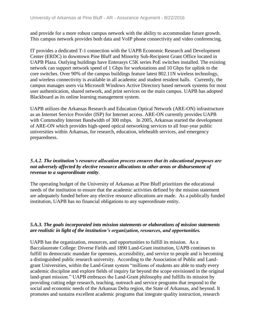and provide for a more robust campus network with the ability to accommodate future growth. This campus network provides both data and VoIP phone connectivity and video conferencing.

IT provides a dedicated T-1 connection with the UAPB Economic Research and Development Center (ERDC) in downtown Pine Bluff and Minority Sub-Recipient Grant Office located in UAPB Plaza. Outlying buildings have Enterasys C5K series PoE switches installed. The existing network can support network speed of 1 Gbps for workstations and 10 Gbps for uplink to the core switches. Over 90% of the campus buildings feature latest 802.11N wireless technology, and wireless connectivity is available in all academic and student resident halls. Currently, the campus manages users via Microsoft Windows Active Directory based network systems for most user authentication, shared network, and print services on the main campus. UAPB has adopted Blackboard as its online learning management system.

UAPB utilizes the Arkansas Research and Education Optical Network (ARE-ON) infrastructure as an Internet Service Provider (ISP) for Internet access. ARE-ON currently provides UAPB with Commodity Internet Bandwidth of 300 mbps. In 2005, Arkansas started the development of ARE-ON which provides high-speed optical networking services to all four-year public universities within Arkansas, for research, education, telehealth services, and emergency preparedness.

#### *5.A.2. The institution's resource allocation process ensures that its educational purposes are not adversely affected by elective resource allocations to other areas or disbursement of revenue to a superordinate entity*.

The operating budget of the University of Arkansas at Pine Bluff prioritizes the educational needs of the institution to ensure that the academic activities defined by the mission statement are adequately funded before any elective resource allocations are made. As a publically funded institution, UAPB has no financial obligations to any superordinate entity.

#### *5.A.3. The goals incorporated into mission statements or elaborations of mission statements are realistic in light of the institution's organization, resources, and opportunities.*

UAPB has the organization, resources, and opportunities to fulfill its mission. As a Baccalaureate College: Diverse Fields and 1890 Land-Grant institution, UAPB continues to fulfill its democratic mandate for openness, accessibility, and service to people and is becoming a distinguished public research university. According to the Association of Public and Landgrant Universities, within the Land-Grant system "millions of students are able to study every academic discipline and explore fields of inquiry far beyond the scope envisioned in the original land-grant mission." UAPB embraces the Land-Grant philosophy and fulfills its mission by providing cutting edge research, teaching, outreach and service programs that respond to the social and economic needs of the Arkansas Delta region, the State of Arkansas, and beyond. It promotes and sustains excellent academic programs that integrate quality instruction, research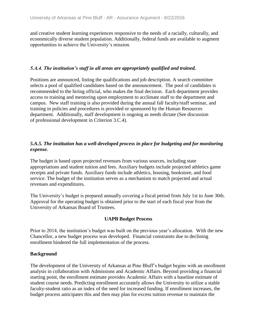and creative student learning experiences responsive to the needs of a racially, culturally, and economically diverse student population. Additionally, federal funds are available to augment opportunities to achieve the University's mission.

#### *5.A.4. The institution's staff in all areas are appropriately qualified and trained.*

Positions are announced, listing the qualifications and job description. A search committee selects a pool of qualified candidates based on the announcement. The pool of candidates is recommended to the hiring official, who makes the final decision. Each department provides access to training and mentoring upon employment to acclimate staff to the department and campus. New staff training is also provided during the annual fall faculty/staff seminar, and training in policies and procedures is provided or sponsored by the Human Resources department. Additionally, staff development is ongoing as needs dictate (See discussion of professional development in Criterion 3.C.4).

#### *5.A.5. The institution has a well-developed process in place for budgeting and for monitoring expense.*

The budget is based upon projected revenues from various sources, including state appropriations and student tuition and fees. Auxiliary budgets include projected athletics game receipts and private funds. Auxiliary funds include athletics, housing, bookstore, and food service. The budget of the institution serves as a mechanism to match projected and actual revenues and expenditures.

The University's budget is prepared annually covering a fiscal period from July 1st to June 30th. Approval for the operating budget is obtained prior to the start of each fiscal year from the University of Arkansas Board of Trustees.

#### **UAPB Budget Process**

Prior to 2014, the institution's budget was built on the previous year's allocation. With the new Chancellor, a new budget process was developed. Financial constraints due to declining enrollment hindered the full implementation of the process.

#### **Background**

The development of the University of Arkansas at Pine Bluff's budget begins with an enrollment analysis in collaboration with Admissions and Academic Affairs. Beyond providing a financial starting point, the enrollment estimate provides Academic Affairs with a baseline estimate of student course needs. Predicting enrollment accurately allows the University to utilize a stable faculty-student ratio as an index of the need for increased funding. If enrollment increases, the budget process anticipates this and then may plan for excess tuition revenue to maintain the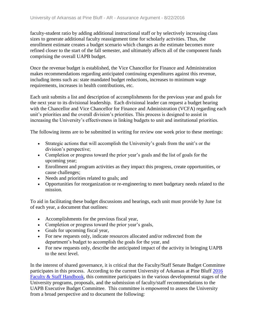faculty-student ratio by adding additional instructional staff or by selectively increasing class sizes to generate additional faculty reassignment time for scholarly activities. Thus, the enrollment estimate creates a budget scenario which changes as the estimate becomes more refined closer to the start of the fall semester, and ultimately affects all of the component funds comprising the overall UAPB budget.

Once the revenue budget is established, the Vice Chancellor for Finance and Administration makes recommendations regarding anticipated continuing expenditures against this revenue, including items such as: state mandated budget reductions, increases to minimum wage requirements, increases in health contributions, etc.

Each unit submits a list and description of accomplishments for the previous year and goals for the next year to its divisional leadership. Each divisional leader can request a budget hearing with the Chancellor and Vice Chancellor for Finance and Administration (VCFA) regarding each unit's priorities and the overall division's priorities. This process is designed to assist in increasing the University's effectiveness in linking budgets to unit and institutional priorities.

The following items are to be submitted in writing for review one week prior to these meetings:

- Strategic actions that will accomplish the University's goals from the unit's or the division's perspective;
- Completion or progress toward the prior year's goals and the list of goals for the upcoming year;
- Enrollment and program activities as they impact this progress, create opportunities, or cause challenges;
- Needs and priorities related to goals; and
- Opportunities for reorganization or re-engineering to meet budgetary needs related to the mission.

To aid in facilitating these budget discussions and hearings, each unit must provide by June 1st of each year, a document that outlines:

- Accomplishments for the previous fiscal year,
- Completion or progress toward the prior year's goals,
- Goals for upcoming fiscal year,
- For new requests only, indicate resources allocated and/or redirected from the department's budget to accomplish the goals for the year, and
- For new requests only, describe the anticipated impact of the activity in bringing UAPB to the next level.

In the interest of shared governance, it is critical that the Faculty/Staff Senate Budget Committee participates in this process. According to the current University of Arkansas at Pine Bluff [2016](file:///C:/Users/taylorm/AppData/Local/Microsoft/Windows/Temporary%20Internet%20Files/evidence/viewfile%3ffileId=186481%23page=124)  [Faculty & Staff Handbook,](file:///C:/Users/taylorm/AppData/Local/Microsoft/Windows/Temporary%20Internet%20Files/evidence/viewfile%3ffileId=186481%23page=124) this committee participates in the various developmental stages of the University programs, proposals, and the submission of faculty/staff recommendations to the UAPB Executive Budget Committee. This committee is empowered to assess the University from a broad perspective and to document the following: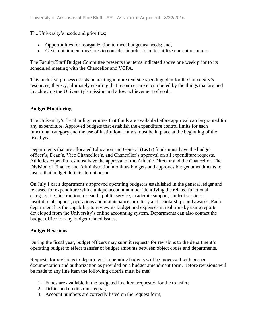The University's needs and priorities;

- Opportunities for reorganization to meet budgetary needs; and,
- Cost containment measures to consider in order to better utilize current resources.

The Faculty/Staff Budget Committee presents the items indicated above one week prior to its scheduled meeting with the Chancellor and VCFA.

This inclusive process assists in creating a more realistic spending plan for the University's resources, thereby, ultimately ensuring that resources are encumbered by the things that are tied to achieving the University's mission and allow achievement of goals.

#### **Budget Monitoring**

The University's fiscal policy requires that funds are available before approval can be granted for any expenditure. Approved budgets that establish the expenditure control limits for each functional category and the use of institutional funds must be in place at the beginning of the fiscal year.

Departments that are allocated Education and General (E&G) funds must have the budget officer's, Dean's, Vice Chancellor's, and Chancellor's approval on all expenditure requests. Athletics expenditures must have the approval of the Athletic Director and the Chancellor. The Division of Finance and Administration monitors budgets and approves budget amendments to insure that budget deficits do not occur.

On July 1 each department's approved operating budget is established in the general ledger and released for expenditure with a unique account number identifying the related functional category, i.e., instruction, research, public service, academic support, student services, institutional support, operations and maintenance, auxiliary and scholarships and awards. Each department has the capability to review its budget and expenses in real time by using reports developed from the University's online accounting system. Departments can also contact the budget office for any budget related issues.

#### **Budget Revisions**

During the fiscal year, budget officers may submit requests for revisions to the department's operating budget to effect transfer of budget amounts between object codes and departments.

Requests for revisions to department's operating budgets will be processed with proper documentation and authorization as provided on a budget amendment form. Before revisions will be made to any line item the following criteria must be met:

- 1. Funds are available in the budgeted line item requested for the transfer;
- 2. Debits and credits must equal;
- 3. Account numbers are correctly listed on the request form;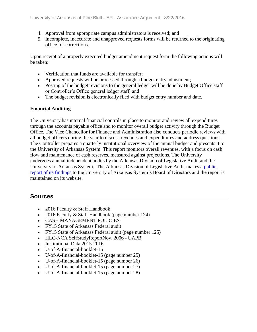- 4. Approval from appropriate campus administrators is received; and
- 5. Incomplete, inaccurate and unapproved requests forms will be returned to the originating office for corrections.

Upon receipt of a properly executed budget amendment request form the following actions will be taken:

- Verification that funds are available for transfer;
- Approved requests will be processed through a budget entry adjustment;
- Posting of the budget revisions to the general ledger will be done by Budget Office staff or Controller's Office general ledger staff; and
- The budget revision is electronically filed with budget entry number and date.

#### **Financial Auditing**

The University has internal financial controls in place to monitor and review all expenditures through the accounts payable office and to monitor overall budget activity through the Budget Office. The Vice Chancellor for Finance and Administration also conducts periodic reviews with all budget officers during the year to discuss revenues and expenditures and address questions. The Controller prepares a quarterly institutional overview of the annual budget and presents it to the University of Arkansas System. This report monitors overall revenues, with a focus on cash flow and maintenance of cash reserves, measured against projections. The University undergoes annual independent audits by the Arkansas Division of Legislative Audit and the University of Arkansas System. The Arkansas Division of Legislative Audit makes a [public](file:///C:/Users/taylorm/AppData/Local/Microsoft/Windows/Temporary%20Internet%20Files/evidence/viewfile%3ffileId=242825%23page=125) [report of its findings](file:///C:/Users/taylorm/AppData/Local/Microsoft/Windows/Temporary%20Internet%20Files/evidence/viewfile%3ffileId=242825%23page=125) to the University of Arkansas System's Board of Directors and the report is maintained on its website.

#### **Sources**

- 2016 Faculty & Staff Handbook
- 2016 Faculty & Staff Handbook (page number 124)
- CASH MANAGEMENT POLICIES
- FY15 State of Arkansas Federal audit
- FY15 State of Arkansas Federal audit (page number 125)
- HLC-NCA SelfStudyReportNov. 2006 UAPB
- Institutional Data 2015-2016
- U-of-A-financial-booklet-15
- U-of-A-financial-booklet-15 (page number 25)
- U-of-A-financial-booklet-15 (page number 26)
- U-of-A-financial-booklet-15 (page number 27)
- U-of-A-financial-booklet-15 (page number 28)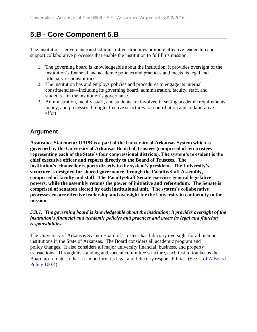# **5.B - Core Component 5.B**

The institution's governance and administrative structures promote effective leadership and support collaborative processes that enable the institution to fulfill its mission.

- 1. The governing board is knowledgeable about the institution; it provides oversight of the institution's financial and academic policies and practices and meets its legal and fiduciary responsibilities.
- 2. The institution has and employs policies and procedures to engage its internal constituencies—including its governing board, administration, faculty, staff, and students—in the institution's governance.
- 3. Administration, faculty, staff, and students are involved in setting academic requirements, policy, and processes through effective structures for contribution and collaborative effort.

## **Argument**

**Assurance Statement: UAPB is a part of the University of Arkansas System which is governed by the University of Arkansas Board of Trustees (comprised of ten trustees representing each of the State's four congressional districts). The system's president is the chief executive officer and reports directly to the Board of Trustees. The institution's chancellor reports directly to the system's president. The University's structure is designed for shared governance through the Faculty/Staff Assembly, comprised of faculty and staff. The Faculty/Staff Senate exercises general legislative powers, while the assembly retains the power of initiative and referendum. The Senate is comprised of senators elected by each institutional unit. The system's collaborative processes ensure effective leadership and oversight for the University in conformity to the mission.**

#### *5.B.1. The governing board is knowledgeable about the institution; it provides oversight of the institution's financial and academic policies and practices and meets its legal and fiduciary responsibilities.*

The University of Arkansas System Board of Trustees has fiduciary oversight for all member institutions in the State of Arkansas. The Board considers all academic program and policy changes. It also considers all major university financial, business, and property transactions. Through its standing and special committee structure, each institution keeps the Board up-to-date so that it can perform its legal and fiduciary responsibilities. (See [U of A Board](file:///C:/Users/taylorm/AppData/Local/Microsoft/Windows/Temporary%20Internet%20Files/evidence/viewfile%3ffileId=204088)  [Policy 100.4\)](file:///C:/Users/taylorm/AppData/Local/Microsoft/Windows/Temporary%20Internet%20Files/evidence/viewfile%3ffileId=204088)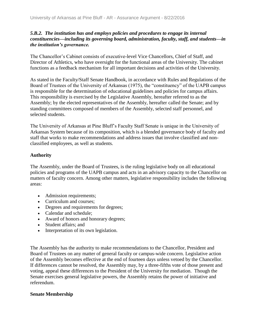#### *5.B.2. The institution has and employs policies and procedures to engage its internal constituencies—including its governing board, administration, faculty, staff, and students—in the institution's governance.*

The Chancellor's Cabinet consists of executive-level Vice Chancellors, Chief of Staff, and Director of Athletics, who have oversight for the functional areas of the University. The cabinet functions as a feedback mechanism for all important decisions and activities of the University.

As stated in the Faculty/Staff Senate Handbook, in accordance with Rules and Regulations of the Board of Trustees of the University of Arkansas (1975), the "constituency" of the UAPB campus is responsible for the determination of educational guidelines and policies for campus affairs. This responsibility is exercised by the Legislative Assembly, hereafter referred to as the Assembly; by the elected representatives of the Assembly, hereafter called the Senate; and by standing committees composed of members of the Assembly, selected staff personnel, and selected students.

The University of Arkansas at Pine Bluff's Faculty Staff Senate is unique in the University of Arkansas System because of its composition, which is a blended governance body of faculty and staff that works to make recommendations and address issues that involve classified and nonclassified employees, as well as students.

#### **Authority**

The Assembly, under the Board of Trustees, is the ruling legislative body on all educational policies and programs of the UAPB campus and acts in an advisory capacity to the Chancellor on matters of faculty concern. Among other matters, legislative responsibility includes the following areas:

- Admission requirements;
- Curriculum and courses;
- Degrees and requirements for degrees;
- Calendar and schedule;
- Award of honors and honorary degrees;
- Student affairs; and
- Interpretation of its own legislation.

The Assembly has the authority to make recommendations to the Chancellor, President and Board of Trustees on any matter of general faculty or campus-wide concern. Legislative action of the Assembly becomes effective at the end of fourteen days unless vetoed by the Chancellor. If differences cannot be resolved, the Assembly may, by a three-fifths vote of those present and voting, appeal these differences to the President of the University for mediation. Though the Senate exercises general legislative powers, the Assembly retains the power of initiative and referendum.

#### **Senate Membership**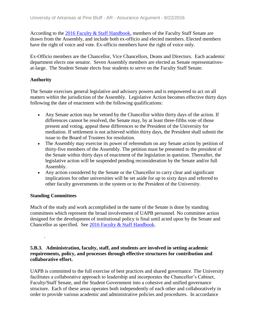According to the 2016 [Faculty & Staff](file:///C:/Users/taylorm/AppData/Local/Microsoft/Windows/Temporary%20Internet%20Files/evidence/viewfile%3ffileId=186481%23page=13) Handbook, members of the Faculty Staff Senate are drawn from the Assembly, and include both ex-officio and elected members. Elected members have the right of voice and vote. Ex-officio members have the right of voice only.

Ex-Officio members are the Chancellor, Vice Chancellors, Deans and Directors. Each academic department elects one senator. Seven Assembly members are elected as Senate representativesat-large. The Student Senate elects four students to serve on the Faculty Staff Senate.

#### **Authority**

The Senate exercises general legislative and advisory powers and is empowered to act on all matters within the jurisdiction of the Assembly. Legislative Action becomes effective thirty days following the date of enactment with the following qualifications:

- Any Senate action may be vetoed by the Chancellor within thirty days of the action. If differences cannot be resolved, the Senate may, by at least three-fifths vote of those present and voting, appeal these differences to the President of the University for mediation. If settlement is not achieved within thirty days, the President shall submit the issue to the Board of Trustees for resolution.
- The Assembly may exercise its power of referendum on any Senate action by petition of thirty-five members of the Assembly. The petition must be presented to the president of the Senate within thirty days of enactment of the legislation in question. Thereafter, the legislative action will be suspended pending reconsideration by the Senate and/or full Assembly.
- Any action considered by the Senate or the Chancellor to carry clear and significant implications for other universities will be set aside for up to sixty days and referred to other faculty governments in the system or to the President of the University.

#### **Standing Committees**

.

Much of the study and work accomplished in the name of the Senate is done by standing committees which represent the broad involvement of UAPB personnel. No committee action designed for the development of institutional policy is final until acted upon by the Senate and Chancellor as specified. See 2016 Faculty & Staff [Handbook.](file:///C:/Users/taylorm/AppData/Local/Microsoft/Windows/Temporary%20Internet%20Files/evidence/viewfile%3ffileId=186481%23page=16)

#### **5.B.3. Administration, faculty, staff, and students are involved in setting academic requirements, policy, and processes through effective structures for contribution and collaborative effort.**

UAPB is committed to the full exercise of best practices and shared governance. The University facilitates a collaborative approach to leadership and incorporates the Chancellor's Cabinet, Faculty/Staff Senate, and the Student Government into a cohesive and unified governance structure. Each of these areas operates both independently of each other and collaboratively in order to provide various academic and administrative policies and procedures. In accordance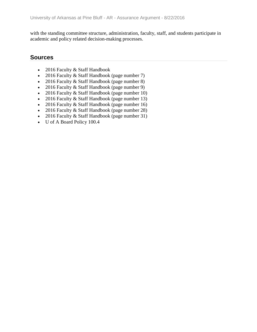with the standing committee structure, administration, faculty, staff, and students participate in academic and policy related decision-making processes.

### **Sources**

- 2016 Faculty & Staff Handbook
- 2016 Faculty & Staff Handbook (page number 7)
- 2016 Faculty & Staff Handbook (page number 8)
- 2016 Faculty & Staff Handbook (page number 9)
- 2016 Faculty & Staff Handbook (page number 10)
- 2016 Faculty & Staff Handbook (page number 13)
- 2016 Faculty & Staff Handbook (page number 16)
- 2016 Faculty & Staff Handbook (page number 28)
- 2016 Faculty & Staff Handbook (page number 31)
- U of A Board Policy 100.4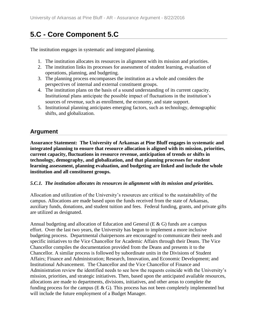# **5.C - Core Component 5.C**

The institution engages in systematic and integrated planning.

- 1. The institution allocates its resources in alignment with its mission and priorities.
- 2. The institution links its processes for assessment of student learning, evaluation of operations, planning, and budgeting.
- 3. The planning process encompasses the institution as a whole and considers the perspectives of internal and external constituent groups.
- 4. The institution plans on the basis of a sound understanding of its current capacity. Institutional plans anticipate the possible impact of fluctuations in the institution's sources of revenue, such as enrollment, the economy, and state support.
- 5. Institutional planning anticipates emerging factors, such as technology, demographic shifts, and globalization.

## **Argument**

**Assurance Statement: The University of Arkansas at Pine Bluff engages in systematic and integrated planning to ensure that resource allocation is aligned with its mission, priorities, current capacity, fluctuations in resource revenue, anticipation of trends or shifts in technology, demography, and globalization, and that planning processes for student learning assessment, planning evaluation, and budgeting are linked and include the whole institution and all constituent groups.**

#### *5.C.1. The institution allocates its resources in alignment with its mission and priorities.*

Allocation and utilization of the University's resources are critical to the sustainability of the campus. Allocations are made based upon the funds received from the state of Arkansas, auxiliary funds, donations, and student tuition and fees. Federal funding, grants, and private gifts are utilized as designated.

Annual budgeting and allocation of Education and General (E & G) funds are a campus effort. Over the last two years, the University has begun to implement a more inclusive budgeting process. Departmental chairpersons are encouraged to communicate their needs and specific initiatives to the Vice Chancellor for Academic Affairs through their Deans. The Vice Chancellor compiles the documentation provided from the Deans and presents it to the Chancellor. A similar process is followed by subordinate units in the Divisions of Student Affairs; Finance and Administration; Research, Innovation, and Economic Development; and Institutional Advancement. The Chancellor and the Vice Chancellor of Finance and Administration review the identified needs to see how the requests coincide with the University's mission, priorities, and strategic initiatives. Then, based upon the anticipated available resources, allocations are made to departments, divisions, initiatives, and other areas to complete the funding process for the campus ( $E \& G$ ). This process has not been completely implemented but will include the future employment of a Budget Manager.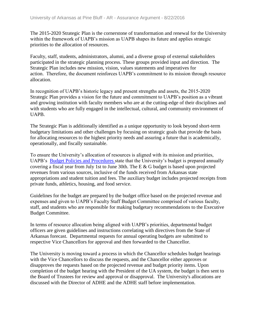The 2015-2020 Strategic Plan is the cornerstone of transformation and renewal for the University within the framework of UAPB's mission as UAPB shapes its future and applies strategic priorities to the allocation of resources.

Faculty, staff, students, administrators, alumni, and a diverse group of external stakeholders participated in the strategic planning process. These groups provided input and direction. The Strategic Plan includes new mission, vision, values statements and imperatives for action. Therefore, the document reinforces UAPB's commitment to its mission through resource allocation.

In recognition of UAPB's historic legacy and present strengths and assets, the 2015-2020 Strategic Plan provides a vision for the future and commitment to UAPB's position as a vibrant and growing institution with faculty members who are at the cutting-edge of their disciplines and with students who are fully engaged in the intellectual, cultural, and community environment of UAPB.

The Strategic Plan is additionally identified as a unique opportunity to look beyond short-term budgetary limitations and other challenges by focusing on strategic goals that provide the basis for allocating resources to the highest priority needs and assuring a future that is academically, operationally, and fiscally sustainable.

To ensure the University's allocation of resources is aligned with its mission and priorities, UAPB's [Budget Policies and Procedures s](file:///C:/Users/taylorm/AppData/Local/Microsoft/Windows/Temporary%20Internet%20Files/evidence/viewfile%3ffileid=186479)tate that the University's budget is prepared annually covering a fiscal year from July 1st to June 30th. The E & G budget is based upon projected revenues from various sources, inclusive of the funds received from Arkansas state appropriations and student tuition and fees. The auxiliary budget includes projected receipts from private funds, athletics, housing, and food service.

Guidelines for the budget are prepared by the budget office based on the projected revenue and expenses and given to UAPB's Faculty Staff Budget Committee comprised of various faculty, staff, and students who are responsible for making budgetary recommendations to the Executive Budget Committee.

In terms of resource allocation being aligned with UAPB's priorities, departmental budget officers are given guidelines and instructions correlating with directives from the State of Arkansas forecast. Departmental requests for annual operating budgets are submitted to respective Vice Chancellors for approval and then forwarded to the Chancellor.

The University is moving toward a process in which the Chancellor schedules budget hearings with the Vice Chancellors to discuss the requests, and the Chancellor either approves or disapproves the requests based on the projected revenue and budget priority items. Upon completion of the budget hearing with the President of the UA system, the budget is then sent to the Board of Trustees for review and approval or disapproval. The University's allocations are discussed with the Director of ADHE and the ADHE staff before implementation.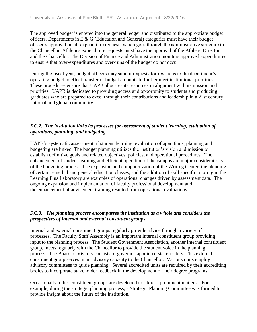The approved budget is entered into the general ledger and distributed to the appropriate budget officers. Departments in E & G (Education and General) categories must have their budget officer's approval on all expenditure requests which goes through the administrative structure to the Chancellor. Athletics expenditure requests must have the approval of the Athletic Director and the Chancellor. The Division of Finance and Administration monitors approved expenditures to ensure that over-expenditures and over-runs of the budget do not occur.

During the fiscal year, budget officers may submit requests for revisions to the department's operating budget to effect transfer of budget amounts to further meet institutional priorities. These procedures ensure that UAPB allocates its resources in alignment with its mission and priorities. UAPB is dedicated to providing access and opportunity to students and producing graduates who are prepared to excel through their contributions and leadership in a 21st century national and global community.

#### *5.C.2. The institution links its processes for assessment of student learning, evaluation of operations, planning, and budgeting.*

UAPB's systematic assessment of student learning, evaluation of operations, planning and budgeting are linked. The budget planning utilizes the institution's vision and mission to establish definitive goals and related objectives, policies, and operational procedures. The enhancement of student learning and efficient operation of the campus are major considerations of the budgeting process. The expansion and computerization of the Writing Center, the blending of certain remedial and general education classes, and the addition of skill specific tutoring in the Learning Plus Laboratory are examples of operational changes driven by assessment data. The ongoing expansion and implementation of faculty professional development and the enhancement of advisement training resulted from operational evaluations.

#### *5.C.3. The planning process encompasses the institution as a whole and considers the perspectives of internal and external constituent groups.*

Internal and external constituent groups regularly provide advice through a variety of processes. The Faculty Staff Assembly is an important internal constituent group providing input to the planning process. The Student Government Association, another internal constituent group, meets regularly with the Chancellor to provide the student voice in the planning process. The Board of Visitors consists of governor-appointed stakeholders. This external constituent group serves in an advisory capacity to the Chancellor. Various units employ advisory committees to guide planning. Several accredited units are required by their accrediting bodies to incorporate stakeholder feedback in the development of their degree programs.

Occasionally, other constituent groups are developed to address prominent matters. For example, during the strategic planning process, a Strategic Planning Committee was formed to provide insight about the future of the institution.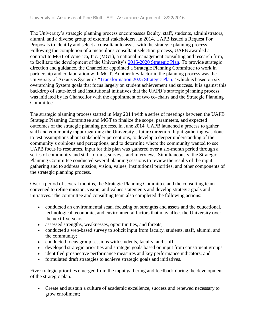The University's strategic planning process encompasses faculty, staff, students, administrators, alumni, and a diverse group of external stakeholders. In 2014, UAPB issued a Request For Proposals to identify and select a consultant to assist with the strategic planning process. Following the completion of a meticulous consultant selection process, UAPB awarded a contract to MGT of America, Inc. (MGT), a national management consulting and research firm, to facilitate the development of the University's [2015-2020 Strategic Plan.](file:///C:/Users/taylorm/AppData/Local/Microsoft/Windows/Temporary%20Internet%20Files/evidence/viewfile%3ffileId=236496) To provide strategic direction and guidance, the Chancellor appointed a Strategic Planning Committee to work in partnership and collaboration with MGT. Another key factor in the planning process was the University of Arkansas System's ["Transformation 2025 Strategic Plan,](file:///C:/Users/taylorm/AppData/Local/Microsoft/Windows/Temporary%20Internet%20Files/evidence/viewfile%3ffileId=242810)" which is based on six overarching System goals that focus largely on student achievement and success. It is against this backdrop of state-level and institutional initiatives that the UAPB's strategic planning process was initiated by its Chancellor with the appointment of two co-chairs and the Strategic Planning Committee.

The strategic planning process started in May 2014 with a series of meetings between the UAPB Strategic Planning Committee and MGT to finalize the scope, parameters, and expected outcomes of the strategic planning process. In June 2014, UAPB launched a process to gather staff and community input regarding the University's future direction. Input gathering was done to test assumptions about stakeholder perceptions, to develop a deeper understanding of the community's opinions and perceptions, and to determine where the community wanted to see UAPB focus its resources. Input for this plan was gathered over a six-month period through a series of community and staff forums, surveys, and interviews. Simultaneously, the Strategic Planning Committee conducted several planning sessions to review the results of the input gathering and to address mission, vision, values, institutional priorities, and other components of the strategic planning process.

Over a period of several months, the Strategic Planning Committee and the consulting team convened to refine mission, vision, and values statements and develop strategic goals and initiatives. The committee and consulting team also completed the following actions:

- conducted an environmental scan, focusing on strengths and assets and the educational, technological, economic, and environmental factors that may affect the University over the next five years;
- assessed strengths, weaknesses, opportunities, and threats;
- conducted a web-based survey to solicit input from faculty, students, staff, alumni, and the community;
- conducted focus group sessions with students, faculty, and staff;
- developed strategic priorities and strategic goals based on input from constituent groups;
- identified prospective performance measures and key performance indicators; and
- formulated draft strategies to achieve strategic goals and initiatives.

Five strategic priorities emerged from the input gathering and feedback during the development of the strategic plan.

• Create and sustain a culture of academic excellence, success and renewed necessary to grow enrollment;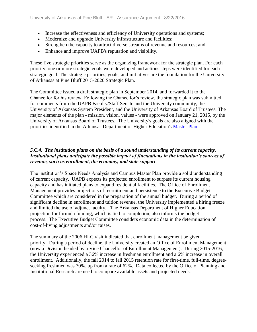- Increase the effectiveness and efficiency of University operations and systems;
- Modernize and upgrade University infrastructure and facilities;
- Strengthen the capacity to attract diverse streams of revenue and resources; and
- Enhance and improve UAPB's reputation and visibility.

These five strategic priorities serve as the organizing framework for the strategic plan. For each priority, one or more strategic goals were developed and actions steps were identified for each strategic goal. The strategic priorities, goals, and initiatives are the foundation for the University of Arkansas at Pine Bluff 2015-2020 Strategic Plan.

The Committee issued a draft strategic plan in September 2014, and forwarded it to the Chancellor for his review. Following the Chancellor's review, the strategic plan was submitted for comments from the UAPB Faculty/Staff Senate and the University community, the University of Arkansas System President, and the University of Arkansas Board of Trustees. The major elements of the plan - mission, vision, values - were approved on January 21, 2015, by the University of Arkansas Board of Trustees. The University's goals are also aligned with the priorities identified in the Arkansas Department of Higher Education's [Master Plan.](file:///C:/Users/taylorm/AppData/Local/Microsoft/Windows/Temporary%20Internet%20Files/evidence/viewfile%3ffileId=242812)

#### *5.C.4. The institution plans on the basis of a sound understanding of its current capacity. Institutional plans anticipate the possible impact of fluctuations in the institution's sources of revenue, such as enrollment, the economy, and state support*.

The institution's Space Needs Analysis and Campus Master Plan provide a solid understanding of current capacity. UAPB expects its projected enrollment to surpass its current housing capacity and has initiated plans to expand residential facilities. The Office of Enrollment Management provides projections of recruitment and persistence to the Executive Budget Committee which are considered in the preparation of the annual budget. During a period of significant decline in enrollment and tuition revenue, the University implemented a hiring freeze and limited the use of adjunct faculty. The Arkansas Department of Higher Education projection for formula funding, which is tied to completion, also informs the budget process. The Executive Budget Committee considers economic data in the determination of cost-of-living adjustments and/or raises.

The summary of the 2006 HLC visit indicated that enrollment management be given priority. During a period of decline, the University created an Office of Enrollment Management (now a Division headed by a Vice Chancellor of Enrollment Management). During 2015-2016, the University experienced a 36% increase in freshman enrollment and a 6% increase in overall enrollment. Additionally, the fall 2014 to fall 2015 retention rate for first-time, full-time, degreeseeking freshmen was 70%, up from a rate of 62%. Data collected by the Office of Planning and Institutional Research are used to compare available assets and projected needs.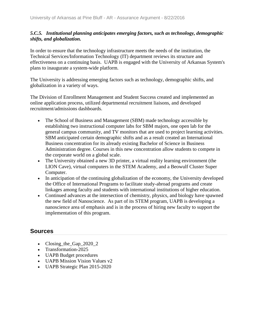#### *5.C.5. Institutional planning anticipates emerging factors, such as technology, demographic shifts, and globalization.*

In order to ensure that the technology infrastructure meets the needs of the institution, the Technical Services/Information Technology (IT) department reviews its structure and effectiveness on a continuing basis. UAPB is engaged with the University of Arkansas System's plans to inaugurate a system-wide platform.

The University is addressing emerging factors such as technology, demographic shifts, and globalization in a variety of ways.

The Division of Enrollment Management and Student Success created and implemented an online application process, utilized departmental recruitment liaisons, and developed recruitment/admissions dashboards.

- The School of Business and Management (SBM) made technology accessible by establishing two instructional computer labs for SBM majors, one open lab for the general campus community, and TV monitors that are used to project learning activities. SBM anticipated certain demographic shifts and as a result created an International Business concentration for its already existing Bachelor of Science in Business Administration degree. Courses in this new concentration allow students to compete in the corporate world on a global scale.
- The University obtained a new 3D printer, a virtual reality learning environment (the LION Cave), virtual computers in the STEM Academy, and a Beowulf Cluster Super Computer.
- In anticipation of the continuing globalization of the economy, the University developed the Office of International Programs to facilitate study-abroad programs and create linkages among faculty and students with international institutions of higher education.
- Continued advances at the intersection of chemistry, physics, and biology have spawned the new field of Nanoscience. As part of its STEM program, UAPB is developing a nanoscience area of emphasis and is in the process of hiring new faculty to support the implementation of this program.

### **Sources**

- Closing\_the\_Gap\_2020\_2
- Transformation-2025
- UAPB Budget procedures
- UAPB Mission Vision Values v2
- UAPB Strategic Plan 2015-2020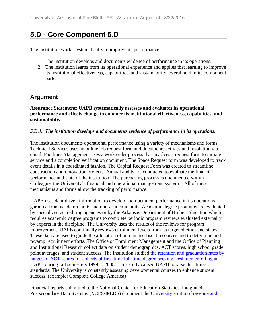## **5.D - Core Component 5.D**

The institution works systematically to improve its performance.

- 1. The institution develops and documents evidence of performance in its operations.
- 2. The institution learns from its operational experience and applies that learning to improve its institutional effectiveness, capabilities, and sustainability, overall and in its component parts.

### **Argument**

**Assurance Statement: UAPB systematically assesses and evaluates its operational performance and effects change to enhance its institutional effectiveness, capabilities, and sustainability.**

#### *5.D.1. The institution develops and documents evidence of performance in its operations.*

The institution documents operational performance using a variety of mechanisms and forms. Technical Services uses an online job request form and documents activity and resolution via email. Facilities Management uses a work order process that involves a request form to initiate service and a completion verification document. The Space Request form was developed to track event details in a coordinated fashion. The Capital Request Form was created to streamline construction and renovation projects. Annual audits are conducted to evaluate the financial performance and state of the institution. The purchasing process is documented within Colleague, the University's financial and operational management system. All of these mechanisms and forms allow the tracking of performance.

UAPB uses data-driven information to develop and document performance in its operations garnered from academic units and non-academic units. Academic degree programs are evaluated by specialized accrediting agencies or by the Arkansas Department of Higher Education which requires academic degree programs to complete periodic program reviews evaluated externally by experts in the discipline. The University uses the results of the reviews for program improvement. UAPB continually reviews enrollment levels from its targeted cities and states. These data are used to guide the allocation of human and fiscal resources and to determine and revamp recruitment efforts. The Office of Enrollment Management and the Office of Planning and Institutional Research collect data on student demographics, ACT scores, high school grade point averages, and student success. The institution studied [the retention and graduation rates by](file:///C:/Users/taylorm/AppData/Local/Microsoft/Windows/Temporary%20Internet%20Files/evidence/viewfile%3ffileId=244293)  [ranges of ACT scores for cohorts of first-time full-time degree-seeking freshmen enrolling a](file:///C:/Users/taylorm/AppData/Local/Microsoft/Windows/Temporary%20Internet%20Files/evidence/viewfile%3ffileId=244293)t UAPB during fall semesters 1999 to 2008. This study caused UAPB to raise its admission standards. The University is constantly assessing developmental courses to enhance student success. (example: Complete College America)

Financial reports submitted to the National Center for Education Statistics, Integrated Postsecondary Data Systems (NCES/IPEDS) document the [University's ratio of revenue and](file:///C:/Users/taylorm/AppData/Local/Microsoft/Windows/Temporary%20Internet%20Files/evidence/viewfile%3ffileId=244324)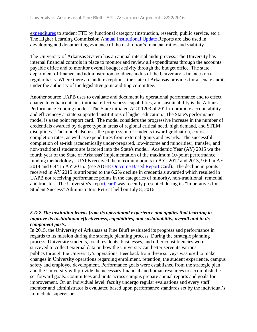[expenditures](file:///C:/Users/taylorm/AppData/Local/Microsoft/Windows/Temporary%20Internet%20Files/evidence/viewfile%3ffileId=244324) to student FTE by functional category (instruction, research, public service, etc.). The Higher Learning Commission [Annual Institutional Update R](file:///C:/Users/taylorm/AppData/Local/Microsoft/Windows/Temporary%20Internet%20Files/evidence/viewfile%3ffileId=244325)eports are also used in developing and documenting evidence of the institution's financial ratios and viability.

The University of Arkansas System has an annual internal audit process. The University has internal financial controls in place to monitor and review all expenditures through the accounts payable office and to monitor overall budget activity through the budget office. The state department of finance and administration conducts audits of the University's finances on a regular basis. Where there are audit exceptions, the state of Arkansas provides for a senate audit, under the authority of the legislative joint auditing committee.

Another source UAPB uses to evaluate and document its operational performance and to effect change to enhance its institutional effectiveness, capabilities, and sustainability is the Arkansas Performance Funding model. The State initiated ACT 1203 of 2011 to promote accountability and efficiencey at state-supported institutions of higher education. The State's performance model is a ten point report card. The model considers the progressive increase in the number of credentials awarded by degree type in areas of regional critical need, high demand, and STEM disciplines. The model also uses the progression of students toward graduation, course completion rates, as well as expenditures from external grants and awards. The successful completion of at-risk (academically under-prepared, low-income and minorities), transfer, and non-traditional students are factored into the State's model. Academic Year (AY) 2015 wa the fourth year of the State of Arkansas' implementation of the maximum 10-point performance funding methodology. UAPB received the maximum points in AYs 2012 and 2013, 9.60 in AY 2014 and 6.44 in AY 2015. (see [ADHE Outcome Based Report Card\)](file:///C:/Users/taylorm/AppData/Local/Microsoft/Windows/Temporary%20Internet%20Files/evidence/viewfile%3ffileid=243811). The decline in points received in AY 2015 is attributed to the 6.2% decline in credentials awarded which resulted in UAPB not receiving performance points in the categories of minority, non-traditional, remedial, and transfer. The University's ['report card' w](file:///C:/Users/taylorm/AppData/Local/Microsoft/Windows/Temporary%20Internet%20Files/evidence/viewfile%3ffileid=243812)as recently presented during its "Imperatives for Student Success" Administrators Retreat held on July 8, 2016.

#### *5.D.2.The institution learns from its operational experience and applies that learning to improve its institutional effectiveness, capabilities, and sustainability, overall and in its component parts.*

In 2015, the University of Arkansas at Pine Bluff evaluated its progress and performance in regards to its mission during the strategic planning process. During the strategic planning process, University students, local residents, businesses, and other constituencies were surveyed to collect external data on how the University can better serve its various publics through the University's operations. Feedback from these surveys was used to make changes in University operations regarding enrollment, retention, the student experience, campus safety and employee development. Performance goals were established from the strategic plan and the University will provide the necessary financial and human resources to accomplish the set forward goals. Committees and units across campus prepare annual reports and goals for improvement. On an individual level, faculty undergo regular evaluations and every staff member and administrator is evaluated based upon performance standards set by the individual's immediate supervisor.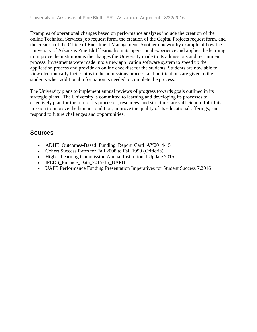Examples of operational changes based on performance analyses include the creation of the online Technical Services job request form, the creation of the Capital Projects request form, and the creation of the Office of Enrollment Management. Another noteworthy example of how the University of Arkansas Pine Bluff learns from its operational experience and applies the learning to improve the institution is the changes the University made to its admissions and recruitment process. Investments were made into a new application software system to speed up the application process and provide an online checklist for the students. Students are now able to view electronically their status in the admissions process, and notifications are given to the students when additional information is needed to complete the process.

The University plans to implement annual reviews of progress towards goals outlined in its strategic plans. The University is committed to learning and developing its processes to effectively plan for the future. Its processes, resources, and structures are sufficient to fulfill its mission to improve the human condition, improve the quality of its educational offerings, and respond to future challenges and opportunities.

### **Sources**

- ADHE\_Outcomes-Based\_Funding\_Report\_Card\_AY2014-15
- Cohort Success Rates for Fall 2008 to Fall 1999 (Critieria)
- Higher Learning Commission Annual Institutional Update 2015
- IPEDS Finance Data 2015-16 UAPB
- UAPB Performance Funding Presentation Imperatives for Student Success 7.2016